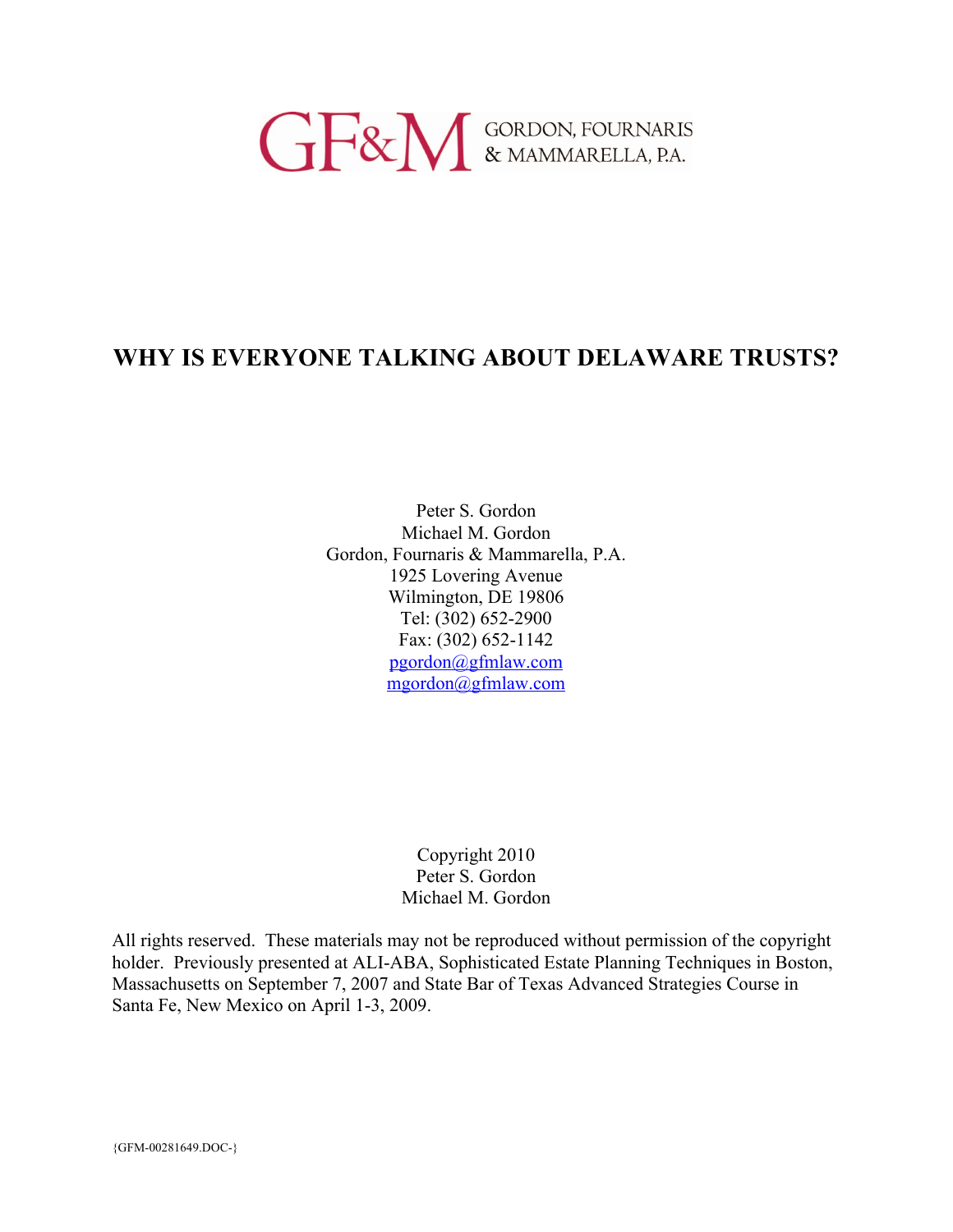# **GERN** GORDON, FOURNARIS

# **WHY IS EVERYONE TALKING ABOUT DELAWARE TRUSTS?**

Peter S. Gordon Michael M. Gordon Gordon, Fournaris & Mammarella, P.A. 1925 Lovering Avenue Wilmington, DE 19806 Tel: (302) 652-2900 Fax: (302) 652-1142 pgordon@gfmlaw.com mgordon@gfmlaw.com

> Copyright 2010 Peter S. Gordon Michael M. Gordon

All rights reserved. These materials may not be reproduced without permission of the copyright holder. Previously presented at ALI-ABA, Sophisticated Estate Planning Techniques in Boston, Massachusetts on September 7, 2007 and State Bar of Texas Advanced Strategies Course in Santa Fe, New Mexico on April 1-3, 2009.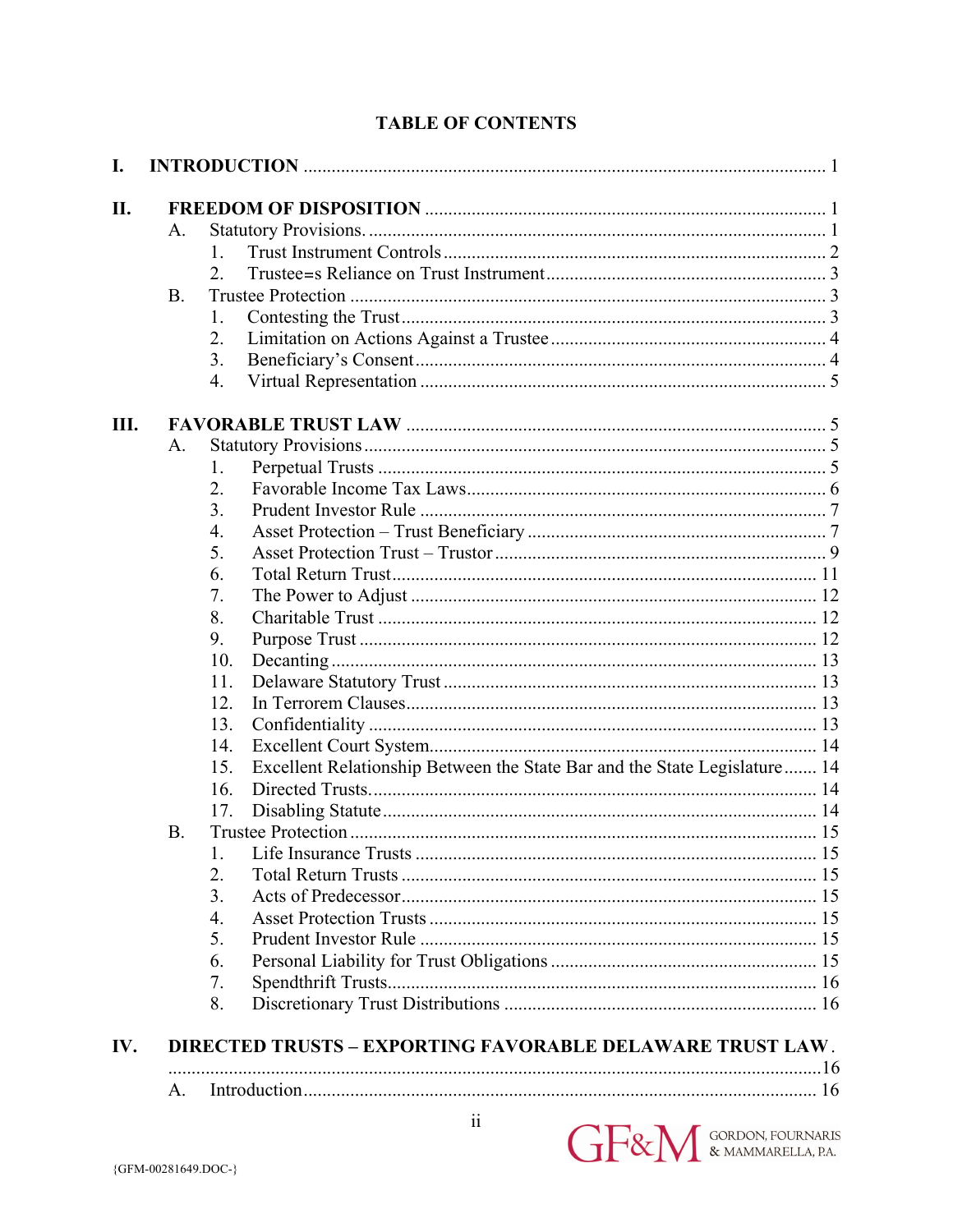|  | <b>TABLE OF CONTENTS</b> |
|--|--------------------------|
|--|--------------------------|

| I.  |             |                                                                                  |  |
|-----|-------------|----------------------------------------------------------------------------------|--|
| II. |             |                                                                                  |  |
|     | A.          |                                                                                  |  |
|     |             | $\mathbf{1}$                                                                     |  |
|     |             | 2                                                                                |  |
|     | <b>B.</b>   |                                                                                  |  |
|     |             | 1.                                                                               |  |
|     |             | 2.                                                                               |  |
|     |             | 3.                                                                               |  |
|     |             | 4.                                                                               |  |
| Ш.  |             |                                                                                  |  |
|     | $A_{\cdot}$ |                                                                                  |  |
|     |             | 1.                                                                               |  |
|     |             | 2.                                                                               |  |
|     |             | 3.                                                                               |  |
|     |             | 4.                                                                               |  |
|     |             | 5.                                                                               |  |
|     |             | 6.                                                                               |  |
|     |             | 7.                                                                               |  |
|     |             | 8.                                                                               |  |
|     |             | 9.                                                                               |  |
|     |             | 10.                                                                              |  |
|     |             | 11.                                                                              |  |
|     |             | 12.                                                                              |  |
|     |             | 13.                                                                              |  |
|     |             | 14.                                                                              |  |
|     |             | Excellent Relationship Between the State Bar and the State Legislature 14<br>15. |  |
|     |             | 16.                                                                              |  |
|     |             | 17.                                                                              |  |
|     | <b>B.</b>   |                                                                                  |  |
|     |             | 1.                                                                               |  |
|     |             | 2.                                                                               |  |
|     |             | 3.                                                                               |  |
|     |             | $\overline{4}$ .                                                                 |  |
|     |             | 5.                                                                               |  |
|     |             | 6.                                                                               |  |
|     |             | 7.                                                                               |  |
|     |             | 8.                                                                               |  |
| IV. |             | <b>DIRECTED TRUSTS - EXPORTING FAVORABLE DELAWARE TRUST LAW.</b>                 |  |
|     |             |                                                                                  |  |
|     | А.          |                                                                                  |  |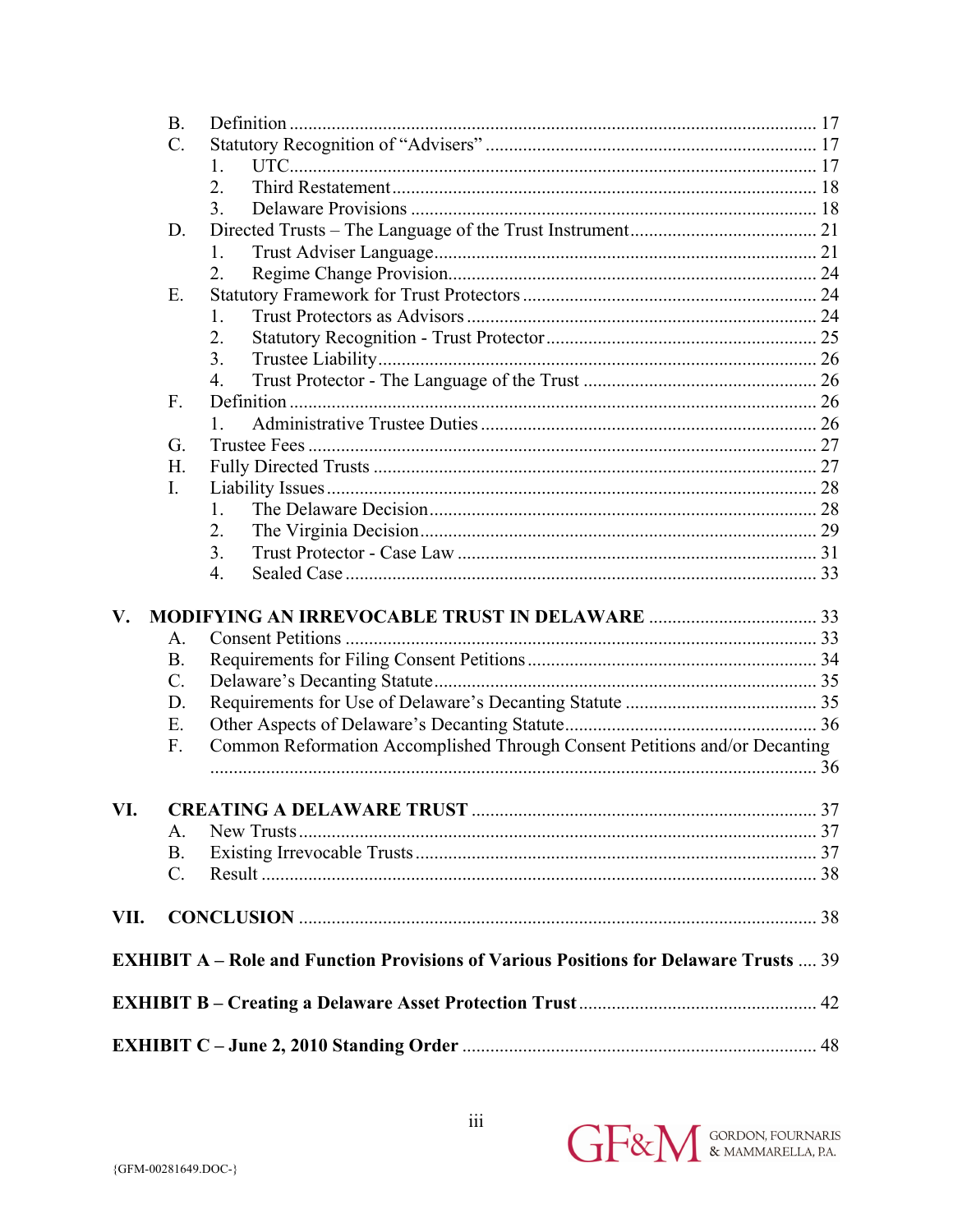|                        | <b>B.</b>       |                                                                                              |  |  |
|------------------------|-----------------|----------------------------------------------------------------------------------------------|--|--|
|                        | $\mathcal{C}$ . |                                                                                              |  |  |
|                        |                 | $\mathbf{1}$ .                                                                               |  |  |
|                        |                 | 2.                                                                                           |  |  |
|                        |                 | 3.                                                                                           |  |  |
|                        | D.              |                                                                                              |  |  |
|                        |                 | 1.                                                                                           |  |  |
|                        |                 | 2.                                                                                           |  |  |
|                        | Ε.              |                                                                                              |  |  |
|                        |                 | $\mathbf{1}$                                                                                 |  |  |
|                        |                 | 2.                                                                                           |  |  |
|                        |                 | 3.                                                                                           |  |  |
|                        |                 | $\overline{4}$ .                                                                             |  |  |
|                        | F.              |                                                                                              |  |  |
|                        |                 |                                                                                              |  |  |
|                        | G.              |                                                                                              |  |  |
|                        | H.              |                                                                                              |  |  |
|                        | $I_{\cdot}$     |                                                                                              |  |  |
|                        |                 | $\mathbf{1}$                                                                                 |  |  |
|                        |                 | 2.                                                                                           |  |  |
|                        |                 | 3.                                                                                           |  |  |
|                        |                 | 4.                                                                                           |  |  |
| $\mathbf{V}_{\bullet}$ |                 |                                                                                              |  |  |
|                        | A.              |                                                                                              |  |  |
|                        | <b>B.</b>       |                                                                                              |  |  |
|                        | $\mathcal{C}$ . |                                                                                              |  |  |
|                        | D.              |                                                                                              |  |  |
|                        | Е.              |                                                                                              |  |  |
|                        | $F_{\cdot}$     | Common Reformation Accomplished Through Consent Petitions and/or Decanting                   |  |  |
|                        |                 |                                                                                              |  |  |
|                        |                 |                                                                                              |  |  |
| VI.                    |                 |                                                                                              |  |  |
|                        | Α.              |                                                                                              |  |  |
|                        | <b>B.</b>       |                                                                                              |  |  |
|                        | $\mathcal{C}$ . |                                                                                              |  |  |
| VII.                   |                 |                                                                                              |  |  |
|                        |                 | <b>EXHIBIT A – Role and Function Provisions of Various Positions for Delaware Trusts  39</b> |  |  |
|                        |                 |                                                                                              |  |  |
|                        |                 |                                                                                              |  |  |
|                        |                 |                                                                                              |  |  |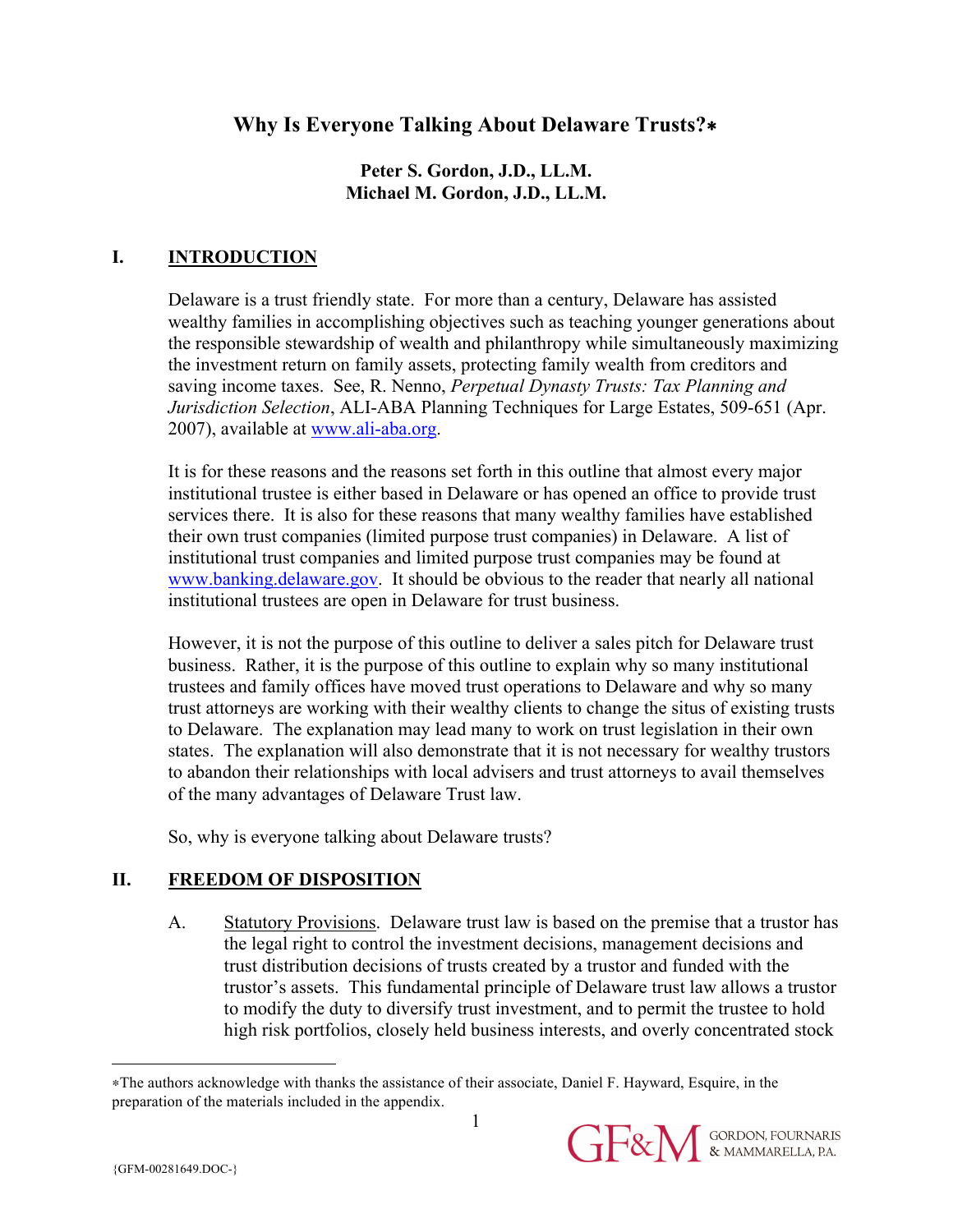# **Why Is Everyone Talking About Delaware Trusts?**∗

## **Peter S. Gordon, J.D., LL.M. Michael M. Gordon, J.D., LL.M.**

## **I. INTRODUCTION**

Delaware is a trust friendly state. For more than a century, Delaware has assisted wealthy families in accomplishing objectives such as teaching younger generations about the responsible stewardship of wealth and philanthropy while simultaneously maximizing the investment return on family assets, protecting family wealth from creditors and saving income taxes. See, R. Nenno, *Perpetual Dynasty Trusts: Tax Planning and Jurisdiction Selection*, ALI-ABA Planning Techniques for Large Estates, 509-651 (Apr. 2007), available at www.ali-aba.org.

It is for these reasons and the reasons set forth in this outline that almost every major institutional trustee is either based in Delaware or has opened an office to provide trust services there. It is also for these reasons that many wealthy families have established their own trust companies (limited purpose trust companies) in Delaware. A list of institutional trust companies and limited purpose trust companies may be found at www.banking.delaware.gov. It should be obvious to the reader that nearly all national institutional trustees are open in Delaware for trust business.

However, it is not the purpose of this outline to deliver a sales pitch for Delaware trust business. Rather, it is the purpose of this outline to explain why so many institutional trustees and family offices have moved trust operations to Delaware and why so many trust attorneys are working with their wealthy clients to change the situs of existing trusts to Delaware. The explanation may lead many to work on trust legislation in their own states. The explanation will also demonstrate that it is not necessary for wealthy trustors to abandon their relationships with local advisers and trust attorneys to avail themselves of the many advantages of Delaware Trust law.

So, why is everyone talking about Delaware trusts?

# **II. FREEDOM OF DISPOSITION**

A. Statutory Provisions. Delaware trust law is based on the premise that a trustor has the legal right to control the investment decisions, management decisions and trust distribution decisions of trusts created by a trustor and funded with the trustor's assets. This fundamental principle of Delaware trust law allows a trustor to modify the duty to diversify trust investment, and to permit the trustee to hold high risk portfolios, closely held business interests, and overly concentrated stock

 $\overline{a}$ 

<sup>∗</sup>The authors acknowledge with thanks the assistance of their associate, Daniel F. Hayward, Esquire, in the preparation of the materials included in the appendix.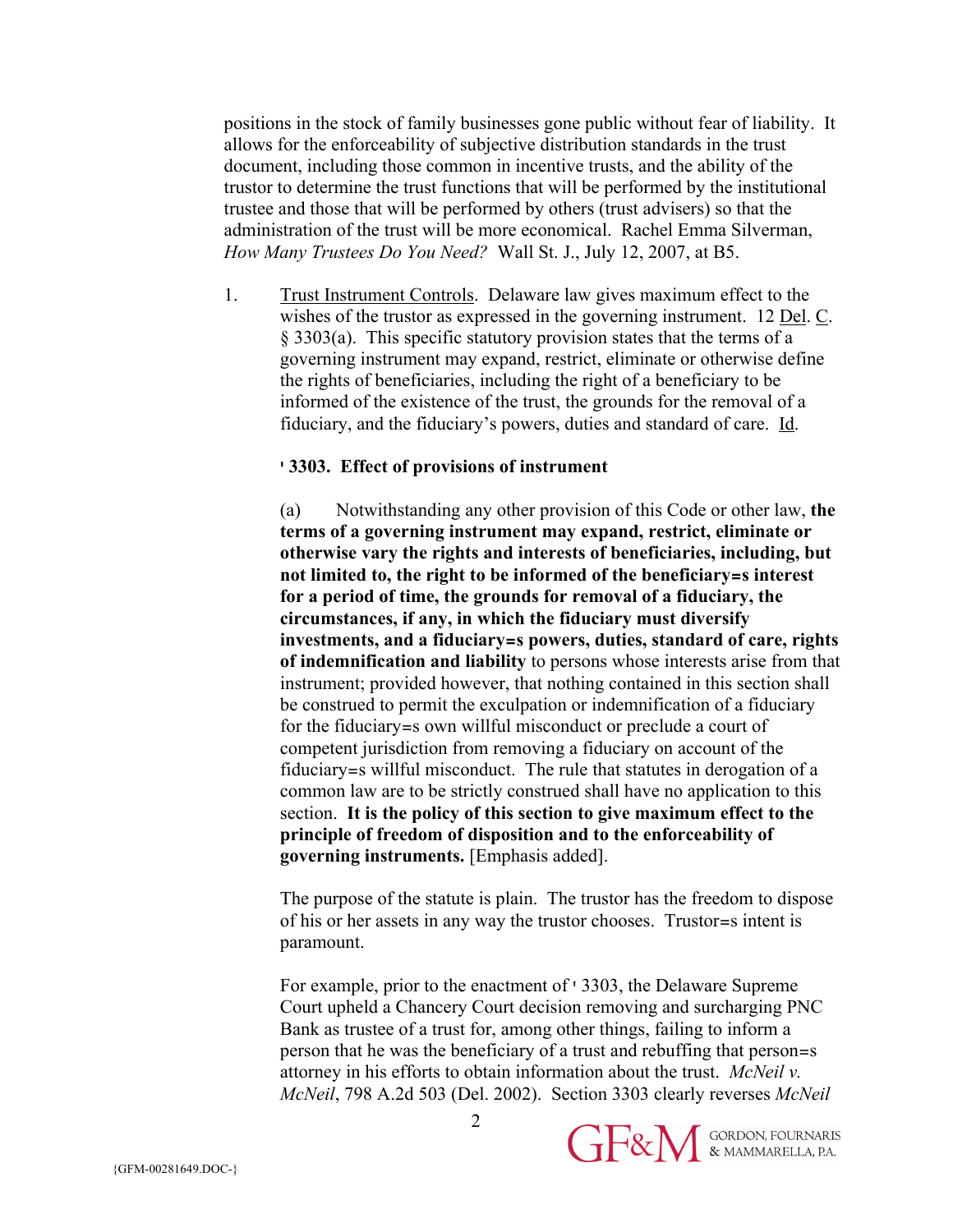positions in the stock of family businesses gone public without fear of liability. It allows for the enforceability of subjective distribution standards in the trust document, including those common in incentive trusts, and the ability of the trustor to determine the trust functions that will be performed by the institutional trustee and those that will be performed by others (trust advisers) so that the administration of the trust will be more economical. Rachel Emma Silverman, *How Many Trustees Do You Need?* Wall St. J., July 12, 2007, at B5.

1. Trust Instrument Controls. Delaware law gives maximum effect to the wishes of the trustor as expressed in the governing instrument. 12 Del. C. § 3303(a). This specific statutory provision states that the terms of a governing instrument may expand, restrict, eliminate or otherwise define the rights of beneficiaries, including the right of a beneficiary to be informed of the existence of the trust, the grounds for the removal of a fiduciary, and the fiduciary's powers, duties and standard of care. Id.

#### **' 3303. Effect of provisions of instrument**

(a) Notwithstanding any other provision of this Code or other law, **the terms of a governing instrument may expand, restrict, eliminate or otherwise vary the rights and interests of beneficiaries, including, but not limited to, the right to be informed of the beneficiary=s interest for a period of time, the grounds for removal of a fiduciary, the circumstances, if any, in which the fiduciary must diversify investments, and a fiduciary=s powers, duties, standard of care, rights of indemnification and liability** to persons whose interests arise from that instrument; provided however, that nothing contained in this section shall be construed to permit the exculpation or indemnification of a fiduciary for the fiduciary=s own willful misconduct or preclude a court of competent jurisdiction from removing a fiduciary on account of the fiduciary=s willful misconduct. The rule that statutes in derogation of a common law are to be strictly construed shall have no application to this section. **It is the policy of this section to give maximum effect to the principle of freedom of disposition and to the enforceability of governing instruments.** [Emphasis added].

The purpose of the statute is plain. The trustor has the freedom to dispose of his or her assets in any way the trustor chooses. Trustor=s intent is paramount.

For example, prior to the enactment of ' 3303, the Delaware Supreme Court upheld a Chancery Court decision removing and surcharging PNC Bank as trustee of a trust for, among other things, failing to inform a person that he was the beneficiary of a trust and rebuffing that person=s attorney in his efforts to obtain information about the trust. *McNeil v. McNeil*, 798 A.2d 503 (Del. 2002). Section 3303 clearly reverses *McNeil*



 $\mathfrak{D}$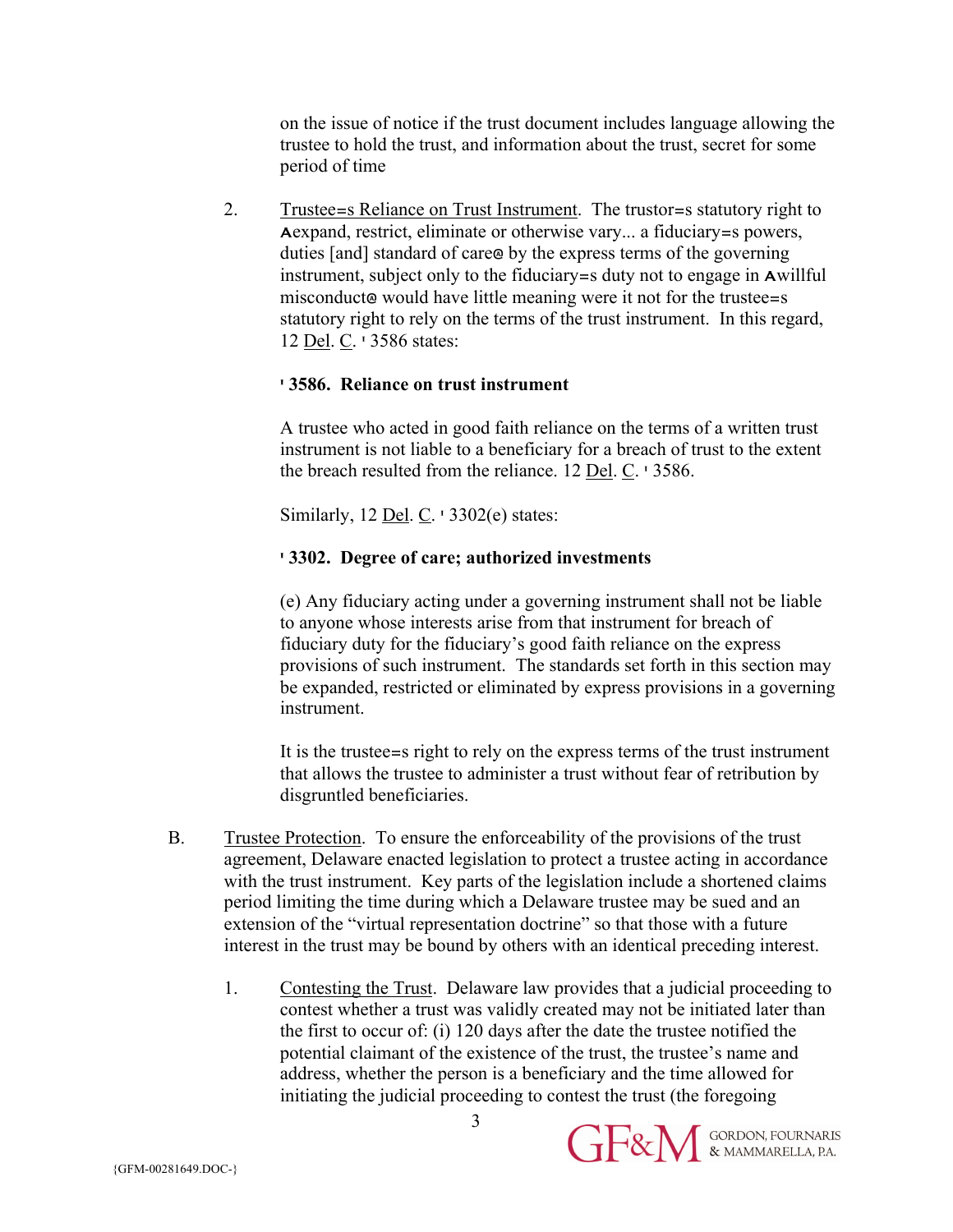on the issue of notice if the trust document includes language allowing the trustee to hold the trust, and information about the trust, secret for some period of time

2. Trustee=s Reliance on Trust Instrument. The trustor=s statutory right to Aexpand, restrict, eliminate or otherwise vary... a fiduciary=s powers, duties [and] standard of care@ by the express terms of the governing instrument, subject only to the fiduciary=s duty not to engage in Awillful misconduct@ would have little meaning were it not for the trustee=s statutory right to rely on the terms of the trust instrument. In this regard, 12 Del. C. ' 3586 states:

#### **' 3586. Reliance on trust instrument**

A trustee who acted in good faith reliance on the terms of a written trust instrument is not liable to a beneficiary for a breach of trust to the extent the breach resulted from the reliance. 12 Del. C. ' 3586.

Similarly, 12 Del. C. ' 3302(e) states:

#### **' 3302. Degree of care; authorized investments**

(e) Any fiduciary acting under a governing instrument shall not be liable to anyone whose interests arise from that instrument for breach of fiduciary duty for the fiduciary's good faith reliance on the express provisions of such instrument. The standards set forth in this section may be expanded, restricted or eliminated by express provisions in a governing instrument.

It is the trustee=s right to rely on the express terms of the trust instrument that allows the trustee to administer a trust without fear of retribution by disgruntled beneficiaries.

- B. Trustee Protection. To ensure the enforceability of the provisions of the trust agreement, Delaware enacted legislation to protect a trustee acting in accordance with the trust instrument. Key parts of the legislation include a shortened claims period limiting the time during which a Delaware trustee may be sued and an extension of the "virtual representation doctrine" so that those with a future interest in the trust may be bound by others with an identical preceding interest.
	- 1. Contesting the Trust. Delaware law provides that a judicial proceeding to contest whether a trust was validly created may not be initiated later than the first to occur of: (i) 120 days after the date the trustee notified the potential claimant of the existence of the trust, the trustee's name and address, whether the person is a beneficiary and the time allowed for initiating the judicial proceeding to contest the trust (the foregoing

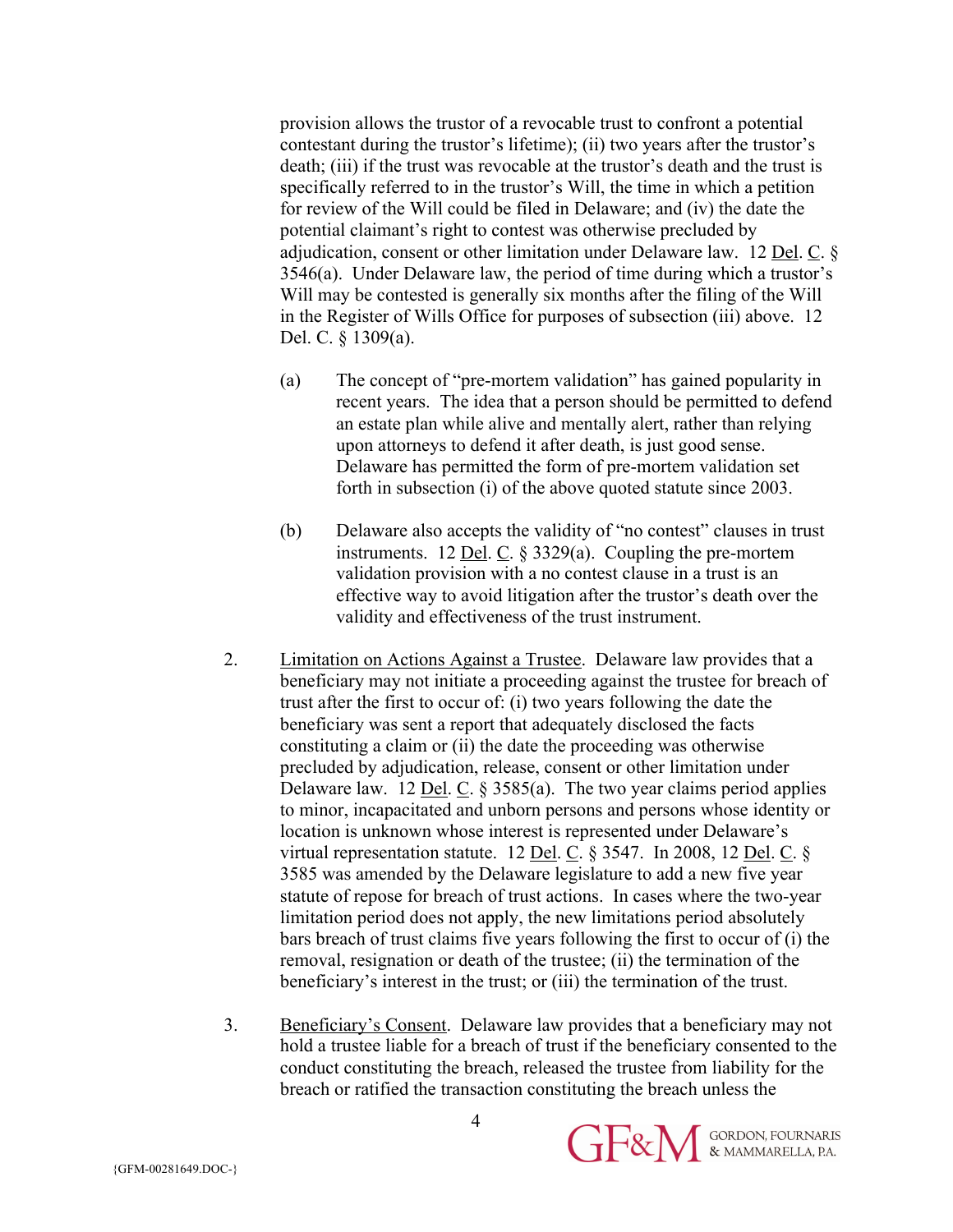provision allows the trustor of a revocable trust to confront a potential contestant during the trustor's lifetime); (ii) two years after the trustor's death; (iii) if the trust was revocable at the trustor's death and the trust is specifically referred to in the trustor's Will, the time in which a petition for review of the Will could be filed in Delaware; and (iv) the date the potential claimant's right to contest was otherwise precluded by adjudication, consent or other limitation under Delaware law. 12 Del. C. § 3546(a). Under Delaware law, the period of time during which a trustor's Will may be contested is generally six months after the filing of the Will in the Register of Wills Office for purposes of subsection (iii) above. 12 Del. C. § 1309(a).

- (a) The concept of "pre-mortem validation" has gained popularity in recent years. The idea that a person should be permitted to defend an estate plan while alive and mentally alert, rather than relying upon attorneys to defend it after death, is just good sense. Delaware has permitted the form of pre-mortem validation set forth in subsection (i) of the above quoted statute since 2003.
- (b) Delaware also accepts the validity of "no contest" clauses in trust instruments. 12 Del. C. § 3329(a). Coupling the pre-mortem validation provision with a no contest clause in a trust is an effective way to avoid litigation after the trustor's death over the validity and effectiveness of the trust instrument.
- 2. Limitation on Actions Against a Trustee. Delaware law provides that a beneficiary may not initiate a proceeding against the trustee for breach of trust after the first to occur of: (i) two years following the date the beneficiary was sent a report that adequately disclosed the facts constituting a claim or (ii) the date the proceeding was otherwise precluded by adjudication, release, consent or other limitation under Delaware law. 12 <u>Del. C</u>.  $\S$  3585(a). The two year claims period applies to minor, incapacitated and unborn persons and persons whose identity or location is unknown whose interest is represented under Delaware's virtual representation statute. 12 Del. C. § 3547. In 2008, 12 Del. C. § 3585 was amended by the Delaware legislature to add a new five year statute of repose for breach of trust actions. In cases where the two-year limitation period does not apply, the new limitations period absolutely bars breach of trust claims five years following the first to occur of (i) the removal, resignation or death of the trustee; (ii) the termination of the beneficiary's interest in the trust; or (iii) the termination of the trust.
- 3. Beneficiary's Consent. Delaware law provides that a beneficiary may not hold a trustee liable for a breach of trust if the beneficiary consented to the conduct constituting the breach, released the trustee from liability for the breach or ratified the transaction constituting the breach unless the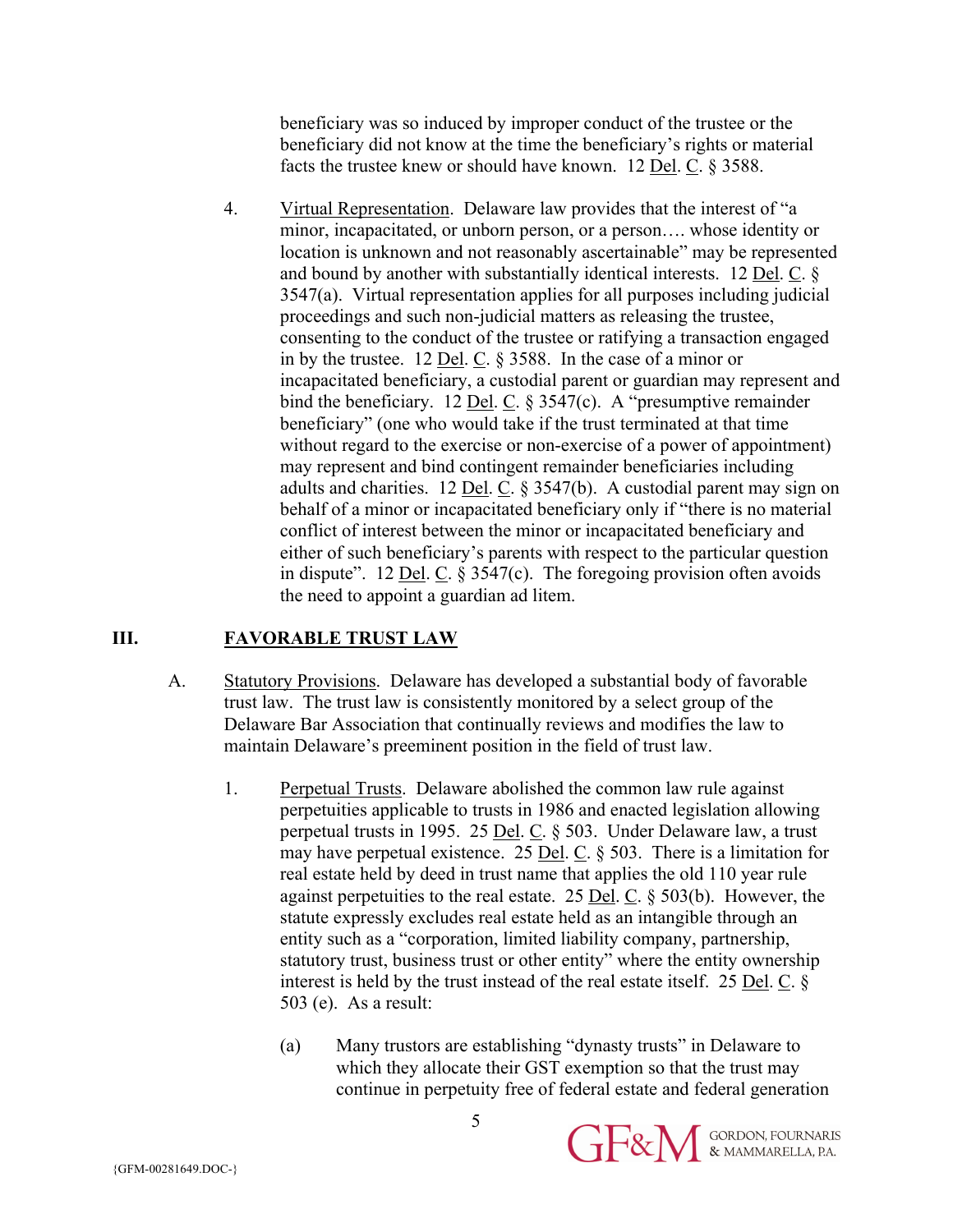beneficiary was so induced by improper conduct of the trustee or the beneficiary did not know at the time the beneficiary's rights or material facts the trustee knew or should have known. 12 Del. C. § 3588.

4. Virtual Representation. Delaware law provides that the interest of "a minor, incapacitated, or unborn person, or a person…. whose identity or location is unknown and not reasonably ascertainable" may be represented and bound by another with substantially identical interests. 12 Del. C. § 3547(a). Virtual representation applies for all purposes including judicial proceedings and such non-judicial matters as releasing the trustee, consenting to the conduct of the trustee or ratifying a transaction engaged in by the trustee. 12 Del. C. § 3588. In the case of a minor or incapacitated beneficiary, a custodial parent or guardian may represent and bind the beneficiary. 12 <u>Del</u>. C.  $\S 3547(c)$ . A "presumptive remainder beneficiary" (one who would take if the trust terminated at that time without regard to the exercise or non-exercise of a power of appointment) may represent and bind contingent remainder beneficiaries including adults and charities. 12 Del. C. § 3547(b). A custodial parent may sign on behalf of a minor or incapacitated beneficiary only if "there is no material conflict of interest between the minor or incapacitated beneficiary and either of such beneficiary's parents with respect to the particular question in dispute". 12 Del. C. § 3547(c). The foregoing provision often avoids the need to appoint a guardian ad litem.

#### **III. FAVORABLE TRUST LAW**

- A. Statutory Provisions. Delaware has developed a substantial body of favorable trust law. The trust law is consistently monitored by a select group of the Delaware Bar Association that continually reviews and modifies the law to maintain Delaware's preeminent position in the field of trust law.
	- 1. Perpetual Trusts. Delaware abolished the common law rule against perpetuities applicable to trusts in 1986 and enacted legislation allowing perpetual trusts in 1995. 25 Del. C. § 503. Under Delaware law, a trust may have perpetual existence. 25 <u>Del. C</u>.  $\S$  503. There is a limitation for real estate held by deed in trust name that applies the old 110 year rule against perpetuities to the real estate. 25 <u>Del</u>. C.  $\S$  503(b). However, the statute expressly excludes real estate held as an intangible through an entity such as a "corporation, limited liability company, partnership, statutory trust, business trust or other entity" where the entity ownership interest is held by the trust instead of the real estate itself. 25 Del. C. § 503 (e). As a result:
		- (a) Many trustors are establishing "dynasty trusts" in Delaware to which they allocate their GST exemption so that the trust may continue in perpetuity free of federal estate and federal generation

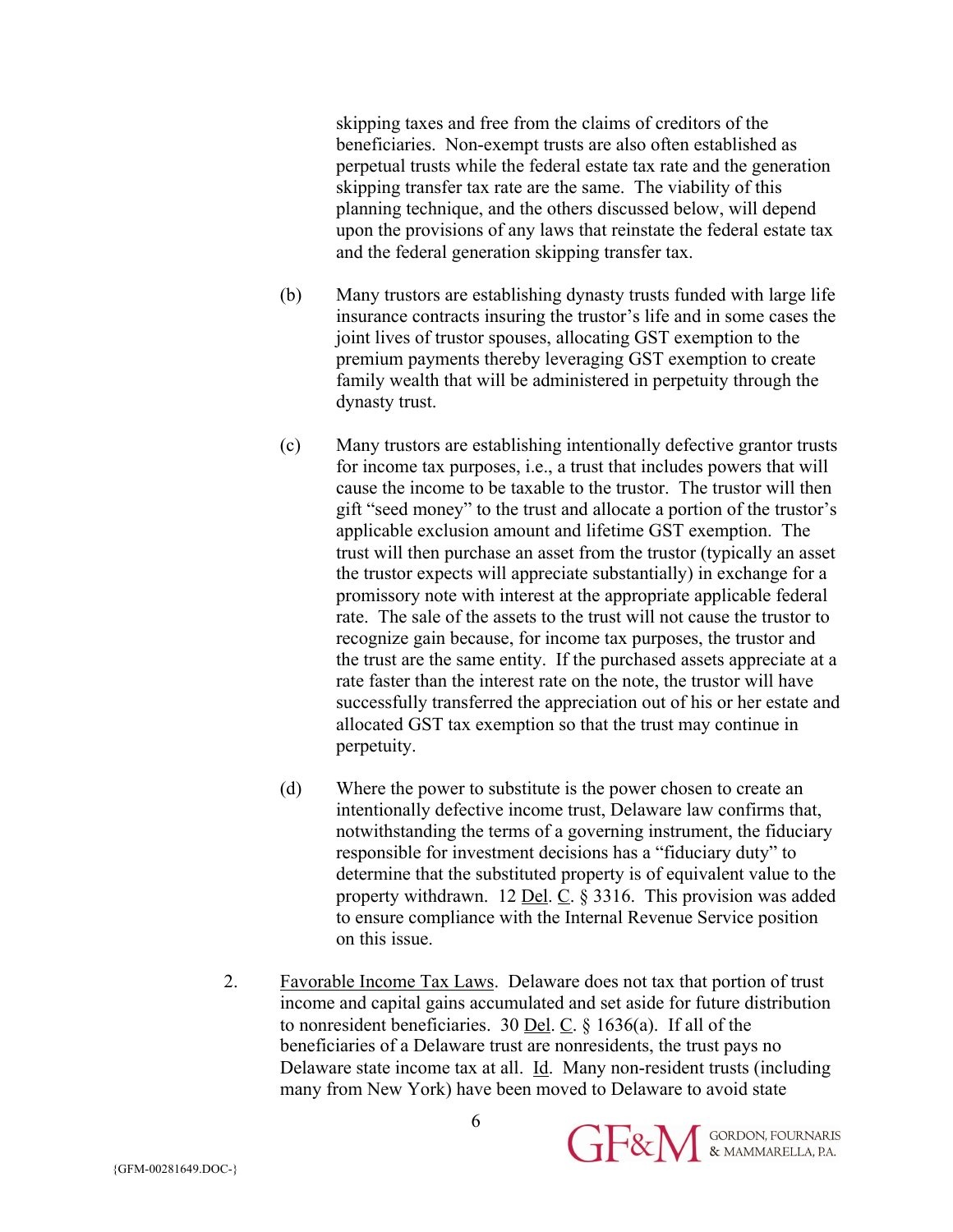skipping taxes and free from the claims of creditors of the beneficiaries. Non-exempt trusts are also often established as perpetual trusts while the federal estate tax rate and the generation skipping transfer tax rate are the same. The viability of this planning technique, and the others discussed below, will depend upon the provisions of any laws that reinstate the federal estate tax and the federal generation skipping transfer tax.

- (b) Many trustors are establishing dynasty trusts funded with large life insurance contracts insuring the trustor's life and in some cases the joint lives of trustor spouses, allocating GST exemption to the premium payments thereby leveraging GST exemption to create family wealth that will be administered in perpetuity through the dynasty trust.
- (c) Many trustors are establishing intentionally defective grantor trusts for income tax purposes, i.e., a trust that includes powers that will cause the income to be taxable to the trustor. The trustor will then gift "seed money" to the trust and allocate a portion of the trustor's applicable exclusion amount and lifetime GST exemption. The trust will then purchase an asset from the trustor (typically an asset the trustor expects will appreciate substantially) in exchange for a promissory note with interest at the appropriate applicable federal rate. The sale of the assets to the trust will not cause the trustor to recognize gain because, for income tax purposes, the trustor and the trust are the same entity. If the purchased assets appreciate at a rate faster than the interest rate on the note, the trustor will have successfully transferred the appreciation out of his or her estate and allocated GST tax exemption so that the trust may continue in perpetuity.
- (d) Where the power to substitute is the power chosen to create an intentionally defective income trust, Delaware law confirms that, notwithstanding the terms of a governing instrument, the fiduciary responsible for investment decisions has a "fiduciary duty" to determine that the substituted property is of equivalent value to the property withdrawn. 12 <u>Del</u>.  $\overline{C}$ . § 3316. This provision was added to ensure compliance with the Internal Revenue Service position on this issue.
- 2. Favorable Income Tax Laws. Delaware does not tax that portion of trust income and capital gains accumulated and set aside for future distribution to nonresident beneficiaries. 30 Del. C. § 1636(a). If all of the beneficiaries of a Delaware trust are nonresidents, the trust pays no Delaware state income tax at all. Id. Many non-resident trusts (including many from New York) have been moved to Delaware to avoid state

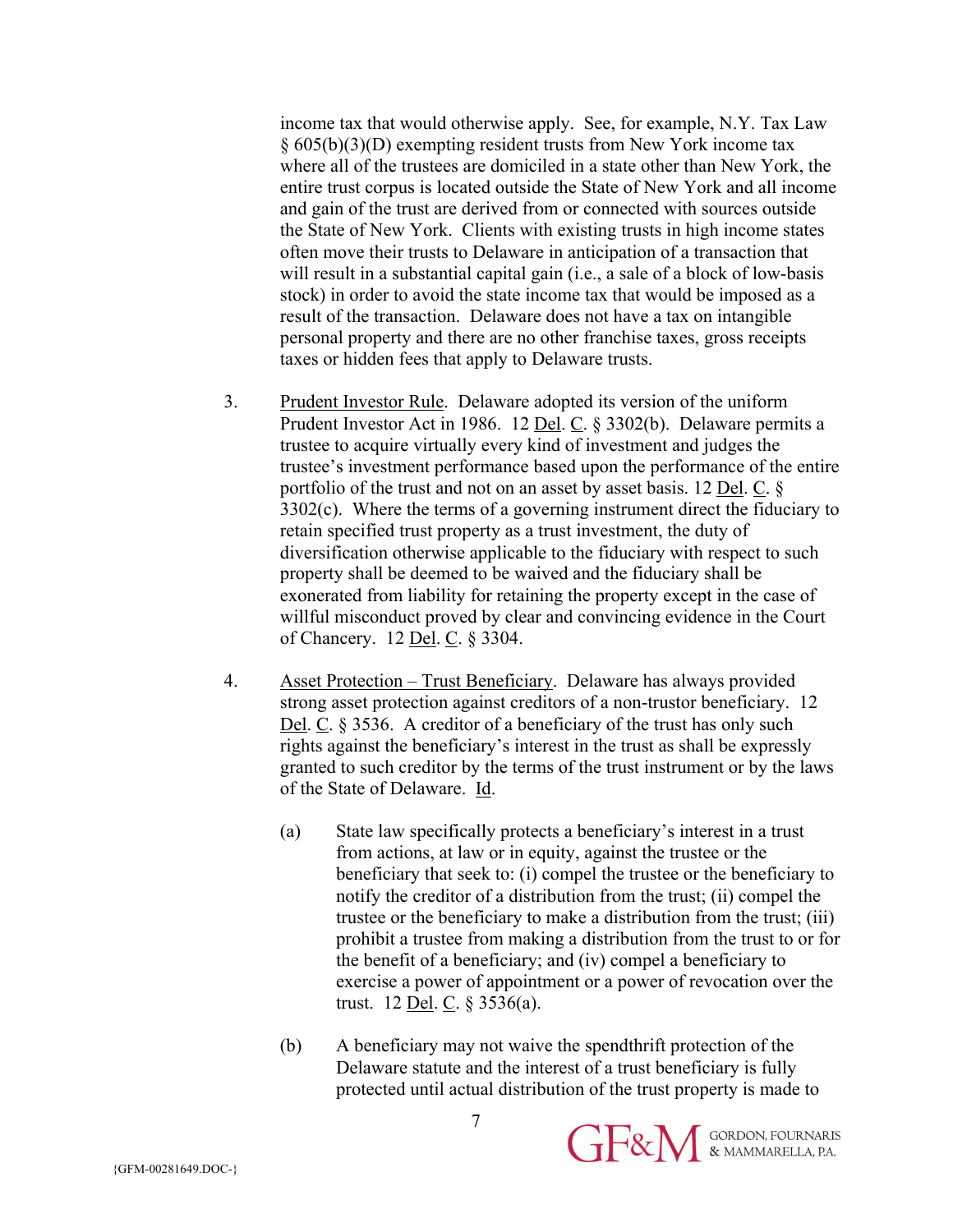income tax that would otherwise apply. See, for example, N.Y. Tax Law § 605(b)(3)(D) exempting resident trusts from New York income tax where all of the trustees are domiciled in a state other than New York, the entire trust corpus is located outside the State of New York and all income and gain of the trust are derived from or connected with sources outside the State of New York. Clients with existing trusts in high income states often move their trusts to Delaware in anticipation of a transaction that will result in a substantial capital gain (i.e., a sale of a block of low-basis stock) in order to avoid the state income tax that would be imposed as a result of the transaction. Delaware does not have a tax on intangible personal property and there are no other franchise taxes, gross receipts taxes or hidden fees that apply to Delaware trusts.

- 3. Prudent Investor Rule. Delaware adopted its version of the uniform Prudent Investor Act in 1986. 12 Del. C. § 3302(b). Delaware permits a trustee to acquire virtually every kind of investment and judges the trustee's investment performance based upon the performance of the entire portfolio of the trust and not on an asset by asset basis. 12 Del. C. § 3302(c). Where the terms of a governing instrument direct the fiduciary to retain specified trust property as a trust investment, the duty of diversification otherwise applicable to the fiduciary with respect to such property shall be deemed to be waived and the fiduciary shall be exonerated from liability for retaining the property except in the case of willful misconduct proved by clear and convincing evidence in the Court of Chancery. 12 Del. C. § 3304.
- 4. Asset Protection Trust Beneficiary. Delaware has always provided strong asset protection against creditors of a non-trustor beneficiary. 12 Del. C. § 3536. A creditor of a beneficiary of the trust has only such rights against the beneficiary's interest in the trust as shall be expressly granted to such creditor by the terms of the trust instrument or by the laws of the State of Delaware. Id.
	- (a) State law specifically protects a beneficiary's interest in a trust from actions, at law or in equity, against the trustee or the beneficiary that seek to: (i) compel the trustee or the beneficiary to notify the creditor of a distribution from the trust; (ii) compel the trustee or the beneficiary to make a distribution from the trust; (iii) prohibit a trustee from making a distribution from the trust to or for the benefit of a beneficiary; and (iv) compel a beneficiary to exercise a power of appointment or a power of revocation over the trust. 12 <u>Del</u>. C.  $\S 3536(a)$ .
	- (b) A beneficiary may not waive the spendthrift protection of the Delaware statute and the interest of a trust beneficiary is fully protected until actual distribution of the trust property is made to

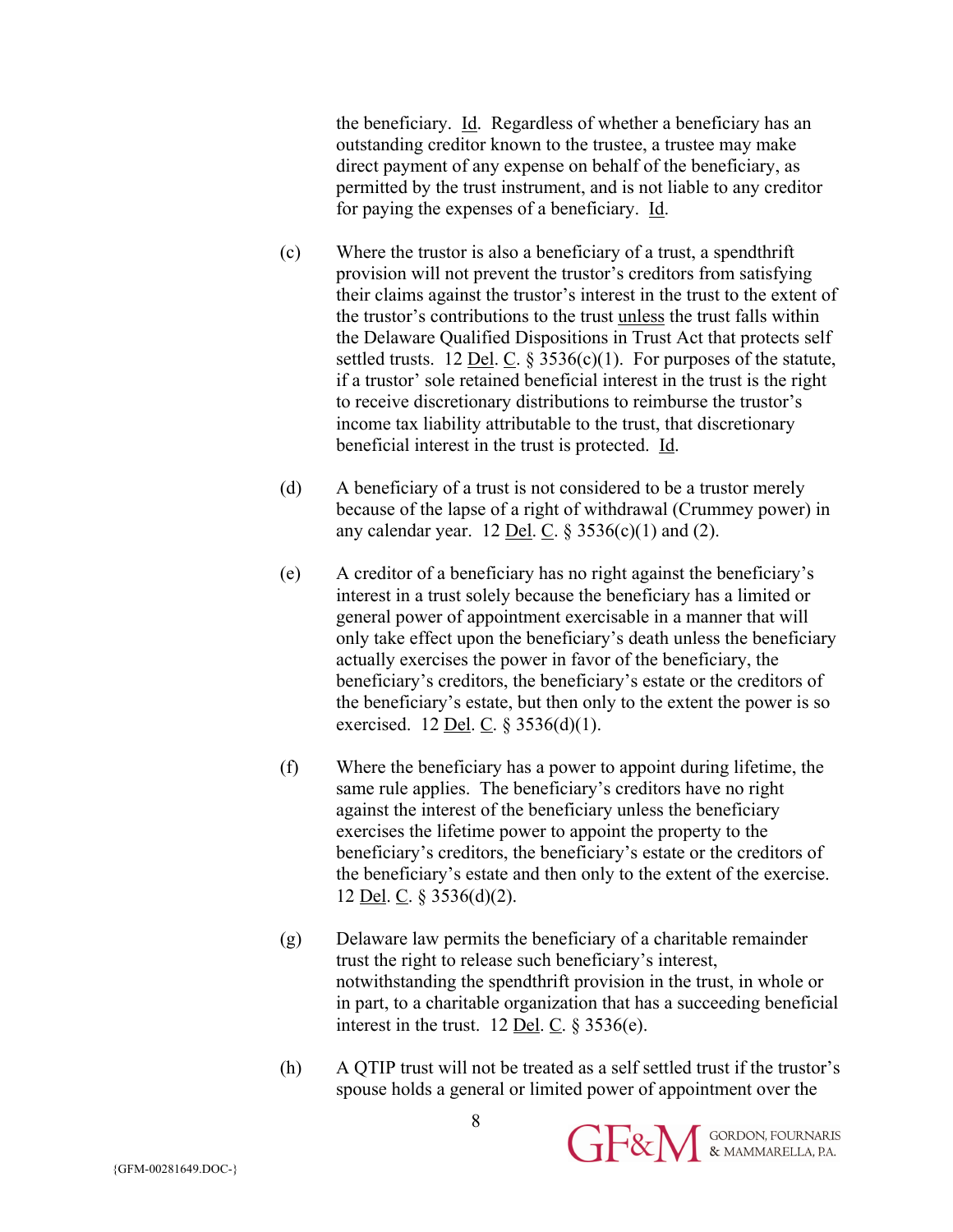the beneficiary. Id. Regardless of whether a beneficiary has an outstanding creditor known to the trustee, a trustee may make direct payment of any expense on behalf of the beneficiary, as permitted by the trust instrument, and is not liable to any creditor for paying the expenses of a beneficiary. Id.

- (c) Where the trustor is also a beneficiary of a trust, a spendthrift provision will not prevent the trustor's creditors from satisfying their claims against the trustor's interest in the trust to the extent of the trustor's contributions to the trust unless the trust falls within the Delaware Qualified Dispositions in Trust Act that protects self settled trusts. 12 <u>Del. C.</u> § 3536(c)(1). For purposes of the statute, if a trustor' sole retained beneficial interest in the trust is the right to receive discretionary distributions to reimburse the trustor's income tax liability attributable to the trust, that discretionary beneficial interest in the trust is protected. Id.
- (d) A beneficiary of a trust is not considered to be a trustor merely because of the lapse of a right of withdrawal (Crummey power) in any calendar year. 12 <u>Del</u>. C.  $\S 3536(c)(1)$  and (2).
- (e) A creditor of a beneficiary has no right against the beneficiary's interest in a trust solely because the beneficiary has a limited or general power of appointment exercisable in a manner that will only take effect upon the beneficiary's death unless the beneficiary actually exercises the power in favor of the beneficiary, the beneficiary's creditors, the beneficiary's estate or the creditors of the beneficiary's estate, but then only to the extent the power is so exercised. 12 <u>Del. C</u>.  $\S 3536(d)(1)$ .
- (f) Where the beneficiary has a power to appoint during lifetime, the same rule applies. The beneficiary's creditors have no right against the interest of the beneficiary unless the beneficiary exercises the lifetime power to appoint the property to the beneficiary's creditors, the beneficiary's estate or the creditors of the beneficiary's estate and then only to the extent of the exercise. 12 <u>Del</u>. C.  $\S 3536(d)(2)$ .
- (g) Delaware law permits the beneficiary of a charitable remainder trust the right to release such beneficiary's interest, notwithstanding the spendthrift provision in the trust, in whole or in part, to a charitable organization that has a succeeding beneficial interest in the trust. 12 Del. C.  $\S 3536(e)$ .
- (h) A QTIP trust will not be treated as a self settled trust if the trustor's spouse holds a general or limited power of appointment over the

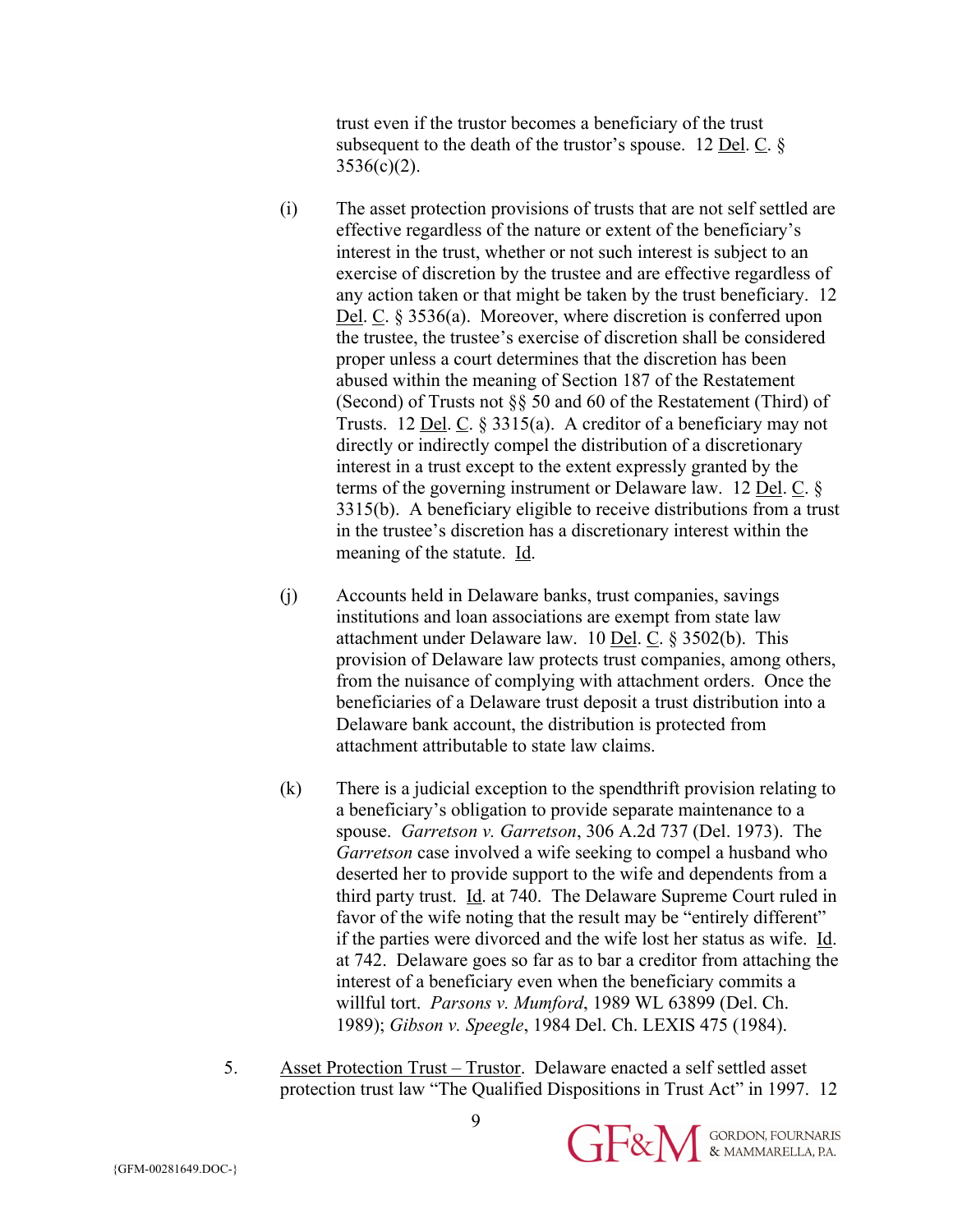trust even if the trustor becomes a beneficiary of the trust subsequent to the death of the trustor's spouse. 12 Del.  $C$ .  $\S$  $3536(c)(2)$ .

- (i) The asset protection provisions of trusts that are not self settled are effective regardless of the nature or extent of the beneficiary's interest in the trust, whether or not such interest is subject to an exercise of discretion by the trustee and are effective regardless of any action taken or that might be taken by the trust beneficiary. 12 Del. C. § 3536(a). Moreover, where discretion is conferred upon the trustee, the trustee's exercise of discretion shall be considered proper unless a court determines that the discretion has been abused within the meaning of Section 187 of the Restatement (Second) of Trusts not §§ 50 and 60 of the Restatement (Third) of Trusts. 12 <u>Del</u>. C.  $\S 3315(a)$ . A creditor of a beneficiary may not directly or indirectly compel the distribution of a discretionary interest in a trust except to the extent expressly granted by the terms of the governing instrument or Delaware law. 12 Del. C. § 3315(b). A beneficiary eligible to receive distributions from a trust in the trustee's discretion has a discretionary interest within the meaning of the statute. Id.
- (j) Accounts held in Delaware banks, trust companies, savings institutions and loan associations are exempt from state law attachment under Delaware law.  $10$  Del. C. § 3502(b). This provision of Delaware law protects trust companies, among others, from the nuisance of complying with attachment orders. Once the beneficiaries of a Delaware trust deposit a trust distribution into a Delaware bank account, the distribution is protected from attachment attributable to state law claims.
- (k) There is a judicial exception to the spendthrift provision relating to a beneficiary's obligation to provide separate maintenance to a spouse. *Garretson v. Garretson*, 306 A.2d 737 (Del. 1973). The *Garretson* case involved a wife seeking to compel a husband who deserted her to provide support to the wife and dependents from a third party trust. Id. at 740. The Delaware Supreme Court ruled in favor of the wife noting that the result may be "entirely different" if the parties were divorced and the wife lost her status as wife. Id. at 742. Delaware goes so far as to bar a creditor from attaching the interest of a beneficiary even when the beneficiary commits a willful tort. *Parsons v. Mumford*, 1989 WL 63899 (Del. Ch. 1989); *Gibson v. Speegle*, 1984 Del. Ch. LEXIS 475 (1984).
- 5. Asset Protection Trust Trustor. Delaware enacted a self settled asset protection trust law "The Qualified Dispositions in Trust Act" in 1997. 12

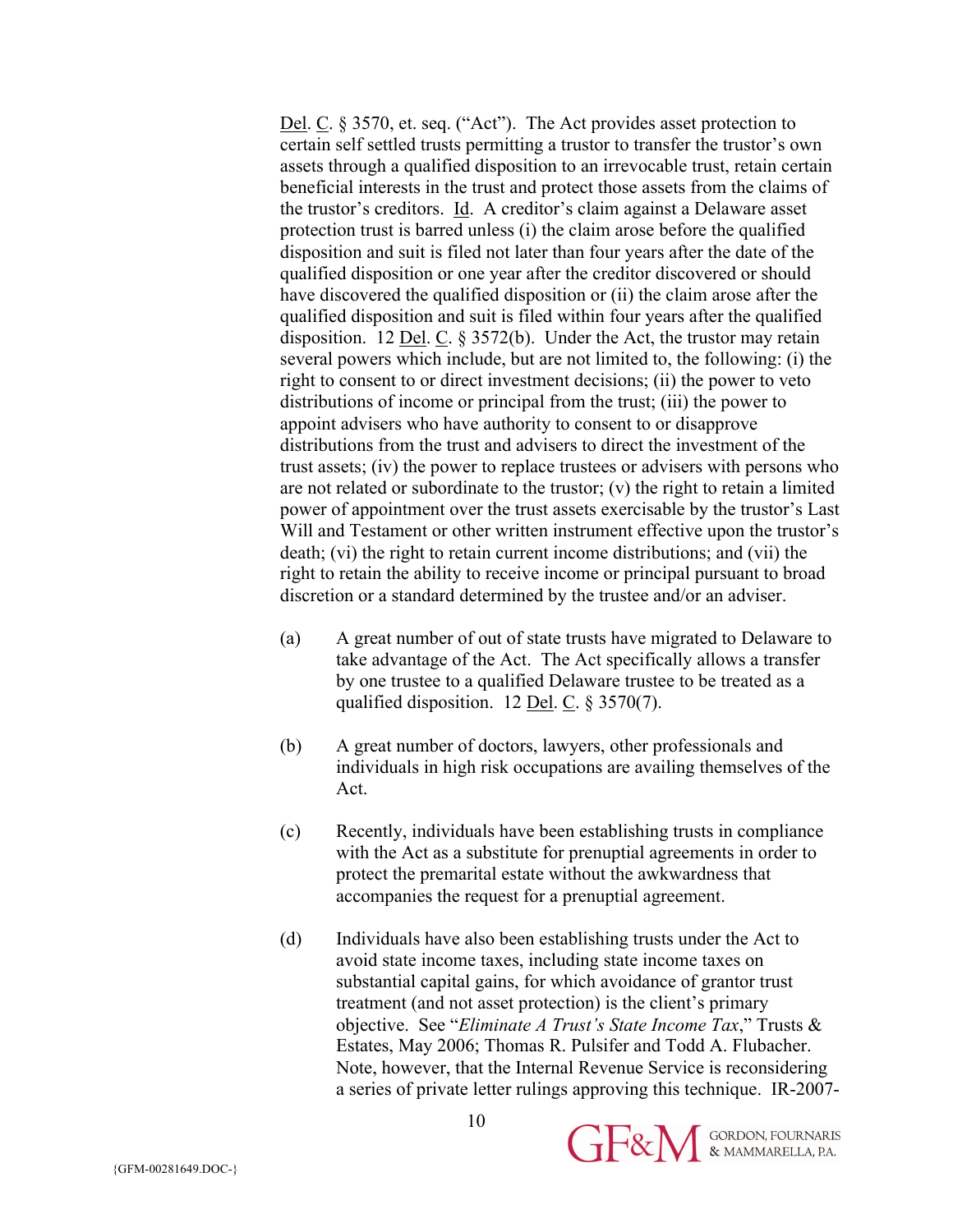Del. C. § 3570, et. seq. ("Act"). The Act provides asset protection to certain self settled trusts permitting a trustor to transfer the trustor's own assets through a qualified disposition to an irrevocable trust, retain certain beneficial interests in the trust and protect those assets from the claims of the trustor's creditors. Id. A creditor's claim against a Delaware asset protection trust is barred unless (i) the claim arose before the qualified disposition and suit is filed not later than four years after the date of the qualified disposition or one year after the creditor discovered or should have discovered the qualified disposition or (ii) the claim arose after the qualified disposition and suit is filed within four years after the qualified disposition. 12 <u>Del</u>. C.  $\S 3572(b)$ . Under the Act, the trustor may retain several powers which include, but are not limited to, the following: (i) the right to consent to or direct investment decisions; (ii) the power to veto distributions of income or principal from the trust; (iii) the power to appoint advisers who have authority to consent to or disapprove distributions from the trust and advisers to direct the investment of the trust assets; (iv) the power to replace trustees or advisers with persons who are not related or subordinate to the trustor; (v) the right to retain a limited power of appointment over the trust assets exercisable by the trustor's Last Will and Testament or other written instrument effective upon the trustor's death; (vi) the right to retain current income distributions; and (vii) the right to retain the ability to receive income or principal pursuant to broad discretion or a standard determined by the trustee and/or an adviser.

- (a) A great number of out of state trusts have migrated to Delaware to take advantage of the Act. The Act specifically allows a transfer by one trustee to a qualified Delaware trustee to be treated as a qualified disposition. 12 Del. C.  $\S 3570(7)$ .
- (b) A great number of doctors, lawyers, other professionals and individuals in high risk occupations are availing themselves of the Act.
- (c) Recently, individuals have been establishing trusts in compliance with the Act as a substitute for prenuptial agreements in order to protect the premarital estate without the awkwardness that accompanies the request for a prenuptial agreement.
- (d) Individuals have also been establishing trusts under the Act to avoid state income taxes, including state income taxes on substantial capital gains, for which avoidance of grantor trust treatment (and not asset protection) is the client's primary objective. See "*Eliminate A Trust's State Income Tax*," Trusts & Estates, May 2006; Thomas R. Pulsifer and Todd A. Flubacher. Note, however, that the Internal Revenue Service is reconsidering a series of private letter rulings approving this technique. IR-2007-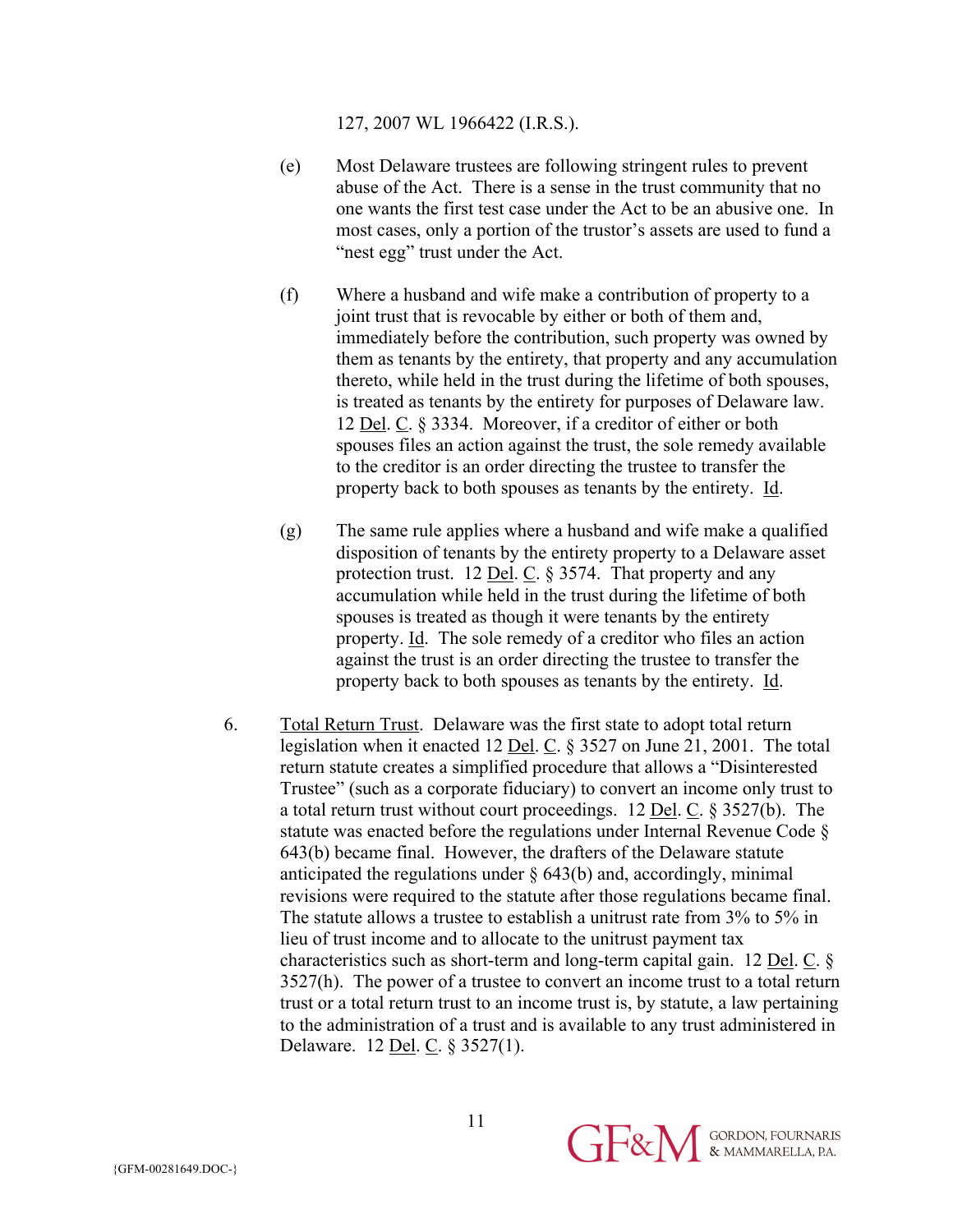127, 2007 WL 1966422 (I.R.S.).

- (e) Most Delaware trustees are following stringent rules to prevent abuse of the Act. There is a sense in the trust community that no one wants the first test case under the Act to be an abusive one. In most cases, only a portion of the trustor's assets are used to fund a "nest egg" trust under the Act.
- (f) Where a husband and wife make a contribution of property to a joint trust that is revocable by either or both of them and, immediately before the contribution, such property was owned by them as tenants by the entirety, that property and any accumulation thereto, while held in the trust during the lifetime of both spouses, is treated as tenants by the entirety for purposes of Delaware law. 12 Del. C. § 3334. Moreover, if a creditor of either or both spouses files an action against the trust, the sole remedy available to the creditor is an order directing the trustee to transfer the property back to both spouses as tenants by the entirety. Id.
- (g) The same rule applies where a husband and wife make a qualified disposition of tenants by the entirety property to a Delaware asset protection trust. 12 Del. C. § 3574. That property and any accumulation while held in the trust during the lifetime of both spouses is treated as though it were tenants by the entirety property. Id. The sole remedy of a creditor who files an action against the trust is an order directing the trustee to transfer the property back to both spouses as tenants by the entirety. Id.
- 6. Total Return Trust. Delaware was the first state to adopt total return legislation when it enacted 12 Del. C. § 3527 on June 21, 2001. The total return statute creates a simplified procedure that allows a "Disinterested Trustee" (such as a corporate fiduciary) to convert an income only trust to a total return trust without court proceedings. 12 Del. C. § 3527(b). The statute was enacted before the regulations under Internal Revenue Code § 643(b) became final. However, the drafters of the Delaware statute anticipated the regulations under § 643(b) and, accordingly, minimal revisions were required to the statute after those regulations became final. The statute allows a trustee to establish a unitrust rate from 3% to 5% in lieu of trust income and to allocate to the unitrust payment tax characteristics such as short-term and long-term capital gain. 12 Del. C. § 3527(h). The power of a trustee to convert an income trust to a total return trust or a total return trust to an income trust is, by statute, a law pertaining to the administration of a trust and is available to any trust administered in Delaware. 12 Del. C. § 3527(1).

GE&M & MAMMARELLA, P.A.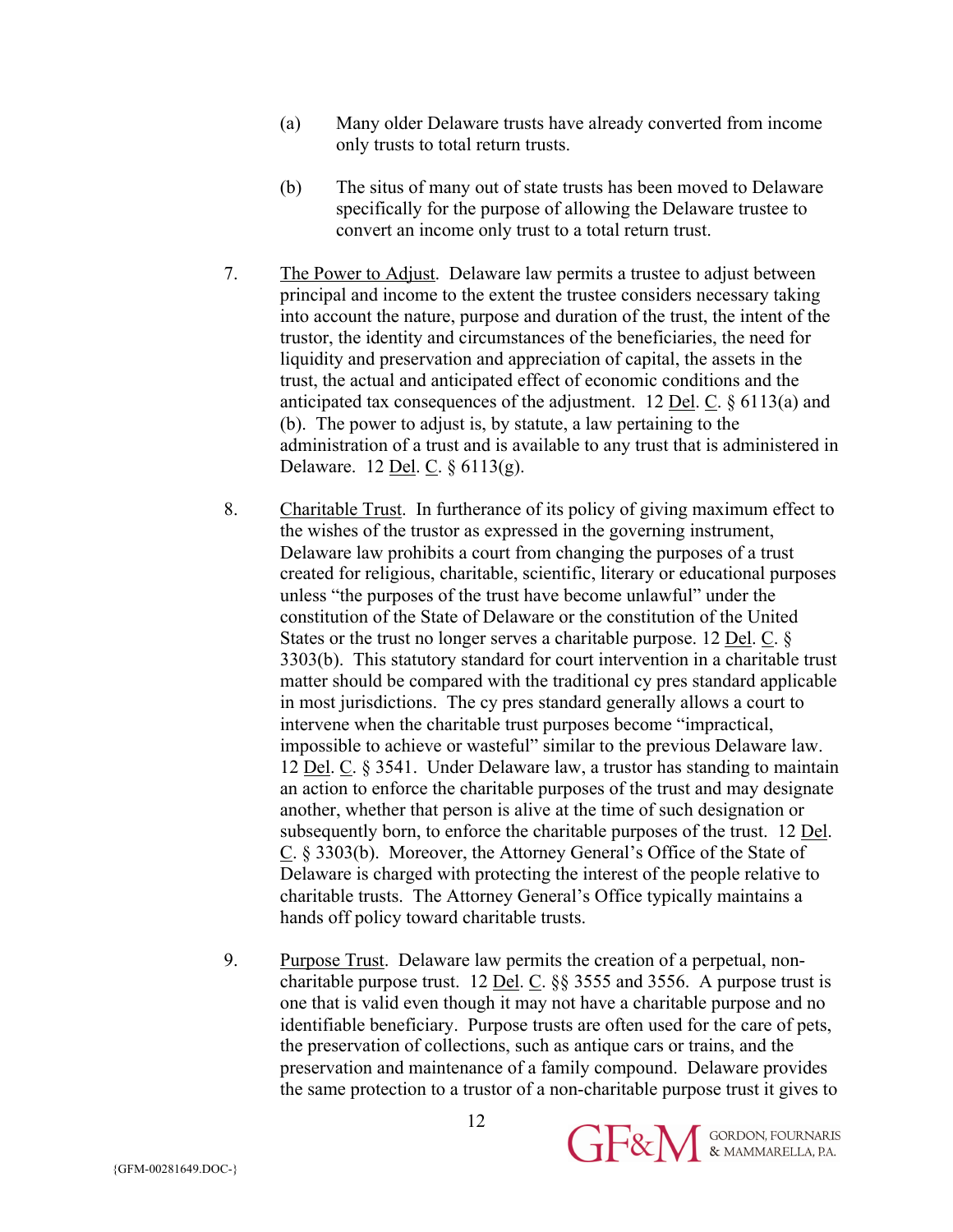- (a) Many older Delaware trusts have already converted from income only trusts to total return trusts.
- (b) The situs of many out of state trusts has been moved to Delaware specifically for the purpose of allowing the Delaware trustee to convert an income only trust to a total return trust.
- 7. The Power to Adjust. Delaware law permits a trustee to adjust between principal and income to the extent the trustee considers necessary taking into account the nature, purpose and duration of the trust, the intent of the trustor, the identity and circumstances of the beneficiaries, the need for liquidity and preservation and appreciation of capital, the assets in the trust, the actual and anticipated effect of economic conditions and the anticipated tax consequences of the adjustment. 12 <u>Del</u>. C.  $\S$  6113(a) and (b). The power to adjust is, by statute, a law pertaining to the administration of a trust and is available to any trust that is administered in Delaware. 12 Del. C. § 6113(g).
- 8. Charitable Trust. In furtherance of its policy of giving maximum effect to the wishes of the trustor as expressed in the governing instrument, Delaware law prohibits a court from changing the purposes of a trust created for religious, charitable, scientific, literary or educational purposes unless "the purposes of the trust have become unlawful" under the constitution of the State of Delaware or the constitution of the United States or the trust no longer serves a charitable purpose. 12 <u>Del. C.</u> § 3303(b). This statutory standard for court intervention in a charitable trust matter should be compared with the traditional cy pres standard applicable in most jurisdictions. The cy pres standard generally allows a court to intervene when the charitable trust purposes become "impractical, impossible to achieve or wasteful" similar to the previous Delaware law. 12 Del. C. § 3541. Under Delaware law, a trustor has standing to maintain an action to enforce the charitable purposes of the trust and may designate another, whether that person is alive at the time of such designation or subsequently born, to enforce the charitable purposes of the trust. 12 Del. C. § 3303(b). Moreover, the Attorney General's Office of the State of Delaware is charged with protecting the interest of the people relative to charitable trusts. The Attorney General's Office typically maintains a hands off policy toward charitable trusts.
- 9. Purpose Trust. Delaware law permits the creation of a perpetual, noncharitable purpose trust. 12 <u>Del</u>. C.  $\S$ § 3555 and 3556. A purpose trust is one that is valid even though it may not have a charitable purpose and no identifiable beneficiary. Purpose trusts are often used for the care of pets, the preservation of collections, such as antique cars or trains, and the preservation and maintenance of a family compound. Delaware provides the same protection to a trustor of a non-charitable purpose trust it gives to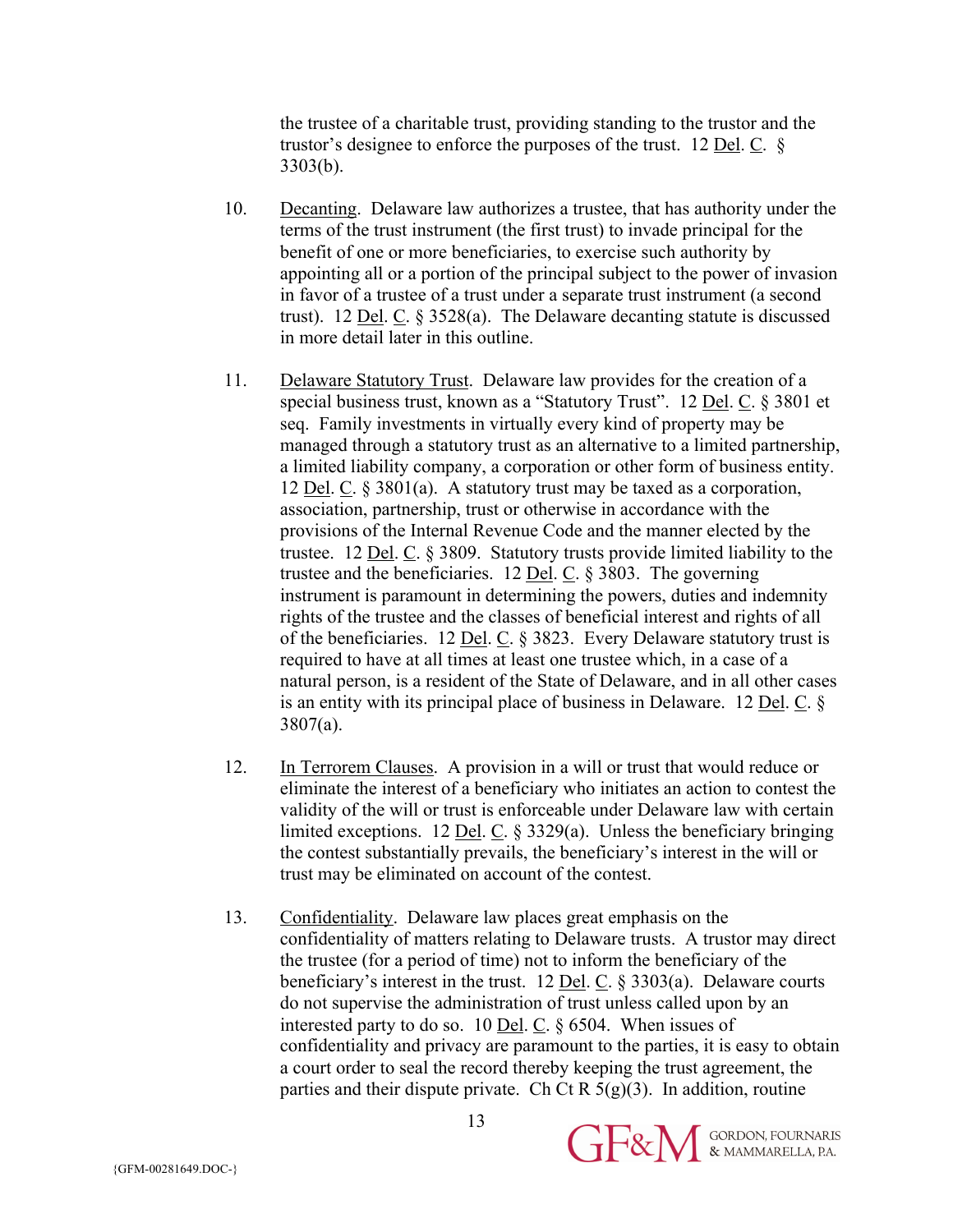the trustee of a charitable trust, providing standing to the trustor and the trustor's designee to enforce the purposes of the trust. 12 <u>Del</u>.  $\overline{C}$ .  $\overline{\S}$ 3303(b).

- 10. Decanting. Delaware law authorizes a trustee, that has authority under the terms of the trust instrument (the first trust) to invade principal for the benefit of one or more beneficiaries, to exercise such authority by appointing all or a portion of the principal subject to the power of invasion in favor of a trustee of a trust under a separate trust instrument (a second trust). 12 <u>Del. C.</u>  $\S 3528(a)$ . The Delaware decanting statute is discussed in more detail later in this outline.
- 11. Delaware Statutory Trust. Delaware law provides for the creation of a special business trust, known as a "Statutory Trust". 12 Del. C. § 3801 et seq. Family investments in virtually every kind of property may be managed through a statutory trust as an alternative to a limited partnership, a limited liability company, a corporation or other form of business entity. 12 Del. C. § 3801(a). A statutory trust may be taxed as a corporation, association, partnership, trust or otherwise in accordance with the provisions of the Internal Revenue Code and the manner elected by the trustee. 12 Del. C. § 3809. Statutory trusts provide limited liability to the trustee and the beneficiaries. 12 Del. C. § 3803. The governing instrument is paramount in determining the powers, duties and indemnity rights of the trustee and the classes of beneficial interest and rights of all of the beneficiaries. 12 <u>Del. C.</u>  $\S$  3823. Every Delaware statutory trust is required to have at all times at least one trustee which, in a case of a natural person, is a resident of the State of Delaware, and in all other cases is an entity with its principal place of business in Delaware. 12 Del. C. § 3807(a).
- 12. In Terrorem Clauses. A provision in a will or trust that would reduce or eliminate the interest of a beneficiary who initiates an action to contest the validity of the will or trust is enforceable under Delaware law with certain limited exceptions. 12 Del. C. § 3329(a). Unless the beneficiary bringing the contest substantially prevails, the beneficiary's interest in the will or trust may be eliminated on account of the contest.
- 13. Confidentiality. Delaware law places great emphasis on the confidentiality of matters relating to Delaware trusts. A trustor may direct the trustee (for a period of time) not to inform the beneficiary of the beneficiary's interest in the trust. 12 <u>Del</u>.  $C$ . § 3303(a). Delaware courts do not supervise the administration of trust unless called upon by an interested party to do so. 10 Del. C. § 6504. When issues of confidentiality and privacy are paramount to the parties, it is easy to obtain a court order to seal the record thereby keeping the trust agreement, the parties and their dispute private. Ch Ct R  $5(g)(3)$ . In addition, routine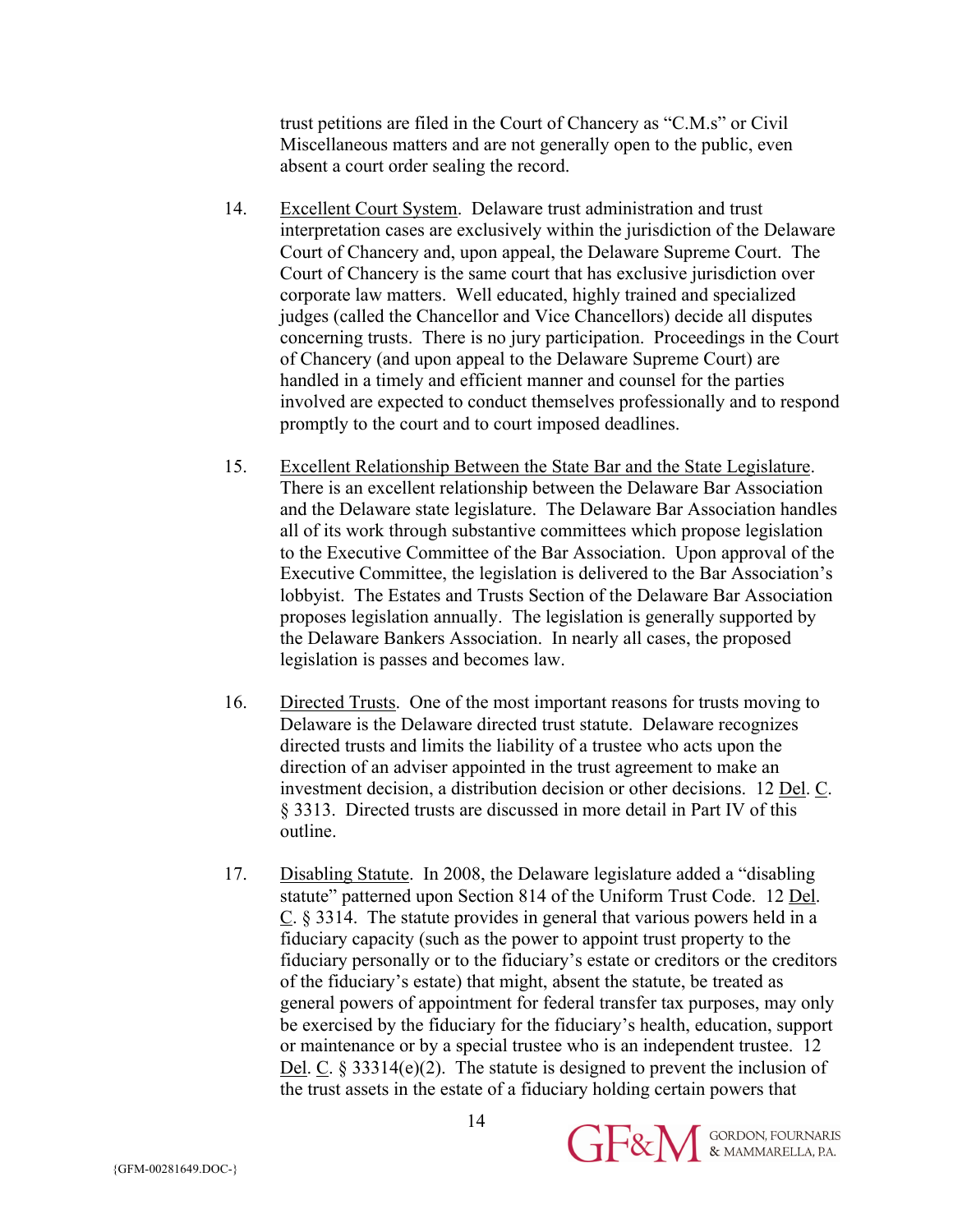trust petitions are filed in the Court of Chancery as "C.M.s" or Civil Miscellaneous matters and are not generally open to the public, even absent a court order sealing the record.

- 14. Excellent Court System. Delaware trust administration and trust interpretation cases are exclusively within the jurisdiction of the Delaware Court of Chancery and, upon appeal, the Delaware Supreme Court. The Court of Chancery is the same court that has exclusive jurisdiction over corporate law matters. Well educated, highly trained and specialized judges (called the Chancellor and Vice Chancellors) decide all disputes concerning trusts. There is no jury participation. Proceedings in the Court of Chancery (and upon appeal to the Delaware Supreme Court) are handled in a timely and efficient manner and counsel for the parties involved are expected to conduct themselves professionally and to respond promptly to the court and to court imposed deadlines.
- 15. Excellent Relationship Between the State Bar and the State Legislature. There is an excellent relationship between the Delaware Bar Association and the Delaware state legislature. The Delaware Bar Association handles all of its work through substantive committees which propose legislation to the Executive Committee of the Bar Association. Upon approval of the Executive Committee, the legislation is delivered to the Bar Association's lobbyist. The Estates and Trusts Section of the Delaware Bar Association proposes legislation annually. The legislation is generally supported by the Delaware Bankers Association. In nearly all cases, the proposed legislation is passes and becomes law.
- 16. Directed Trusts. One of the most important reasons for trusts moving to Delaware is the Delaware directed trust statute. Delaware recognizes directed trusts and limits the liability of a trustee who acts upon the direction of an adviser appointed in the trust agreement to make an investment decision, a distribution decision or other decisions. 12 Del. C. § 3313. Directed trusts are discussed in more detail in Part IV of this outline.
- 17. Disabling Statute. In 2008, the Delaware legislature added a "disabling statute" patterned upon Section 814 of the Uniform Trust Code. 12 Del. C. § 3314. The statute provides in general that various powers held in a fiduciary capacity (such as the power to appoint trust property to the fiduciary personally or to the fiduciary's estate or creditors or the creditors of the fiduciary's estate) that might, absent the statute, be treated as general powers of appointment for federal transfer tax purposes, may only be exercised by the fiduciary for the fiduciary's health, education, support or maintenance or by a special trustee who is an independent trustee. 12 Del. C.  $\&$  33314(e)(2). The statute is designed to prevent the inclusion of the trust assets in the estate of a fiduciary holding certain powers that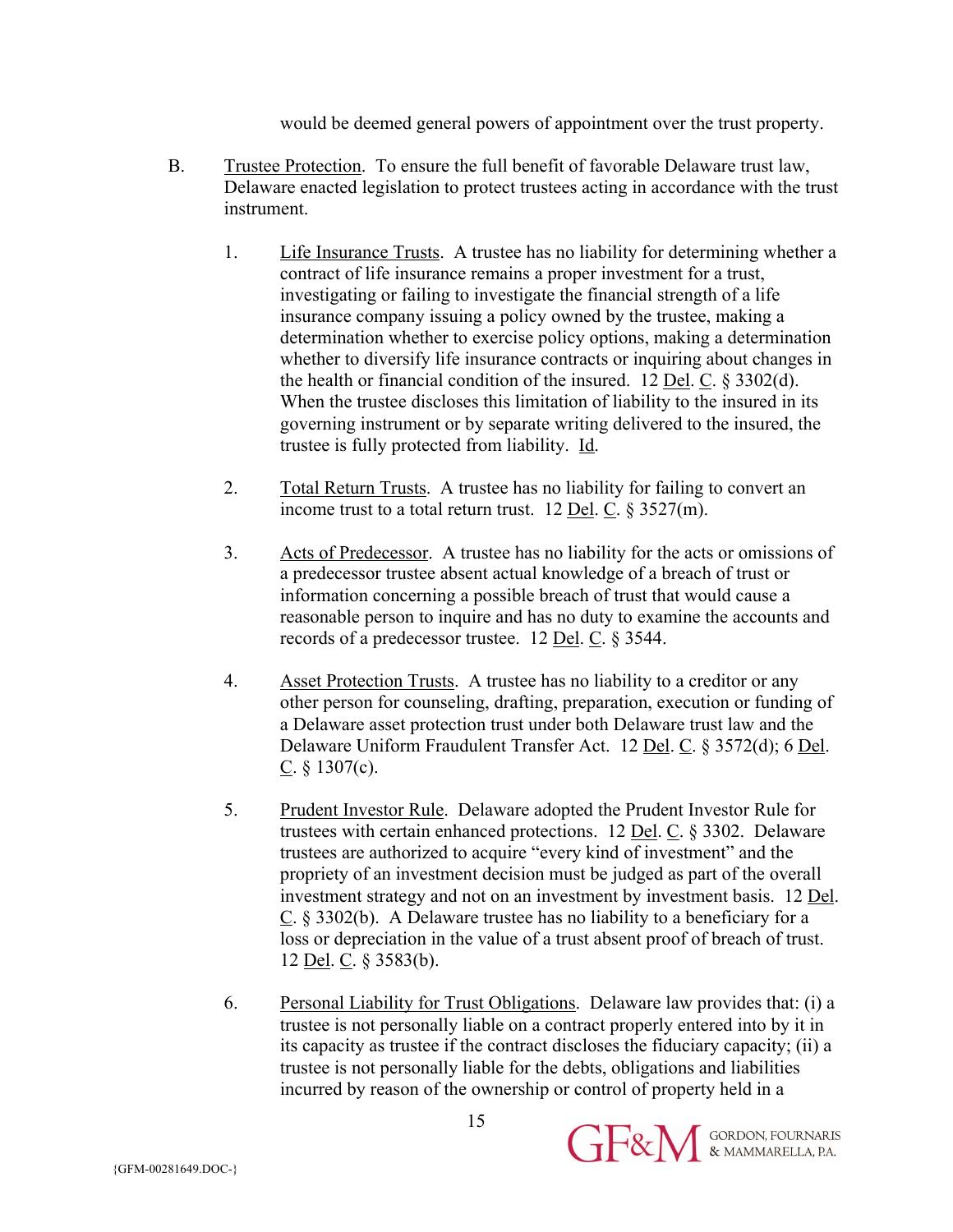would be deemed general powers of appointment over the trust property.

- B. Trustee Protection. To ensure the full benefit of favorable Delaware trust law, Delaware enacted legislation to protect trustees acting in accordance with the trust instrument.
	- 1. Life Insurance Trusts. A trustee has no liability for determining whether a contract of life insurance remains a proper investment for a trust, investigating or failing to investigate the financial strength of a life insurance company issuing a policy owned by the trustee, making a determination whether to exercise policy options, making a determination whether to diversify life insurance contracts or inquiring about changes in the health or financial condition of the insured. 12 Del. C. § 3302(d). When the trustee discloses this limitation of liability to the insured in its governing instrument or by separate writing delivered to the insured, the trustee is fully protected from liability. Id.
	- 2. Total Return Trusts. A trustee has no liability for failing to convert an income trust to a total return trust. 12 <u>Del</u>. C.  $\S 3527(m)$ .
	- 3. Acts of Predecessor. A trustee has no liability for the acts or omissions of a predecessor trustee absent actual knowledge of a breach of trust or information concerning a possible breach of trust that would cause a reasonable person to inquire and has no duty to examine the accounts and records of a predecessor trustee. 12 Del. C. § 3544.
	- 4. Asset Protection Trusts. A trustee has no liability to a creditor or any other person for counseling, drafting, preparation, execution or funding of a Delaware asset protection trust under both Delaware trust law and the Delaware Uniform Fraudulent Transfer Act. 12 Del. C. § 3572(d); 6 Del. C.  $§$  1307(c).
	- 5. Prudent Investor Rule. Delaware adopted the Prudent Investor Rule for trustees with certain enhanced protections. 12 Del. C. § 3302. Delaware trustees are authorized to acquire "every kind of investment" and the propriety of an investment decision must be judged as part of the overall investment strategy and not on an investment by investment basis. 12 Del. C. § 3302(b). A Delaware trustee has no liability to a beneficiary for a loss or depreciation in the value of a trust absent proof of breach of trust. 12 Del. C. § 3583(b).
	- 6. Personal Liability for Trust Obligations. Delaware law provides that: (i) a trustee is not personally liable on a contract properly entered into by it in its capacity as trustee if the contract discloses the fiduciary capacity; (ii) a trustee is not personally liable for the debts, obligations and liabilities incurred by reason of the ownership or control of property held in a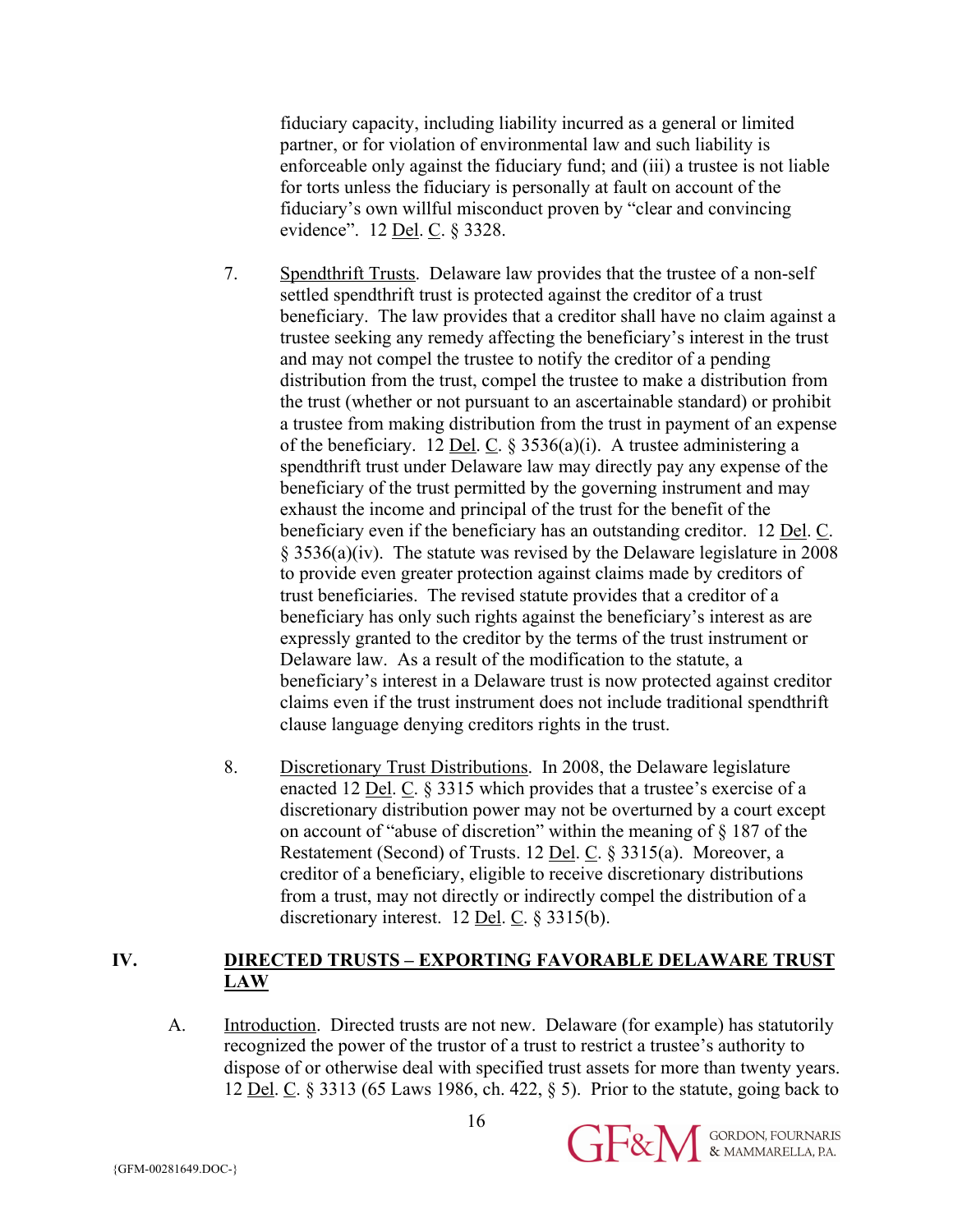fiduciary capacity, including liability incurred as a general or limited partner, or for violation of environmental law and such liability is enforceable only against the fiduciary fund; and (iii) a trustee is not liable for torts unless the fiduciary is personally at fault on account of the fiduciary's own willful misconduct proven by "clear and convincing evidence". 12 <u>Del</u>. C. § 3328.

- 7. Spendthrift Trusts. Delaware law provides that the trustee of a non-self settled spendthrift trust is protected against the creditor of a trust beneficiary. The law provides that a creditor shall have no claim against a trustee seeking any remedy affecting the beneficiary's interest in the trust and may not compel the trustee to notify the creditor of a pending distribution from the trust, compel the trustee to make a distribution from the trust (whether or not pursuant to an ascertainable standard) or prohibit a trustee from making distribution from the trust in payment of an expense of the beneficiary. 12 Del. C.  $\S$  3536(a)(i). A trustee administering a spendthrift trust under Delaware law may directly pay any expense of the beneficiary of the trust permitted by the governing instrument and may exhaust the income and principal of the trust for the benefit of the beneficiary even if the beneficiary has an outstanding creditor. 12 Del. C. § 3536(a)(iv). The statute was revised by the Delaware legislature in 2008 to provide even greater protection against claims made by creditors of trust beneficiaries. The revised statute provides that a creditor of a beneficiary has only such rights against the beneficiary's interest as are expressly granted to the creditor by the terms of the trust instrument or Delaware law. As a result of the modification to the statute, a beneficiary's interest in a Delaware trust is now protected against creditor claims even if the trust instrument does not include traditional spendthrift clause language denying creditors rights in the trust.
- 8. Discretionary Trust Distributions. In 2008, the Delaware legislature enacted 12 <u>Del</u>.  $C$ . § 3315 which provides that a trustee's exercise of a discretionary distribution power may not be overturned by a court except on account of "abuse of discretion" within the meaning of § 187 of the Restatement (Second) of Trusts. 12 Del. C. § 3315(a). Moreover, a creditor of a beneficiary, eligible to receive discretionary distributions from a trust, may not directly or indirectly compel the distribution of a discretionary interest. 12 Del. C. § 3315(b).

## **IV. DIRECTED TRUSTS – EXPORTING FAVORABLE DELAWARE TRUST LAW**

A. Introduction. Directed trusts are not new. Delaware (for example) has statutorily recognized the power of the trustor of a trust to restrict a trustee's authority to dispose of or otherwise deal with specified trust assets for more than twenty years. 12 Del. C. § 3313 (65 Laws 1986, ch. 422, § 5). Prior to the statute, going back to

**GE&M** SORDON, FOURNARIS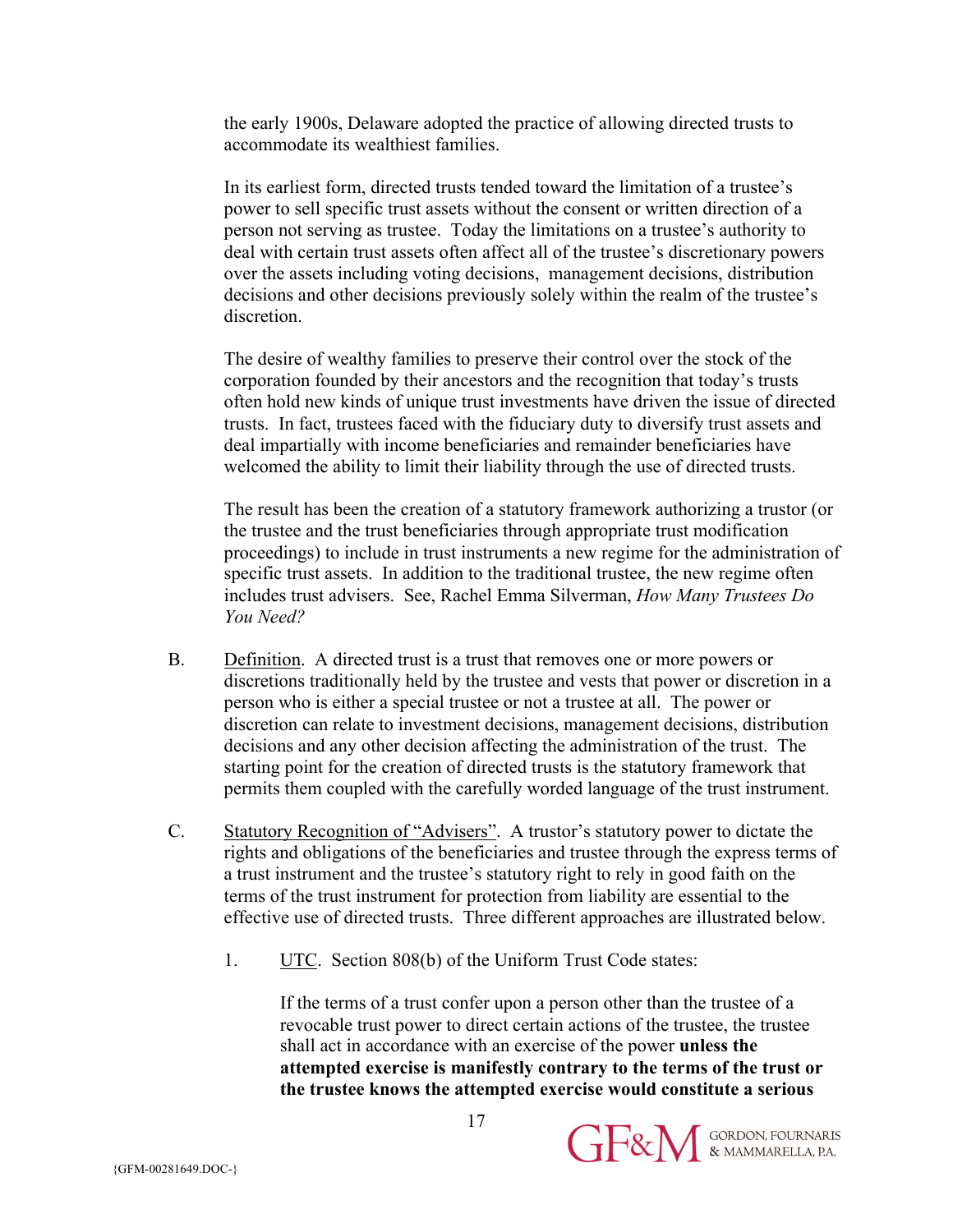the early 1900s, Delaware adopted the practice of allowing directed trusts to accommodate its wealthiest families.

In its earliest form, directed trusts tended toward the limitation of a trustee's power to sell specific trust assets without the consent or written direction of a person not serving as trustee. Today the limitations on a trustee's authority to deal with certain trust assets often affect all of the trustee's discretionary powers over the assets including voting decisions, management decisions, distribution decisions and other decisions previously solely within the realm of the trustee's discretion.

The desire of wealthy families to preserve their control over the stock of the corporation founded by their ancestors and the recognition that today's trusts often hold new kinds of unique trust investments have driven the issue of directed trusts. In fact, trustees faced with the fiduciary duty to diversify trust assets and deal impartially with income beneficiaries and remainder beneficiaries have welcomed the ability to limit their liability through the use of directed trusts.

The result has been the creation of a statutory framework authorizing a trustor (or the trustee and the trust beneficiaries through appropriate trust modification proceedings) to include in trust instruments a new regime for the administration of specific trust assets. In addition to the traditional trustee, the new regime often includes trust advisers. See, Rachel Emma Silverman, *How Many Trustees Do You Need?*

- B. Definition. A directed trust is a trust that removes one or more powers or discretions traditionally held by the trustee and vests that power or discretion in a person who is either a special trustee or not a trustee at all. The power or discretion can relate to investment decisions, management decisions, distribution decisions and any other decision affecting the administration of the trust. The starting point for the creation of directed trusts is the statutory framework that permits them coupled with the carefully worded language of the trust instrument.
- C. Statutory Recognition of "Advisers". A trustor's statutory power to dictate the rights and obligations of the beneficiaries and trustee through the express terms of a trust instrument and the trustee's statutory right to rely in good faith on the terms of the trust instrument for protection from liability are essential to the effective use of directed trusts. Three different approaches are illustrated below.
	- 1. UTC. Section 808(b) of the Uniform Trust Code states:

If the terms of a trust confer upon a person other than the trustee of a revocable trust power to direct certain actions of the trustee, the trustee shall act in accordance with an exercise of the power **unless the attempted exercise is manifestly contrary to the terms of the trust or the trustee knows the attempted exercise would constitute a serious** 

17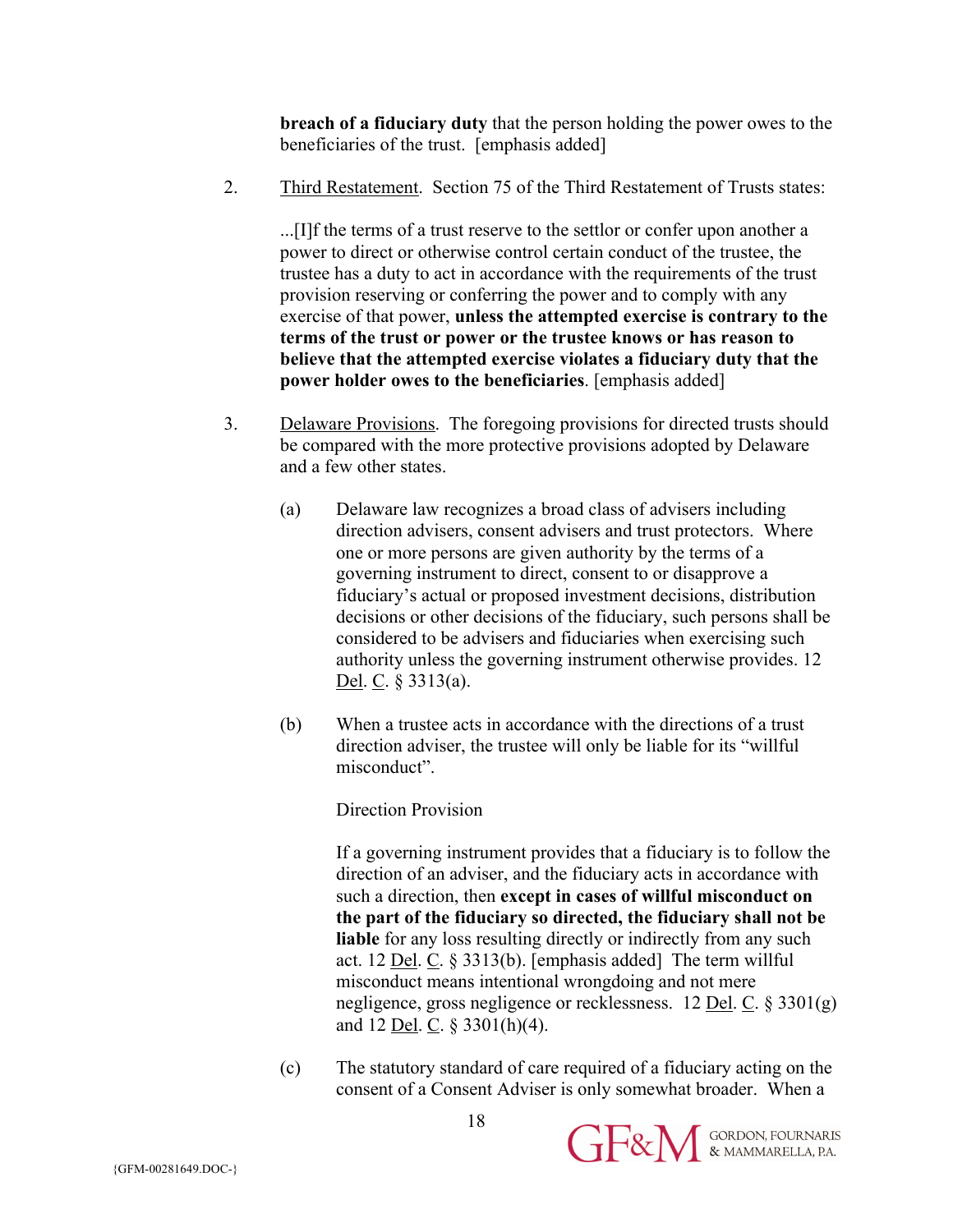**breach of a fiduciary duty** that the person holding the power owes to the beneficiaries of the trust. [emphasis added]

2. Third Restatement. Section 75 of the Third Restatement of Trusts states:

...[I]f the terms of a trust reserve to the settlor or confer upon another a power to direct or otherwise control certain conduct of the trustee, the trustee has a duty to act in accordance with the requirements of the trust provision reserving or conferring the power and to comply with any exercise of that power, **unless the attempted exercise is contrary to the terms of the trust or power or the trustee knows or has reason to believe that the attempted exercise violates a fiduciary duty that the power holder owes to the beneficiaries**. [emphasis added]

- 3. Delaware Provisions. The foregoing provisions for directed trusts should be compared with the more protective provisions adopted by Delaware and a few other states.
	- (a) Delaware law recognizes a broad class of advisers including direction advisers, consent advisers and trust protectors. Where one or more persons are given authority by the terms of a governing instrument to direct, consent to or disapprove a fiduciary's actual or proposed investment decisions, distribution decisions or other decisions of the fiduciary, such persons shall be considered to be advisers and fiduciaries when exercising such authority unless the governing instrument otherwise provides. 12 Del. C. § 3313(a).
	- (b) When a trustee acts in accordance with the directions of a trust direction adviser, the trustee will only be liable for its "willful misconduct".

Direction Provision

If a governing instrument provides that a fiduciary is to follow the direction of an adviser, and the fiduciary acts in accordance with such a direction, then **except in cases of willful misconduct on the part of the fiduciary so directed, the fiduciary shall not be liable** for any loss resulting directly or indirectly from any such act. 12 Del. C. § 3313(b). [emphasis added] The term willful misconduct means intentional wrongdoing and not mere negligence, gross negligence or recklessness. 12 Del. C. § 3301(g) and 12 Del. C. § 3301(h)(4).

(c) The statutory standard of care required of a fiduciary acting on the consent of a Consent Adviser is only somewhat broader. When a

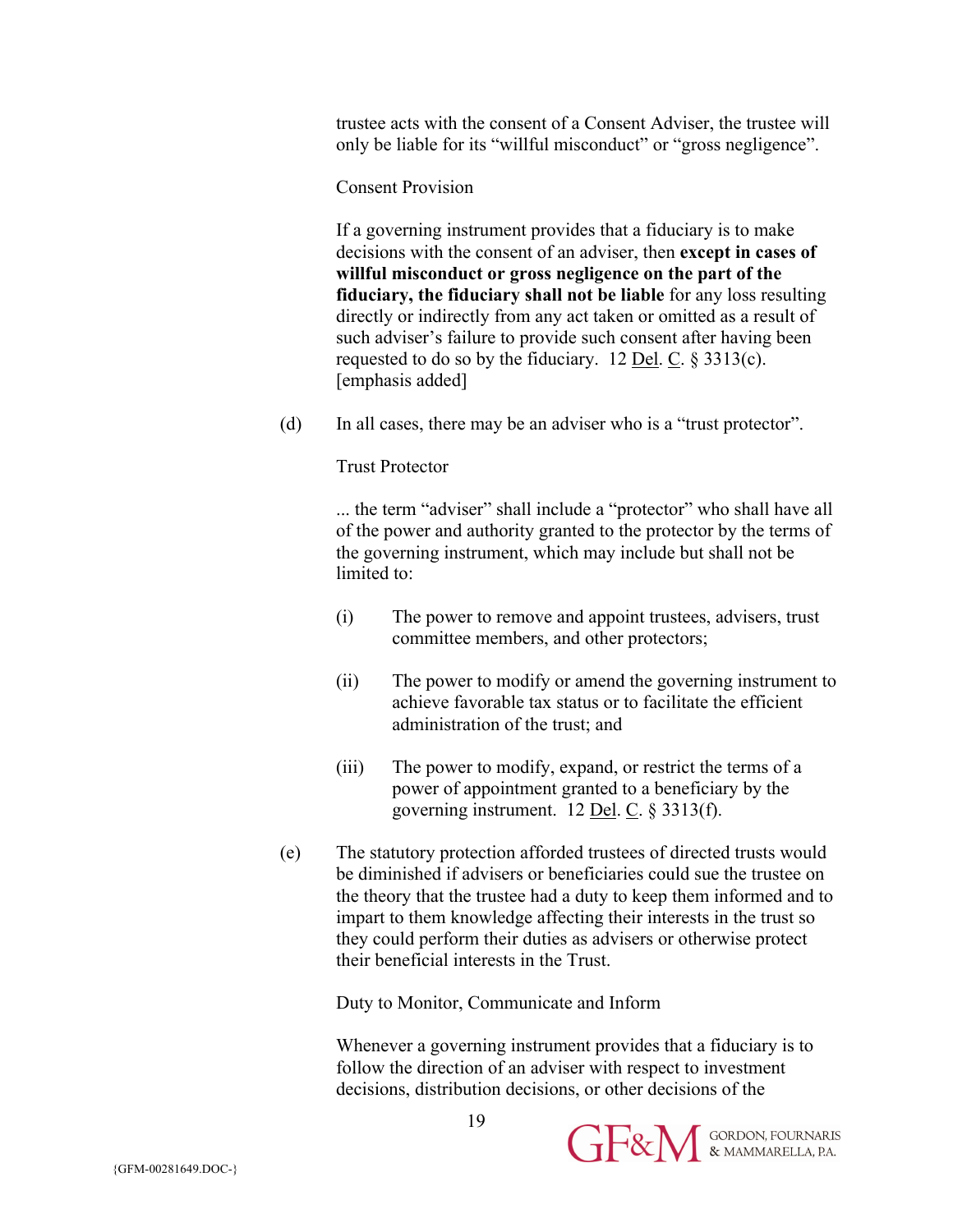trustee acts with the consent of a Consent Adviser, the trustee will only be liable for its "willful misconduct" or "gross negligence".

Consent Provision

If a governing instrument provides that a fiduciary is to make decisions with the consent of an adviser, then **except in cases of willful misconduct or gross negligence on the part of the fiduciary, the fiduciary shall not be liable** for any loss resulting directly or indirectly from any act taken or omitted as a result of such adviser's failure to provide such consent after having been requested to do so by the fiduciary. 12 <u>Del</u>. C.  $\S 3313(c)$ . [emphasis added]

(d) In all cases, there may be an adviser who is a "trust protector".

Trust Protector

... the term "adviser" shall include a "protector" who shall have all of the power and authority granted to the protector by the terms of the governing instrument, which may include but shall not be limited to:

- (i) The power to remove and appoint trustees, advisers, trust committee members, and other protectors;
- (ii) The power to modify or amend the governing instrument to achieve favorable tax status or to facilitate the efficient administration of the trust; and
- (iii) The power to modify, expand, or restrict the terms of a power of appointment granted to a beneficiary by the governing instrument.  $12$  <u>Del</u>. C. § 3313(f).
- (e) The statutory protection afforded trustees of directed trusts would be diminished if advisers or beneficiaries could sue the trustee on the theory that the trustee had a duty to keep them informed and to impart to them knowledge affecting their interests in the trust so they could perform their duties as advisers or otherwise protect their beneficial interests in the Trust.

Duty to Monitor, Communicate and Inform

Whenever a governing instrument provides that a fiduciary is to follow the direction of an adviser with respect to investment decisions, distribution decisions, or other decisions of the

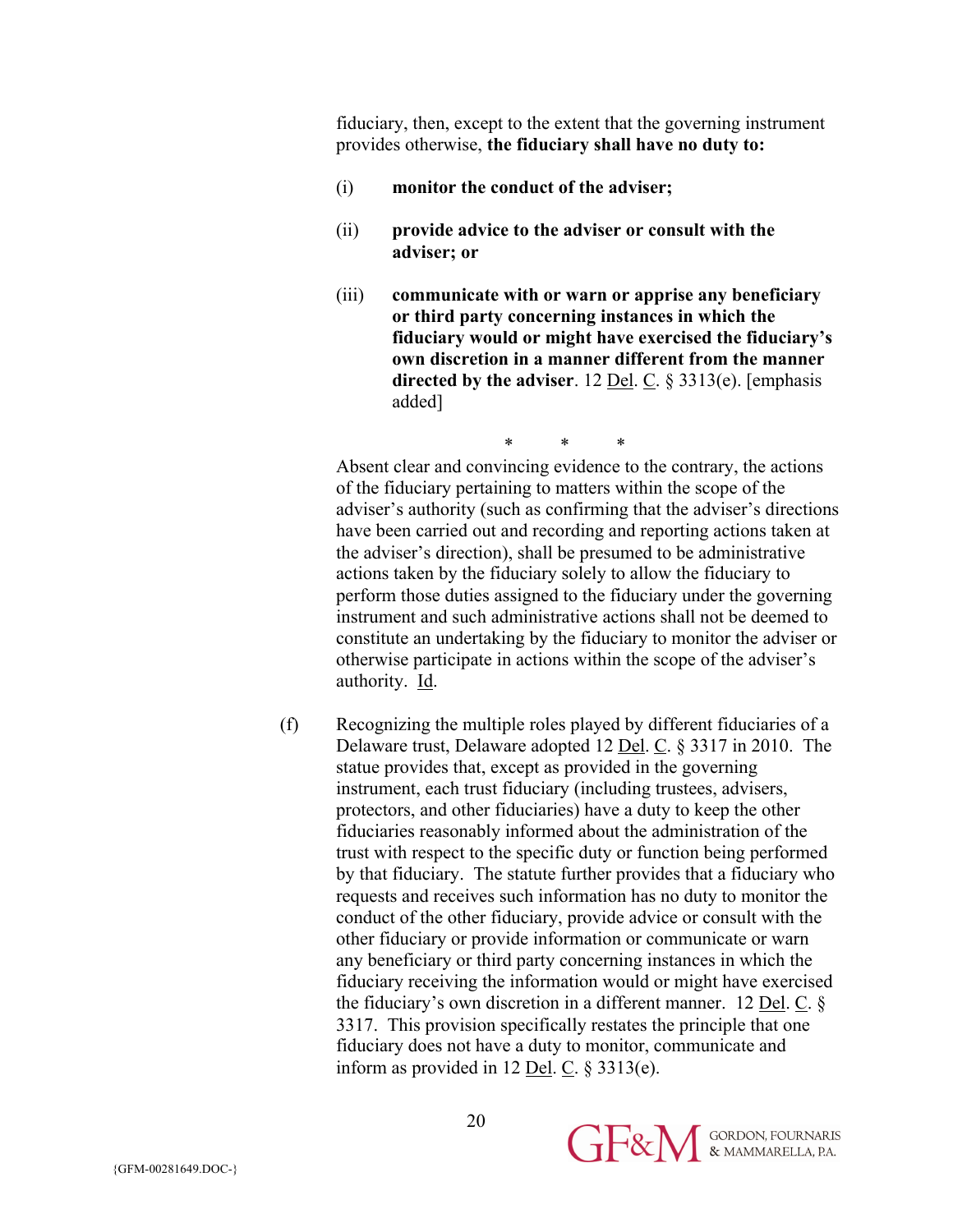fiduciary, then, except to the extent that the governing instrument provides otherwise, **the fiduciary shall have no duty to:**

- (i) **monitor the conduct of the adviser;**
- (ii) **provide advice to the adviser or consult with the adviser; or**
- (iii) **communicate with or warn or apprise any beneficiary or third party concerning instances in which the fiduciary would or might have exercised the fiduciary's own discretion in a manner different from the manner directed by the adviser**. 12 Del. C. § 3313(e). [emphasis added]

\* \* \* Absent clear and convincing evidence to the contrary, the actions of the fiduciary pertaining to matters within the scope of the adviser's authority (such as confirming that the adviser's directions have been carried out and recording and reporting actions taken at the adviser's direction), shall be presumed to be administrative actions taken by the fiduciary solely to allow the fiduciary to perform those duties assigned to the fiduciary under the governing instrument and such administrative actions shall not be deemed to constitute an undertaking by the fiduciary to monitor the adviser or otherwise participate in actions within the scope of the adviser's authority. Id.

(f) Recognizing the multiple roles played by different fiduciaries of a Delaware trust, Delaware adopted 12 Del. C. § 3317 in 2010. The statue provides that, except as provided in the governing instrument, each trust fiduciary (including trustees, advisers, protectors, and other fiduciaries) have a duty to keep the other fiduciaries reasonably informed about the administration of the trust with respect to the specific duty or function being performed by that fiduciary. The statute further provides that a fiduciary who requests and receives such information has no duty to monitor the conduct of the other fiduciary, provide advice or consult with the other fiduciary or provide information or communicate or warn any beneficiary or third party concerning instances in which the fiduciary receiving the information would or might have exercised the fiduciary's own discretion in a different manner. 12 Del. C. § 3317. This provision specifically restates the principle that one fiduciary does not have a duty to monitor, communicate and inform as provided in 12 <u>Del</u>.  $C$ . § 3313(e).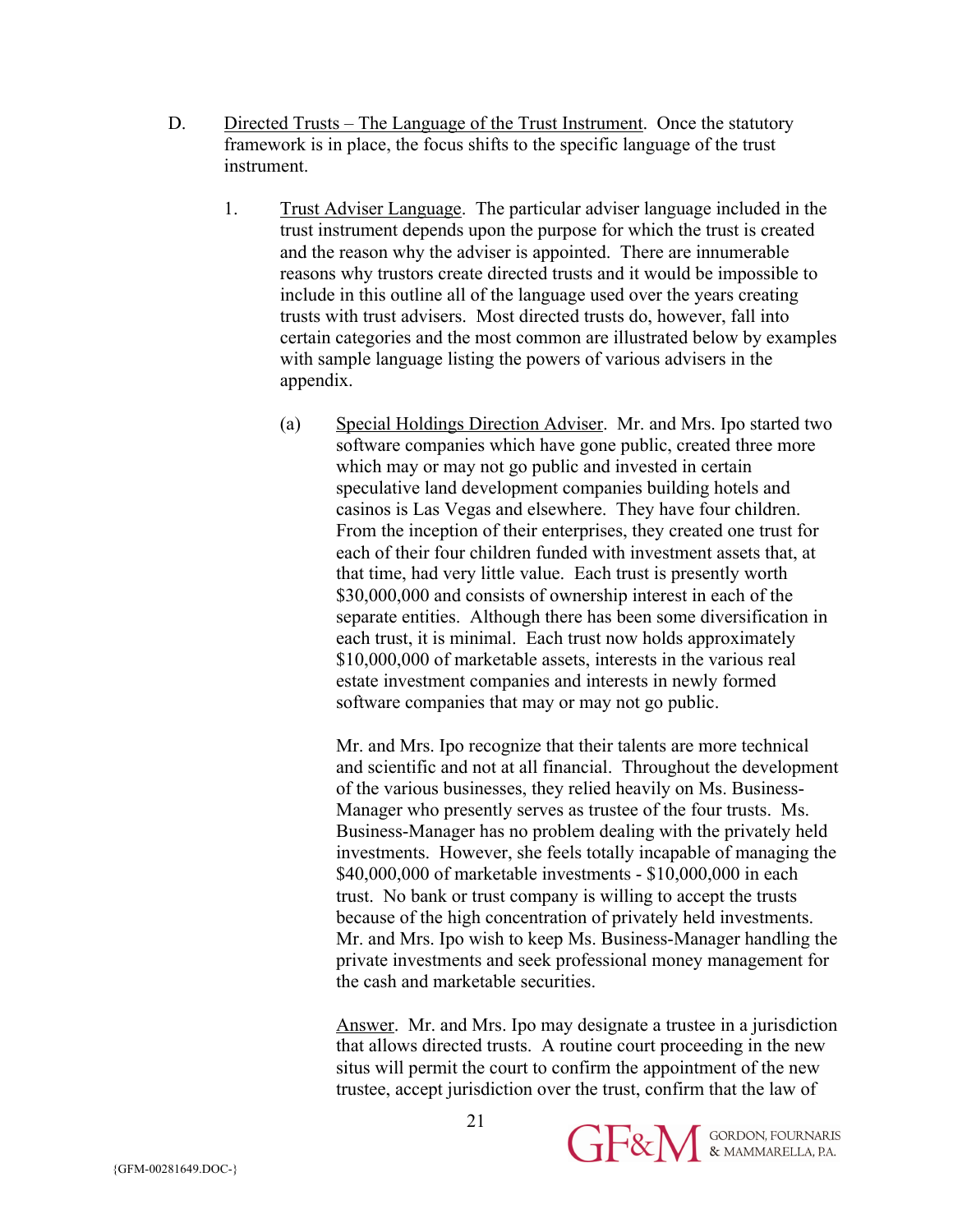- D. Directed Trusts The Language of the Trust Instrument. Once the statutory framework is in place, the focus shifts to the specific language of the trust instrument.
	- 1. Trust Adviser Language. The particular adviser language included in the trust instrument depends upon the purpose for which the trust is created and the reason why the adviser is appointed. There are innumerable reasons why trustors create directed trusts and it would be impossible to include in this outline all of the language used over the years creating trusts with trust advisers. Most directed trusts do, however, fall into certain categories and the most common are illustrated below by examples with sample language listing the powers of various advisers in the appendix.
		- (a) Special Holdings Direction Adviser. Mr. and Mrs. Ipo started two software companies which have gone public, created three more which may or may not go public and invested in certain speculative land development companies building hotels and casinos is Las Vegas and elsewhere. They have four children. From the inception of their enterprises, they created one trust for each of their four children funded with investment assets that, at that time, had very little value. Each trust is presently worth \$30,000,000 and consists of ownership interest in each of the separate entities. Although there has been some diversification in each trust, it is minimal. Each trust now holds approximately \$10,000,000 of marketable assets, interests in the various real estate investment companies and interests in newly formed software companies that may or may not go public.

Mr. and Mrs. Ipo recognize that their talents are more technical and scientific and not at all financial. Throughout the development of the various businesses, they relied heavily on Ms. Business-Manager who presently serves as trustee of the four trusts. Ms. Business-Manager has no problem dealing with the privately held investments. However, she feels totally incapable of managing the \$40,000,000 of marketable investments - \$10,000,000 in each trust. No bank or trust company is willing to accept the trusts because of the high concentration of privately held investments. Mr. and Mrs. Ipo wish to keep Ms. Business-Manager handling the private investments and seek professional money management for the cash and marketable securities.

Answer. Mr. and Mrs. Ipo may designate a trustee in a jurisdiction that allows directed trusts. A routine court proceeding in the new situs will permit the court to confirm the appointment of the new trustee, accept jurisdiction over the trust, confirm that the law of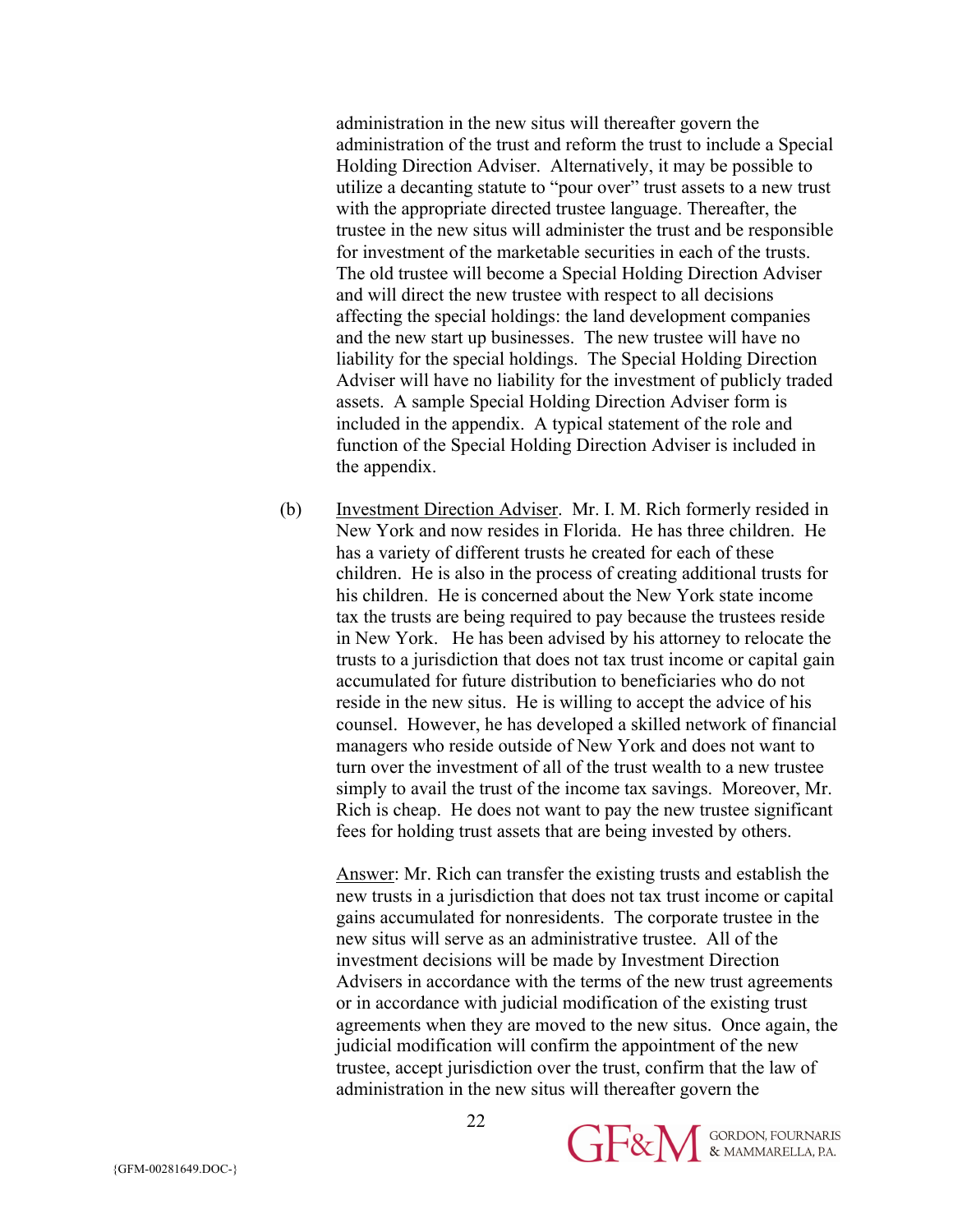administration in the new situs will thereafter govern the administration of the trust and reform the trust to include a Special Holding Direction Adviser. Alternatively, it may be possible to utilize a decanting statute to "pour over" trust assets to a new trust with the appropriate directed trustee language. Thereafter, the trustee in the new situs will administer the trust and be responsible for investment of the marketable securities in each of the trusts. The old trustee will become a Special Holding Direction Adviser and will direct the new trustee with respect to all decisions affecting the special holdings: the land development companies and the new start up businesses. The new trustee will have no liability for the special holdings. The Special Holding Direction Adviser will have no liability for the investment of publicly traded assets. A sample Special Holding Direction Adviser form is included in the appendix. A typical statement of the role and function of the Special Holding Direction Adviser is included in the appendix.

(b) Investment Direction Adviser. Mr. I. M. Rich formerly resided in New York and now resides in Florida. He has three children. He has a variety of different trusts he created for each of these children. He is also in the process of creating additional trusts for his children. He is concerned about the New York state income tax the trusts are being required to pay because the trustees reside in New York. He has been advised by his attorney to relocate the trusts to a jurisdiction that does not tax trust income or capital gain accumulated for future distribution to beneficiaries who do not reside in the new situs. He is willing to accept the advice of his counsel. However, he has developed a skilled network of financial managers who reside outside of New York and does not want to turn over the investment of all of the trust wealth to a new trustee simply to avail the trust of the income tax savings. Moreover, Mr. Rich is cheap. He does not want to pay the new trustee significant fees for holding trust assets that are being invested by others.

Answer: Mr. Rich can transfer the existing trusts and establish the new trusts in a jurisdiction that does not tax trust income or capital gains accumulated for nonresidents. The corporate trustee in the new situs will serve as an administrative trustee. All of the investment decisions will be made by Investment Direction Advisers in accordance with the terms of the new trust agreements or in accordance with judicial modification of the existing trust agreements when they are moved to the new situs. Once again, the judicial modification will confirm the appointment of the new trustee, accept jurisdiction over the trust, confirm that the law of administration in the new situs will thereafter govern the

22

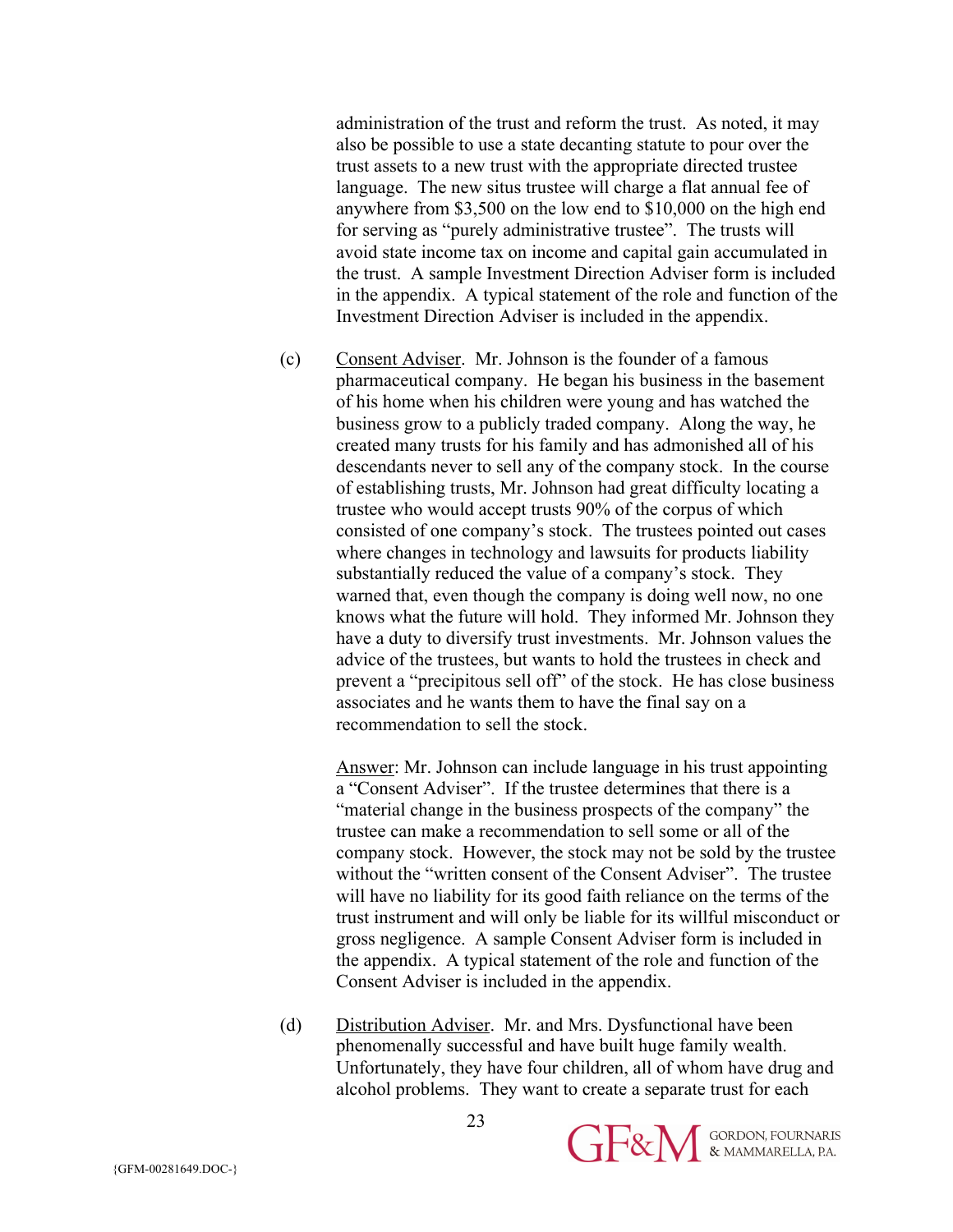administration of the trust and reform the trust. As noted, it may also be possible to use a state decanting statute to pour over the trust assets to a new trust with the appropriate directed trustee language. The new situs trustee will charge a flat annual fee of anywhere from \$3,500 on the low end to \$10,000 on the high end for serving as "purely administrative trustee". The trusts will avoid state income tax on income and capital gain accumulated in the trust. A sample Investment Direction Adviser form is included in the appendix. A typical statement of the role and function of the Investment Direction Adviser is included in the appendix.

(c) Consent Adviser. Mr. Johnson is the founder of a famous pharmaceutical company. He began his business in the basement of his home when his children were young and has watched the business grow to a publicly traded company. Along the way, he created many trusts for his family and has admonished all of his descendants never to sell any of the company stock. In the course of establishing trusts, Mr. Johnson had great difficulty locating a trustee who would accept trusts 90% of the corpus of which consisted of one company's stock. The trustees pointed out cases where changes in technology and lawsuits for products liability substantially reduced the value of a company's stock. They warned that, even though the company is doing well now, no one knows what the future will hold. They informed Mr. Johnson they have a duty to diversify trust investments. Mr. Johnson values the advice of the trustees, but wants to hold the trustees in check and prevent a "precipitous sell off" of the stock. He has close business associates and he wants them to have the final say on a recommendation to sell the stock.

Answer: Mr. Johnson can include language in his trust appointing a "Consent Adviser". If the trustee determines that there is a "material change in the business prospects of the company" the trustee can make a recommendation to sell some or all of the company stock. However, the stock may not be sold by the trustee without the "written consent of the Consent Adviser". The trustee will have no liability for its good faith reliance on the terms of the trust instrument and will only be liable for its willful misconduct or gross negligence. A sample Consent Adviser form is included in the appendix. A typical statement of the role and function of the Consent Adviser is included in the appendix.

(d) Distribution Adviser. Mr. and Mrs. Dysfunctional have been phenomenally successful and have built huge family wealth. Unfortunately, they have four children, all of whom have drug and alcohol problems. They want to create a separate trust for each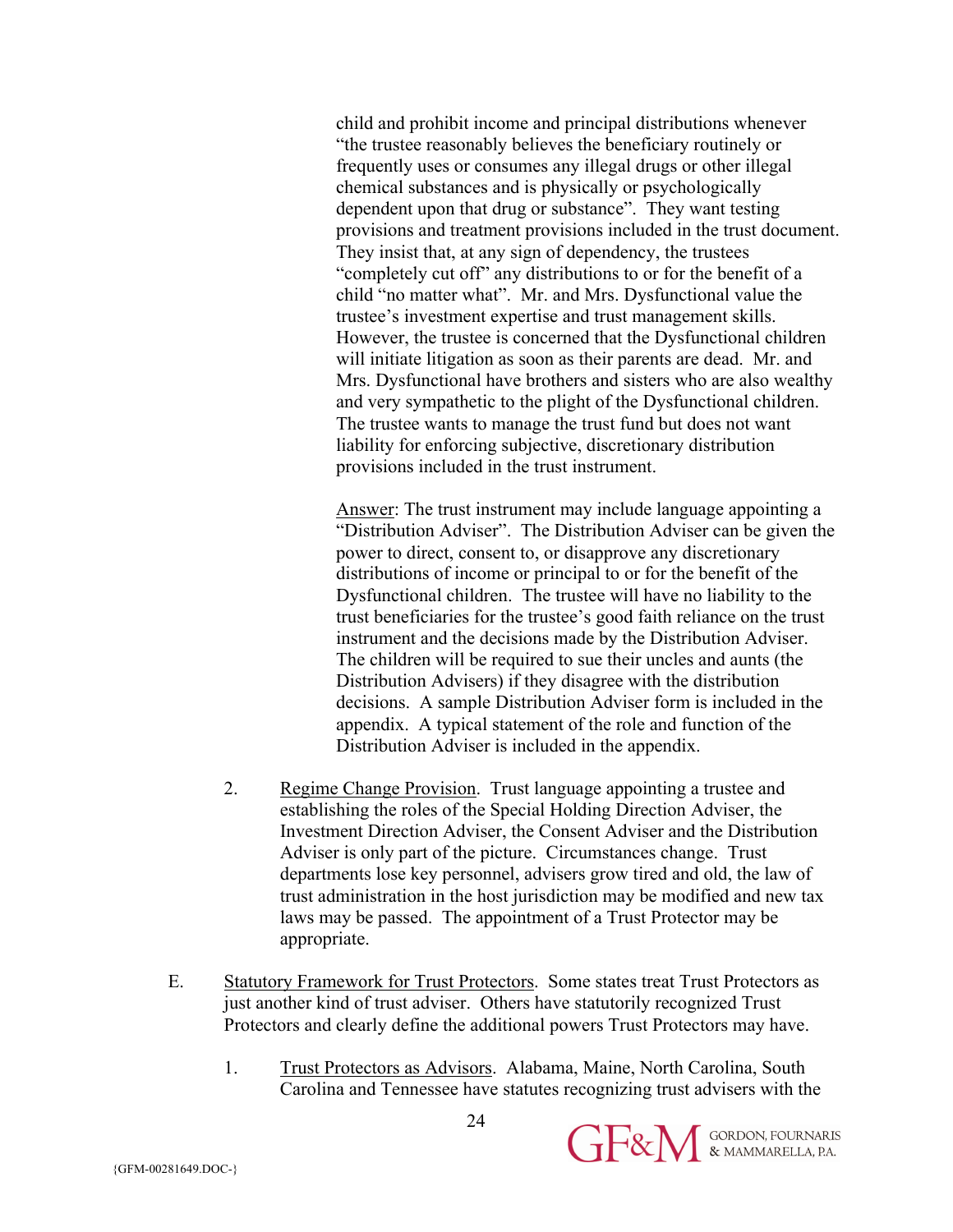child and prohibit income and principal distributions whenever "the trustee reasonably believes the beneficiary routinely or frequently uses or consumes any illegal drugs or other illegal chemical substances and is physically or psychologically dependent upon that drug or substance". They want testing provisions and treatment provisions included in the trust document. They insist that, at any sign of dependency, the trustees "completely cut off" any distributions to or for the benefit of a child "no matter what". Mr. and Mrs. Dysfunctional value the trustee's investment expertise and trust management skills. However, the trustee is concerned that the Dysfunctional children will initiate litigation as soon as their parents are dead. Mr. and Mrs. Dysfunctional have brothers and sisters who are also wealthy and very sympathetic to the plight of the Dysfunctional children. The trustee wants to manage the trust fund but does not want liability for enforcing subjective, discretionary distribution provisions included in the trust instrument.

Answer: The trust instrument may include language appointing a "Distribution Adviser". The Distribution Adviser can be given the power to direct, consent to, or disapprove any discretionary distributions of income or principal to or for the benefit of the Dysfunctional children. The trustee will have no liability to the trust beneficiaries for the trustee's good faith reliance on the trust instrument and the decisions made by the Distribution Adviser. The children will be required to sue their uncles and aunts (the Distribution Advisers) if they disagree with the distribution decisions. A sample Distribution Adviser form is included in the appendix. A typical statement of the role and function of the Distribution Adviser is included in the appendix.

- 2. Regime Change Provision. Trust language appointing a trustee and establishing the roles of the Special Holding Direction Adviser, the Investment Direction Adviser, the Consent Adviser and the Distribution Adviser is only part of the picture. Circumstances change. Trust departments lose key personnel, advisers grow tired and old, the law of trust administration in the host jurisdiction may be modified and new tax laws may be passed. The appointment of a Trust Protector may be appropriate.
- E. Statutory Framework for Trust Protectors. Some states treat Trust Protectors as just another kind of trust adviser. Others have statutorily recognized Trust Protectors and clearly define the additional powers Trust Protectors may have.
	- 1. Trust Protectors as Advisors. Alabama, Maine, North Carolina, South Carolina and Tennessee have statutes recognizing trust advisers with the

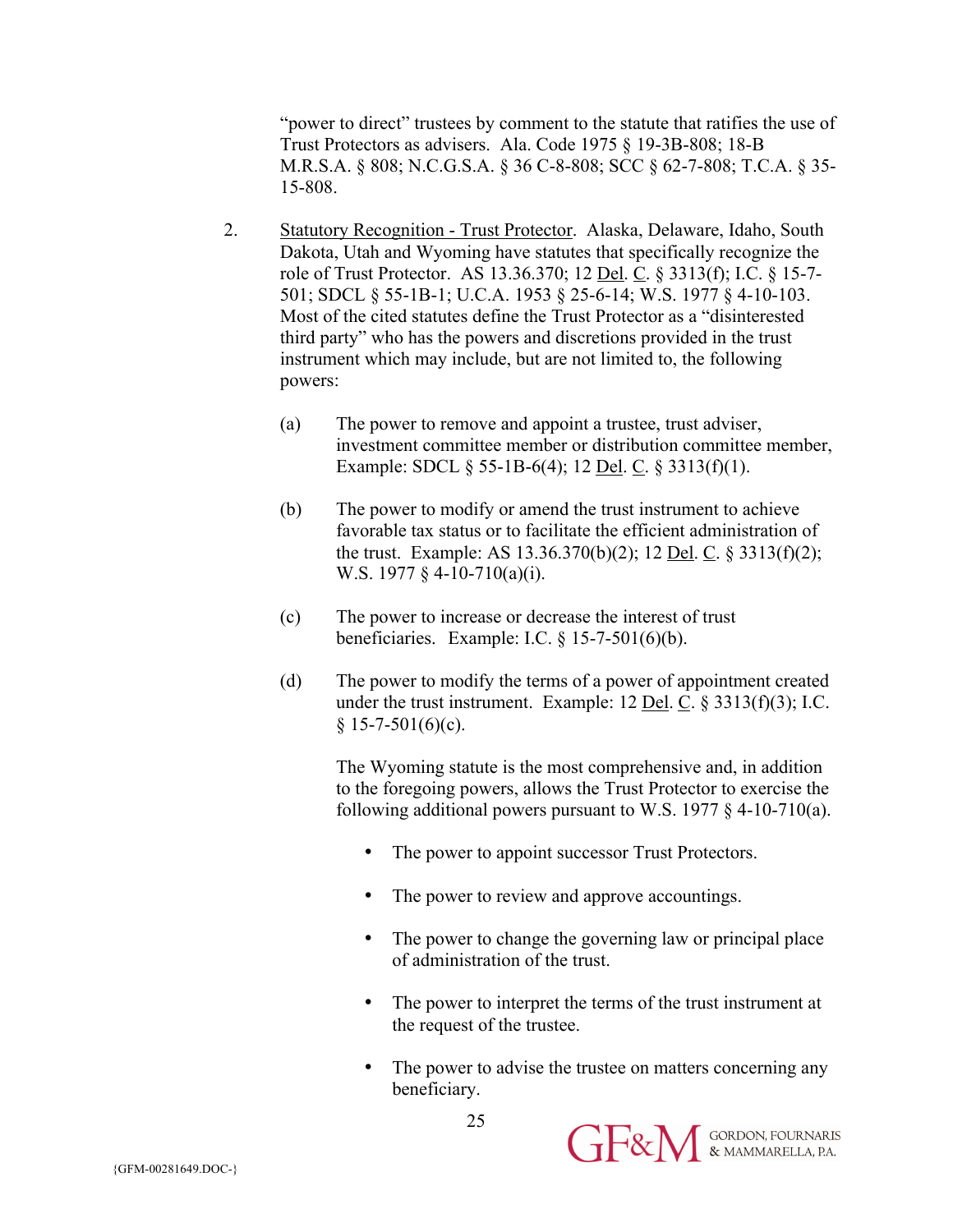"power to direct" trustees by comment to the statute that ratifies the use of Trust Protectors as advisers. Ala. Code 1975 § 19-3B-808; 18-B M.R.S.A. § 808; N.C.G.S.A. § 36 C-8-808; SCC § 62-7-808; T.C.A. § 35- 15-808.

- 2. Statutory Recognition Trust Protector. Alaska, Delaware, Idaho, South Dakota, Utah and Wyoming have statutes that specifically recognize the role of Trust Protector. AS 13.36.370; 12 Del. C. § 3313(f); I.C. § 15-7- 501; SDCL § 55-1B-1; U.C.A. 1953 § 25-6-14; W.S. 1977 § 4-10-103. Most of the cited statutes define the Trust Protector as a "disinterested third party" who has the powers and discretions provided in the trust instrument which may include, but are not limited to, the following powers:
	- (a) The power to remove and appoint a trustee, trust adviser, investment committee member or distribution committee member, Example: SDCL § 55-1B-6(4); 12 Del. C. § 3313(f)(1).
	- (b) The power to modify or amend the trust instrument to achieve favorable tax status or to facilitate the efficient administration of the trust. Example: AS 13.36.370(b)(2); 12 Del. C. § 3313(f)(2); W.S. 1977 § 4-10-710(a)(i).
	- (c) The power to increase or decrease the interest of trust beneficiaries. Example: I.C. § 15-7-501(6)(b).
	- (d) The power to modify the terms of a power of appointment created under the trust instrument. Example: 12 Del. C. § 3313(f)(3); I.C.  $§ 15-7-501(6)(c).$

The Wyoming statute is the most comprehensive and, in addition to the foregoing powers, allows the Trust Protector to exercise the following additional powers pursuant to W.S. 1977  $\S$  4-10-710(a).

- The power to appoint successor Trust Protectors.
- The power to review and approve accountings.
- The power to change the governing law or principal place of administration of the trust.
- The power to interpret the terms of the trust instrument at the request of the trustee.
- The power to advise the trustee on matters concerning any beneficiary.



25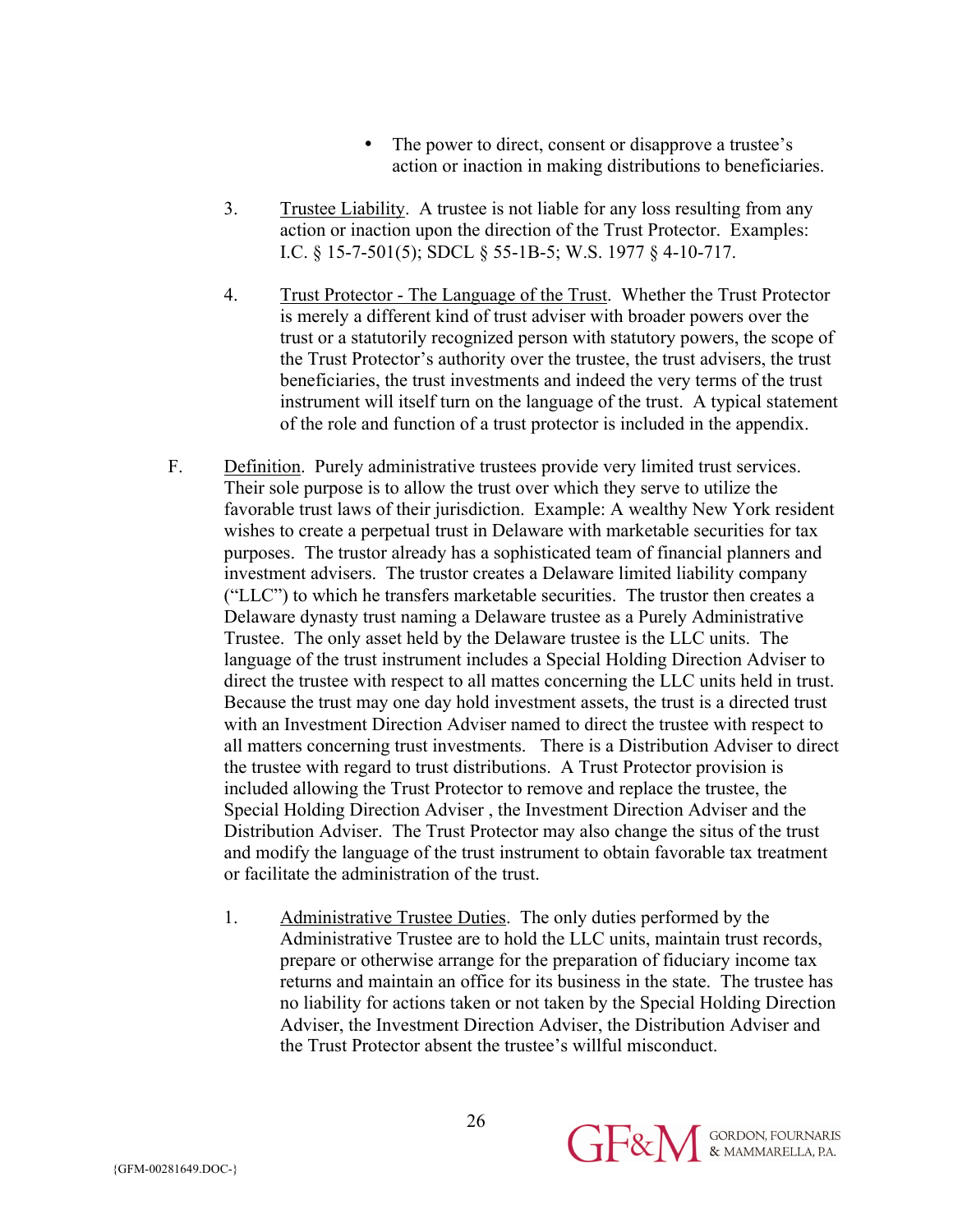- The power to direct, consent or disapprove a trustee's action or inaction in making distributions to beneficiaries.
- 3. Trustee Liability. A trustee is not liable for any loss resulting from any action or inaction upon the direction of the Trust Protector. Examples: I.C. § 15-7-501(5); SDCL § 55-1B-5; W.S. 1977 § 4-10-717.
- 4. Trust Protector The Language of the Trust. Whether the Trust Protector is merely a different kind of trust adviser with broader powers over the trust or a statutorily recognized person with statutory powers, the scope of the Trust Protector's authority over the trustee, the trust advisers, the trust beneficiaries, the trust investments and indeed the very terms of the trust instrument will itself turn on the language of the trust. A typical statement of the role and function of a trust protector is included in the appendix.
- F. Definition. Purely administrative trustees provide very limited trust services. Their sole purpose is to allow the trust over which they serve to utilize the favorable trust laws of their jurisdiction. Example: A wealthy New York resident wishes to create a perpetual trust in Delaware with marketable securities for tax purposes. The trustor already has a sophisticated team of financial planners and investment advisers. The trustor creates a Delaware limited liability company ("LLC") to which he transfers marketable securities. The trustor then creates a Delaware dynasty trust naming a Delaware trustee as a Purely Administrative Trustee. The only asset held by the Delaware trustee is the LLC units. The language of the trust instrument includes a Special Holding Direction Adviser to direct the trustee with respect to all mattes concerning the LLC units held in trust. Because the trust may one day hold investment assets, the trust is a directed trust with an Investment Direction Adviser named to direct the trustee with respect to all matters concerning trust investments. There is a Distribution Adviser to direct the trustee with regard to trust distributions. A Trust Protector provision is included allowing the Trust Protector to remove and replace the trustee, the Special Holding Direction Adviser , the Investment Direction Adviser and the Distribution Adviser. The Trust Protector may also change the situs of the trust and modify the language of the trust instrument to obtain favorable tax treatment or facilitate the administration of the trust.
	- 1. Administrative Trustee Duties. The only duties performed by the Administrative Trustee are to hold the LLC units, maintain trust records, prepare or otherwise arrange for the preparation of fiduciary income tax returns and maintain an office for its business in the state. The trustee has no liability for actions taken or not taken by the Special Holding Direction Adviser, the Investment Direction Adviser, the Distribution Adviser and the Trust Protector absent the trustee's willful misconduct.

**GERN** SORDON, FOURNARIS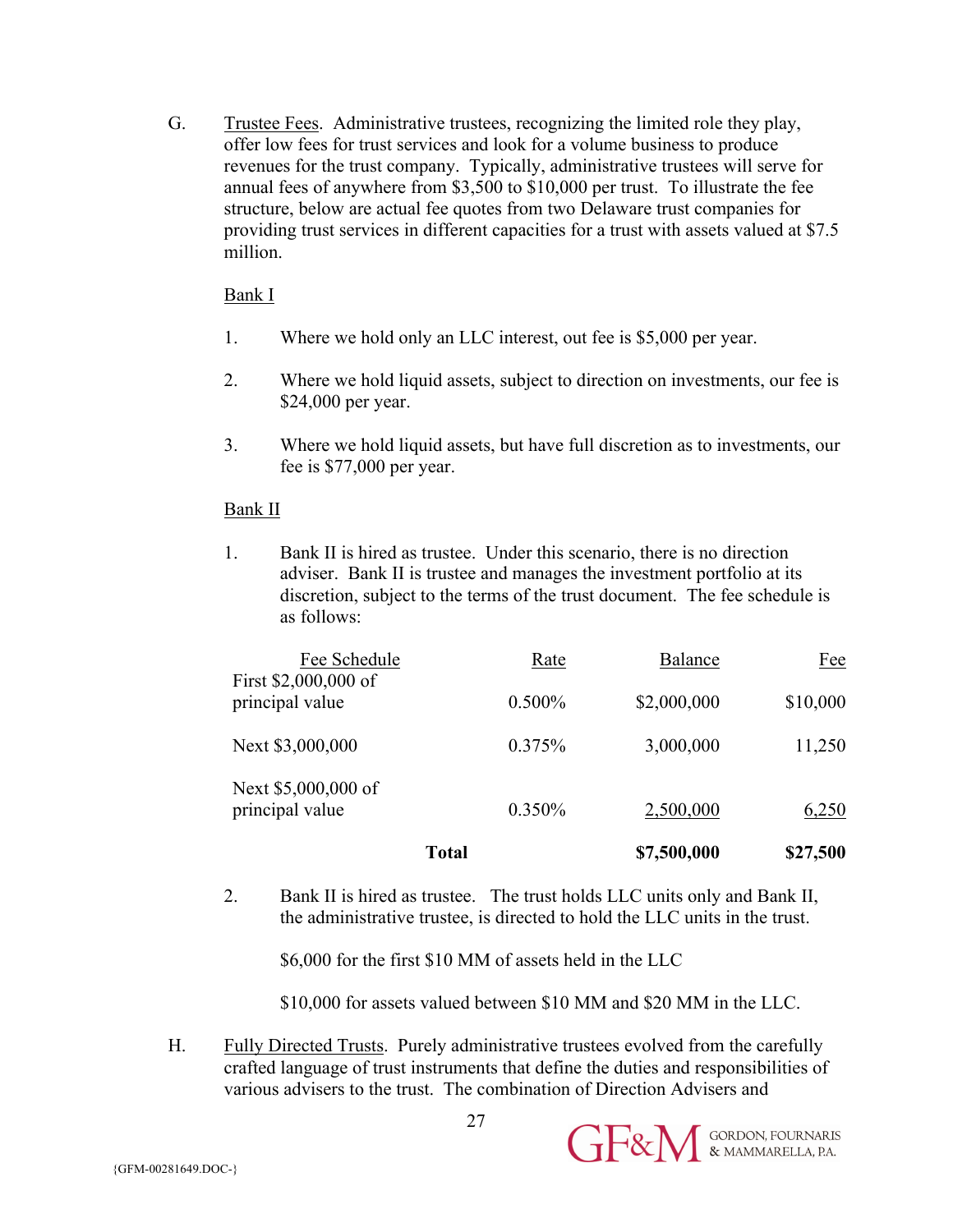G. Trustee Fees. Administrative trustees, recognizing the limited role they play, offer low fees for trust services and look for a volume business to produce revenues for the trust company. Typically, administrative trustees will serve for annual fees of anywhere from \$3,500 to \$10,000 per trust. To illustrate the fee structure, below are actual fee quotes from two Delaware trust companies for providing trust services in different capacities for a trust with assets valued at \$7.5 million.

#### Bank I

- 1. Where we hold only an LLC interest, out fee is \$5,000 per year.
- 2. Where we hold liquid assets, subject to direction on investments, our fee is \$24,000 per year.
- 3. Where we hold liquid assets, but have full discretion as to investments, our fee is \$77,000 per year.

## Bank II

1. Bank II is hired as trustee. Under this scenario, there is no direction adviser. Bank II is trustee and manages the investment portfolio at its discretion, subject to the terms of the trust document. The fee schedule is as follows:

|                                        | Total     | \$7,500,000    | \$27,500   |
|----------------------------------------|-----------|----------------|------------|
| Next \$5,000,000 of<br>principal value | 0.350%    | 2,500,000      | 6,250      |
| Next \$3,000,000                       | 0.375%    | 3,000,000      | 11,250     |
| principal value                        | $0.500\%$ | \$2,000,000    | \$10,000   |
| Fee Schedule<br>First \$2,000,000 of   | Rate      | <b>Balance</b> | <u>Fee</u> |

2. Bank II is hired as trustee. The trust holds LLC units only and Bank II, the administrative trustee, is directed to hold the LLC units in the trust.

\$6,000 for the first \$10 MM of assets held in the LLC

\$10,000 for assets valued between \$10 MM and \$20 MM in the LLC.

**GE&M** SORDON, FOURNARIS

H. Fully Directed Trusts. Purely administrative trustees evolved from the carefully crafted language of trust instruments that define the duties and responsibilities of various advisers to the trust. The combination of Direction Advisers and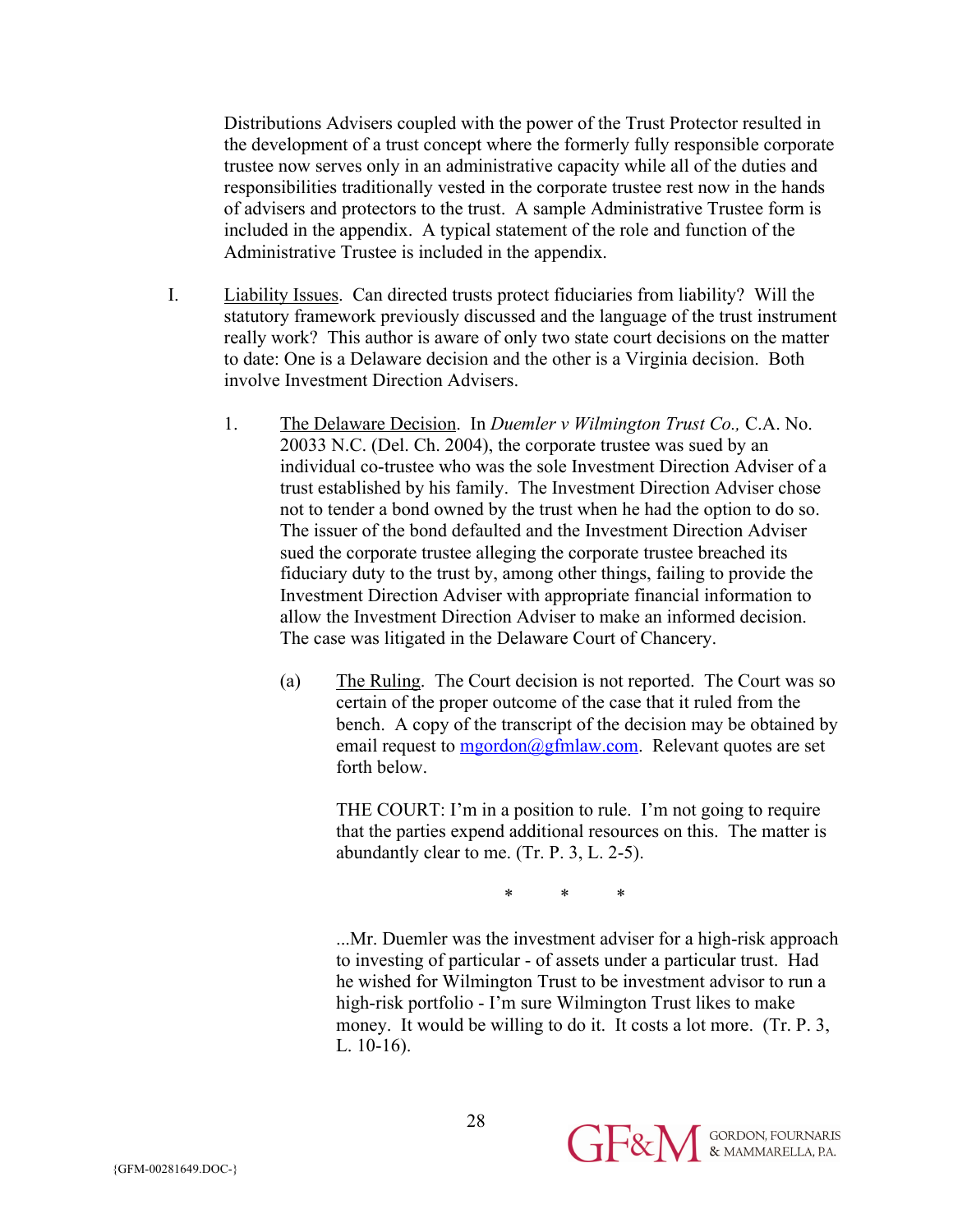Distributions Advisers coupled with the power of the Trust Protector resulted in the development of a trust concept where the formerly fully responsible corporate trustee now serves only in an administrative capacity while all of the duties and responsibilities traditionally vested in the corporate trustee rest now in the hands of advisers and protectors to the trust. A sample Administrative Trustee form is included in the appendix. A typical statement of the role and function of the Administrative Trustee is included in the appendix.

- I. Liability Issues. Can directed trusts protect fiduciaries from liability? Will the statutory framework previously discussed and the language of the trust instrument really work? This author is aware of only two state court decisions on the matter to date: One is a Delaware decision and the other is a Virginia decision. Both involve Investment Direction Advisers.
	- 1. The Delaware Decision. In *Duemler v Wilmington Trust Co.,* C.A. No. 20033 N.C. (Del. Ch. 2004), the corporate trustee was sued by an individual co-trustee who was the sole Investment Direction Adviser of a trust established by his family. The Investment Direction Adviser chose not to tender a bond owned by the trust when he had the option to do so. The issuer of the bond defaulted and the Investment Direction Adviser sued the corporate trustee alleging the corporate trustee breached its fiduciary duty to the trust by, among other things, failing to provide the Investment Direction Adviser with appropriate financial information to allow the Investment Direction Adviser to make an informed decision. The case was litigated in the Delaware Court of Chancery.
		- (a) The Ruling. The Court decision is not reported. The Court was so certain of the proper outcome of the case that it ruled from the bench. A copy of the transcript of the decision may be obtained by email request to  $mgordon(@gfmlaw.com)$ . Relevant quotes are set forth below.

THE COURT: I'm in a position to rule. I'm not going to require that the parties expend additional resources on this. The matter is abundantly clear to me. (Tr. P. 3, L. 2-5).

\* \* \*

...Mr. Duemler was the investment adviser for a high-risk approach to investing of particular - of assets under a particular trust. Had he wished for Wilmington Trust to be investment advisor to run a high-risk portfolio - I'm sure Wilmington Trust likes to make money. It would be willing to do it. It costs a lot more. (Tr. P. 3, L. 10-16).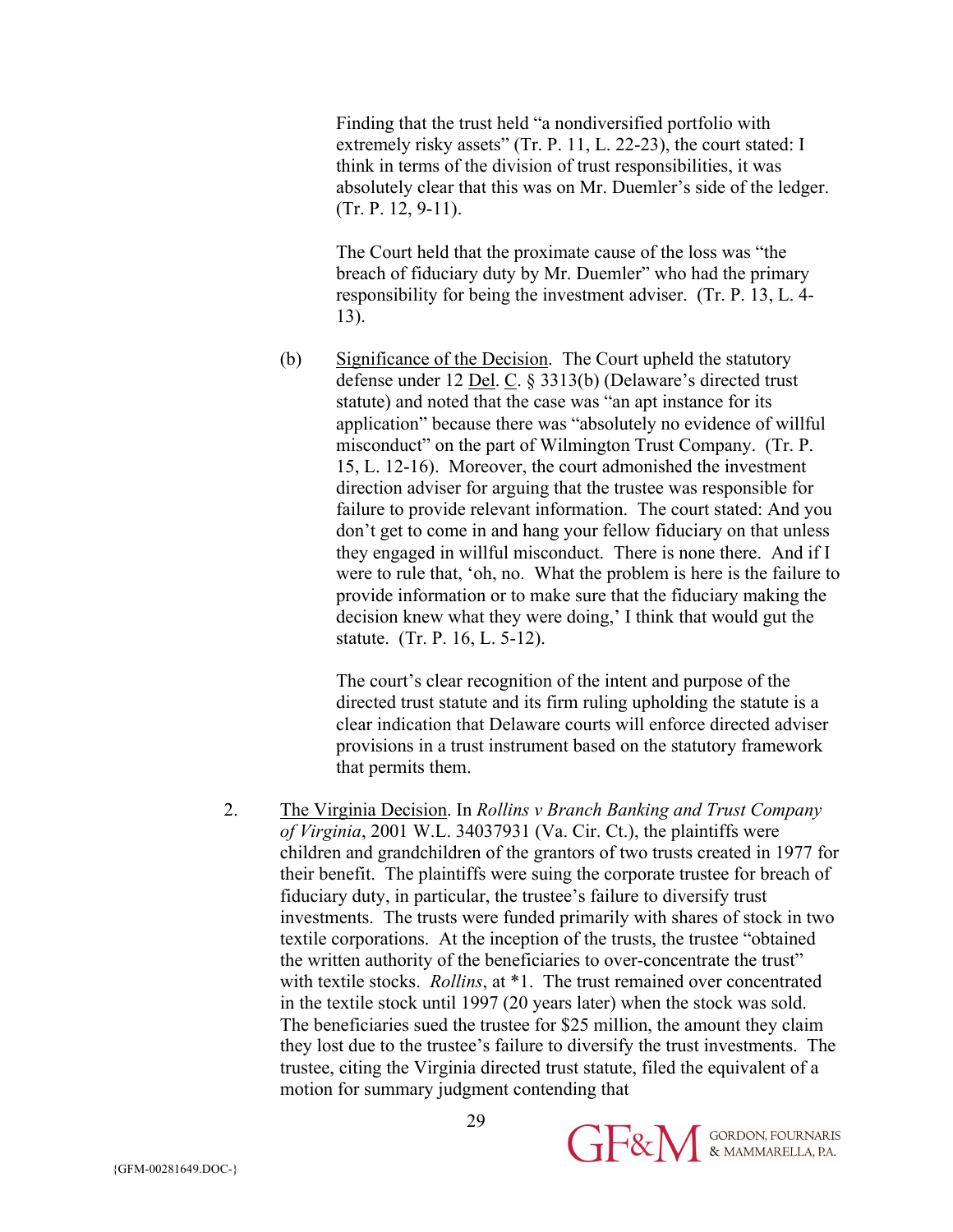Finding that the trust held "a nondiversified portfolio with extremely risky assets" (Tr. P. 11, L. 22-23), the court stated: I think in terms of the division of trust responsibilities, it was absolutely clear that this was on Mr. Duemler's side of the ledger. (Tr. P. 12, 9-11).

The Court held that the proximate cause of the loss was "the breach of fiduciary duty by Mr. Duemler" who had the primary responsibility for being the investment adviser. (Tr. P. 13, L. 4- 13).

(b) Significance of the Decision. The Court upheld the statutory defense under 12 Del. C. § 3313(b) (Delaware's directed trust statute) and noted that the case was "an apt instance for its application" because there was "absolutely no evidence of willful misconduct" on the part of Wilmington Trust Company. (Tr. P. 15, L. 12-16). Moreover, the court admonished the investment direction adviser for arguing that the trustee was responsible for failure to provide relevant information. The court stated: And you don't get to come in and hang your fellow fiduciary on that unless they engaged in willful misconduct. There is none there. And if I were to rule that, 'oh, no. What the problem is here is the failure to provide information or to make sure that the fiduciary making the decision knew what they were doing,' I think that would gut the statute. (Tr. P. 16, L. 5-12).

The court's clear recognition of the intent and purpose of the directed trust statute and its firm ruling upholding the statute is a clear indication that Delaware courts will enforce directed adviser provisions in a trust instrument based on the statutory framework that permits them.

2. The Virginia Decision. In *Rollins v Branch Banking and Trust Company of Virginia*, 2001 W.L. 34037931 (Va. Cir. Ct.), the plaintiffs were children and grandchildren of the grantors of two trusts created in 1977 for their benefit. The plaintiffs were suing the corporate trustee for breach of fiduciary duty, in particular, the trustee's failure to diversify trust investments. The trusts were funded primarily with shares of stock in two textile corporations. At the inception of the trusts, the trustee "obtained the written authority of the beneficiaries to over-concentrate the trust" with textile stocks. *Rollins*, at \*1. The trust remained over concentrated in the textile stock until 1997 (20 years later) when the stock was sold. The beneficiaries sued the trustee for \$25 million, the amount they claim they lost due to the trustee's failure to diversify the trust investments. The trustee, citing the Virginia directed trust statute, filed the equivalent of a motion for summary judgment contending that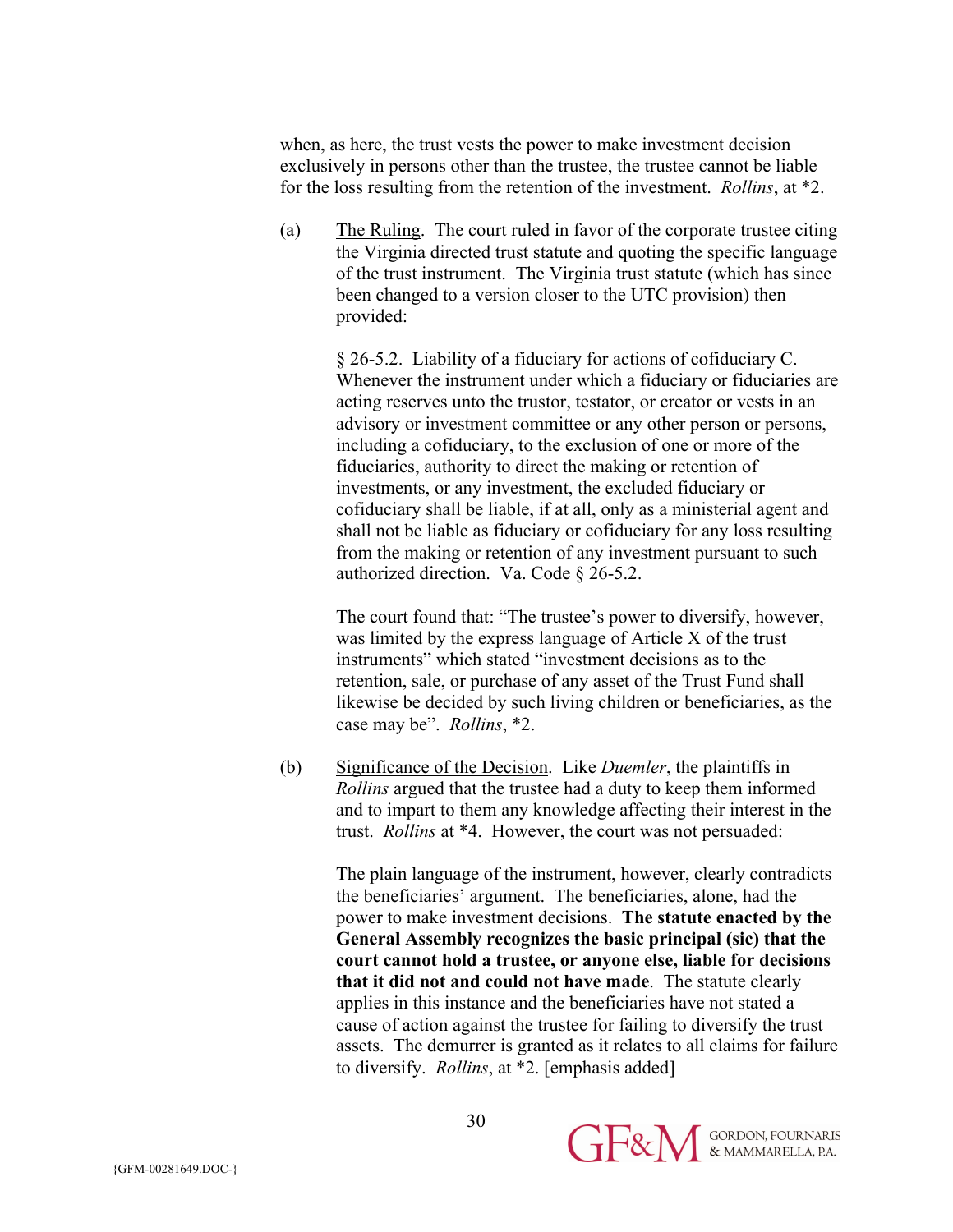when, as here, the trust vests the power to make investment decision exclusively in persons other than the trustee, the trustee cannot be liable for the loss resulting from the retention of the investment. *Rollins*, at \*2.

(a) The Ruling. The court ruled in favor of the corporate trustee citing the Virginia directed trust statute and quoting the specific language of the trust instrument. The Virginia trust statute (which has since been changed to a version closer to the UTC provision) then provided:

> § 26-5.2. Liability of a fiduciary for actions of cofiduciary C. Whenever the instrument under which a fiduciary or fiduciaries are acting reserves unto the trustor, testator, or creator or vests in an advisory or investment committee or any other person or persons, including a cofiduciary, to the exclusion of one or more of the fiduciaries, authority to direct the making or retention of investments, or any investment, the excluded fiduciary or cofiduciary shall be liable, if at all, only as a ministerial agent and shall not be liable as fiduciary or cofiduciary for any loss resulting from the making or retention of any investment pursuant to such authorized direction. Va. Code § 26-5.2.

The court found that: "The trustee's power to diversify, however, was limited by the express language of Article X of the trust instruments" which stated "investment decisions as to the retention, sale, or purchase of any asset of the Trust Fund shall likewise be decided by such living children or beneficiaries, as the case may be". *Rollins*, \*2.

(b) Significance of the Decision. Like *Duemler*, the plaintiffs in *Rollins* argued that the trustee had a duty to keep them informed and to impart to them any knowledge affecting their interest in the trust. *Rollins* at \*4. However, the court was not persuaded:

> The plain language of the instrument, however, clearly contradicts the beneficiaries' argument. The beneficiaries, alone, had the power to make investment decisions. **The statute enacted by the General Assembly recognizes the basic principal (sic) that the court cannot hold a trustee, or anyone else, liable for decisions that it did not and could not have made**. The statute clearly applies in this instance and the beneficiaries have not stated a cause of action against the trustee for failing to diversify the trust assets. The demurrer is granted as it relates to all claims for failure to diversify. *Rollins*, at \*2. [emphasis added]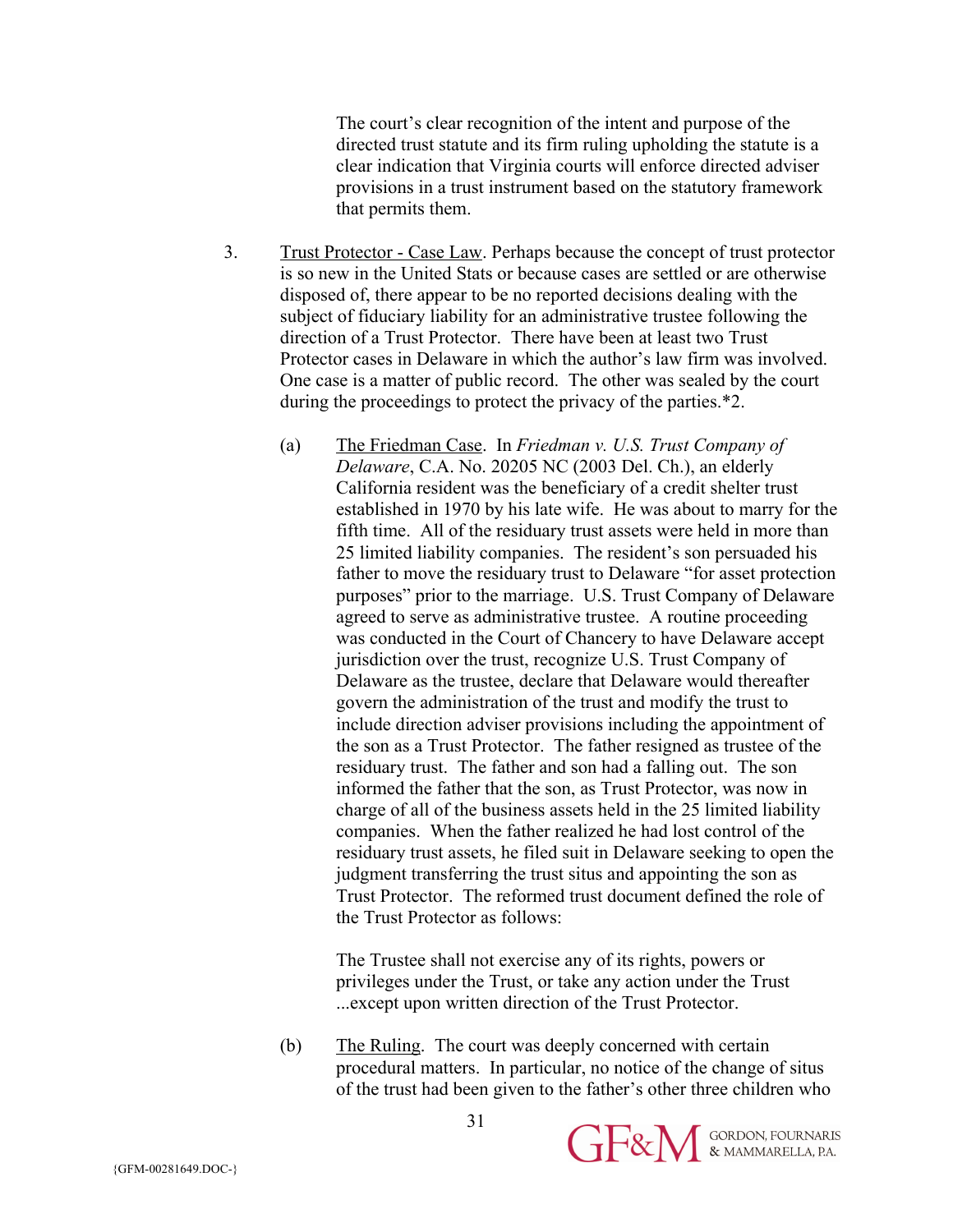The court's clear recognition of the intent and purpose of the directed trust statute and its firm ruling upholding the statute is a clear indication that Virginia courts will enforce directed adviser provisions in a trust instrument based on the statutory framework that permits them.

- 3. Trust Protector Case Law. Perhaps because the concept of trust protector is so new in the United Stats or because cases are settled or are otherwise disposed of, there appear to be no reported decisions dealing with the subject of fiduciary liability for an administrative trustee following the direction of a Trust Protector. There have been at least two Trust Protector cases in Delaware in which the author's law firm was involved. One case is a matter of public record. The other was sealed by the court during the proceedings to protect the privacy of the parties.\*2.
	- (a) The Friedman Case. In *Friedman v. U.S. Trust Company of Delaware*, C.A. No. 20205 NC (2003 Del. Ch.), an elderly California resident was the beneficiary of a credit shelter trust established in 1970 by his late wife. He was about to marry for the fifth time. All of the residuary trust assets were held in more than 25 limited liability companies. The resident's son persuaded his father to move the residuary trust to Delaware "for asset protection purposes" prior to the marriage. U.S. Trust Company of Delaware agreed to serve as administrative trustee. A routine proceeding was conducted in the Court of Chancery to have Delaware accept jurisdiction over the trust, recognize U.S. Trust Company of Delaware as the trustee, declare that Delaware would thereafter govern the administration of the trust and modify the trust to include direction adviser provisions including the appointment of the son as a Trust Protector. The father resigned as trustee of the residuary trust. The father and son had a falling out. The son informed the father that the son, as Trust Protector, was now in charge of all of the business assets held in the 25 limited liability companies. When the father realized he had lost control of the residuary trust assets, he filed suit in Delaware seeking to open the judgment transferring the trust situs and appointing the son as Trust Protector. The reformed trust document defined the role of the Trust Protector as follows:

The Trustee shall not exercise any of its rights, powers or privileges under the Trust, or take any action under the Trust ...except upon written direction of the Trust Protector.

(b) The Ruling. The court was deeply concerned with certain procedural matters. In particular, no notice of the change of situs of the trust had been given to the father's other three children who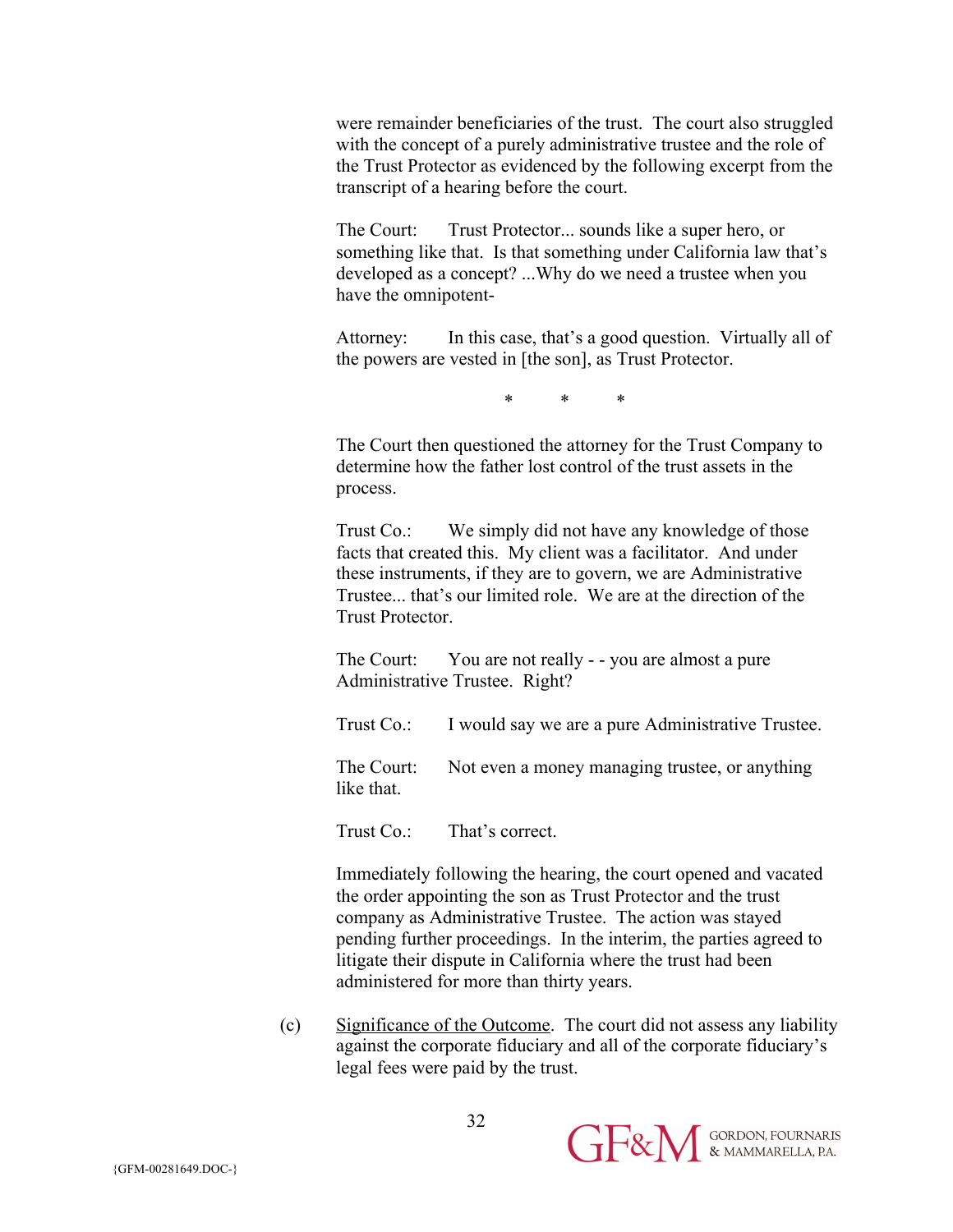were remainder beneficiaries of the trust. The court also struggled with the concept of a purely administrative trustee and the role of the Trust Protector as evidenced by the following excerpt from the transcript of a hearing before the court.

The Court: Trust Protector... sounds like a super hero, or something like that. Is that something under California law that's developed as a concept? ...Why do we need a trustee when you have the omnipotent-

Attorney: In this case, that's a good question. Virtually all of the powers are vested in [the son], as Trust Protector.

\* \* \*

The Court then questioned the attorney for the Trust Company to determine how the father lost control of the trust assets in the process.

Trust Co.: We simply did not have any knowledge of those facts that created this. My client was a facilitator. And under these instruments, if they are to govern, we are Administrative Trustee... that's our limited role. We are at the direction of the Trust Protector.

The Court: You are not really - - you are almost a pure Administrative Trustee. Right?

Trust Co.: I would say we are a pure Administrative Trustee.

The Court: Not even a money managing trustee, or anything like that.

Trust Co.: That's correct.

Immediately following the hearing, the court opened and vacated the order appointing the son as Trust Protector and the trust company as Administrative Trustee. The action was stayed pending further proceedings. In the interim, the parties agreed to litigate their dispute in California where the trust had been administered for more than thirty years.

(c) Significance of the Outcome. The court did not assess any liability against the corporate fiduciary and all of the corporate fiduciary's legal fees were paid by the trust.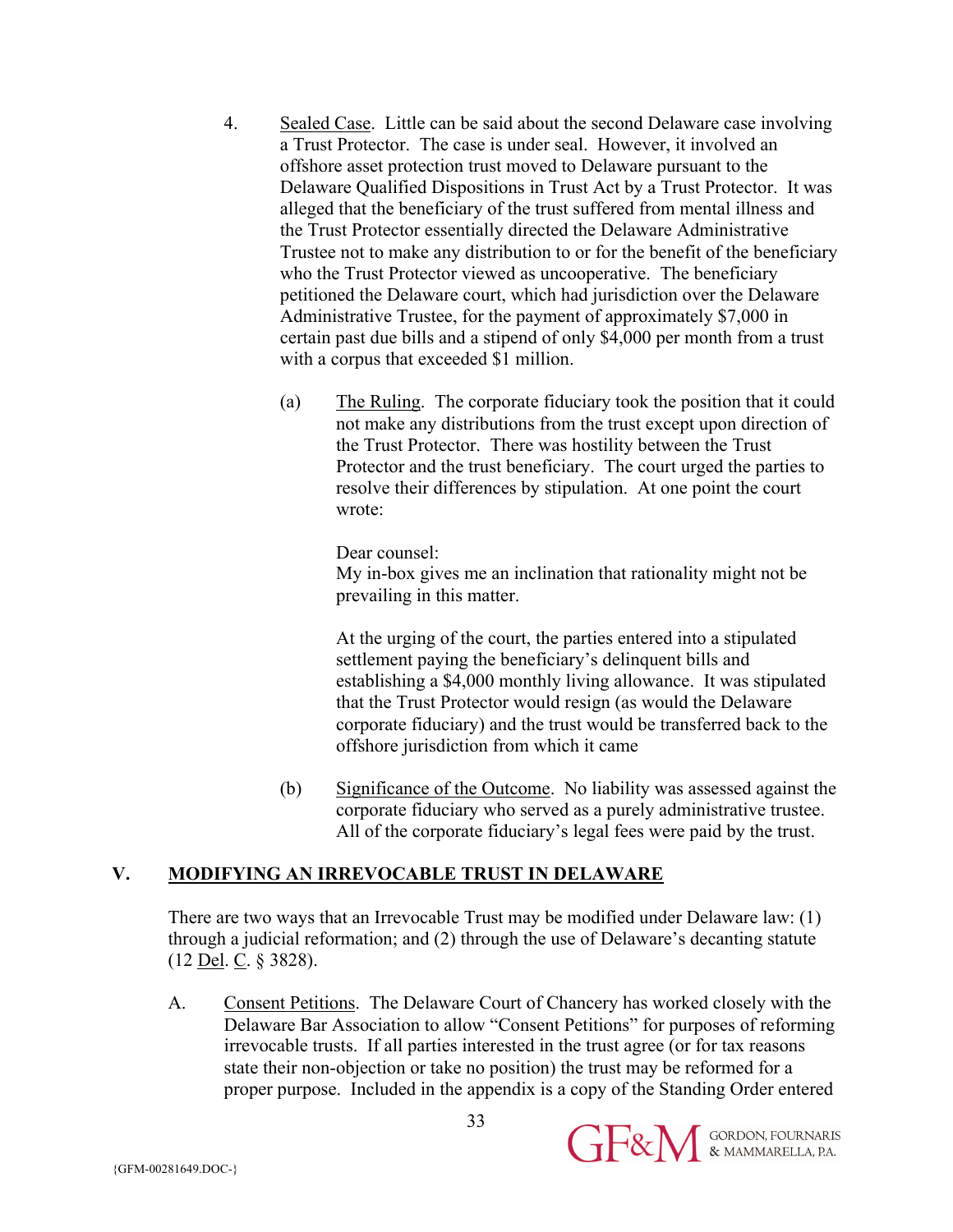- 4. Sealed Case. Little can be said about the second Delaware case involving a Trust Protector. The case is under seal. However, it involved an offshore asset protection trust moved to Delaware pursuant to the Delaware Qualified Dispositions in Trust Act by a Trust Protector. It was alleged that the beneficiary of the trust suffered from mental illness and the Trust Protector essentially directed the Delaware Administrative Trustee not to make any distribution to or for the benefit of the beneficiary who the Trust Protector viewed as uncooperative. The beneficiary petitioned the Delaware court, which had jurisdiction over the Delaware Administrative Trustee, for the payment of approximately \$7,000 in certain past due bills and a stipend of only \$4,000 per month from a trust with a corpus that exceeded \$1 million.
	- (a) The Ruling. The corporate fiduciary took the position that it could not make any distributions from the trust except upon direction of the Trust Protector. There was hostility between the Trust Protector and the trust beneficiary. The court urged the parties to resolve their differences by stipulation. At one point the court wrote:

Dear counsel:

My in-box gives me an inclination that rationality might not be prevailing in this matter.

At the urging of the court, the parties entered into a stipulated settlement paying the beneficiary's delinquent bills and establishing a \$4,000 monthly living allowance. It was stipulated that the Trust Protector would resign (as would the Delaware corporate fiduciary) and the trust would be transferred back to the offshore jurisdiction from which it came

(b) Significance of the Outcome. No liability was assessed against the corporate fiduciary who served as a purely administrative trustee. All of the corporate fiduciary's legal fees were paid by the trust.

# **V. MODIFYING AN IRREVOCABLE TRUST IN DELAWARE**

There are two ways that an Irrevocable Trust may be modified under Delaware law: (1) through a judicial reformation; and (2) through the use of Delaware's decanting statute (12 Del. C. § 3828).

A. Consent Petitions. The Delaware Court of Chancery has worked closely with the Delaware Bar Association to allow "Consent Petitions" for purposes of reforming irrevocable trusts. If all parties interested in the trust agree (or for tax reasons state their non-objection or take no position) the trust may be reformed for a proper purpose. Included in the appendix is a copy of the Standing Order entered

{GFM-00281649.DOC-}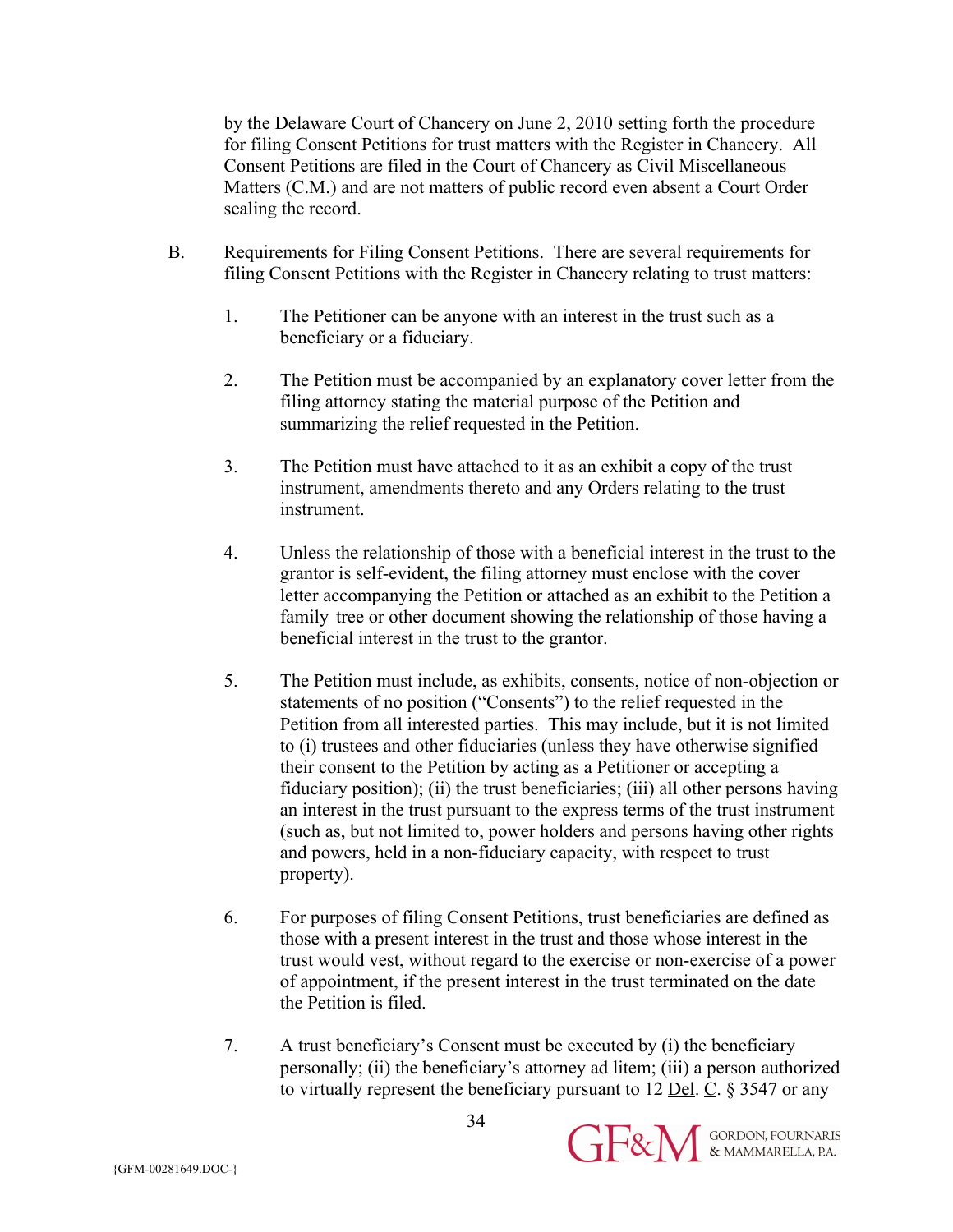by the Delaware Court of Chancery on June 2, 2010 setting forth the procedure for filing Consent Petitions for trust matters with the Register in Chancery. All Consent Petitions are filed in the Court of Chancery as Civil Miscellaneous Matters (C.M.) and are not matters of public record even absent a Court Order sealing the record.

- B. Requirements for Filing Consent Petitions. There are several requirements for filing Consent Petitions with the Register in Chancery relating to trust matters:
	- 1. The Petitioner can be anyone with an interest in the trust such as a beneficiary or a fiduciary.
	- 2. The Petition must be accompanied by an explanatory cover letter from the filing attorney stating the material purpose of the Petition and summarizing the relief requested in the Petition.
	- 3. The Petition must have attached to it as an exhibit a copy of the trust instrument, amendments thereto and any Orders relating to the trust instrument.
	- 4. Unless the relationship of those with a beneficial interest in the trust to the grantor is self-evident, the filing attorney must enclose with the cover letter accompanying the Petition or attached as an exhibit to the Petition a family tree or other document showing the relationship of those having a beneficial interest in the trust to the grantor.
	- 5. The Petition must include, as exhibits, consents, notice of non-objection or statements of no position ("Consents") to the relief requested in the Petition from all interested parties. This may include, but it is not limited to (i) trustees and other fiduciaries (unless they have otherwise signified their consent to the Petition by acting as a Petitioner or accepting a fiduciary position); (ii) the trust beneficiaries; (iii) all other persons having an interest in the trust pursuant to the express terms of the trust instrument (such as, but not limited to, power holders and persons having other rights and powers, held in a non-fiduciary capacity, with respect to trust property).
	- 6. For purposes of filing Consent Petitions, trust beneficiaries are defined as those with a present interest in the trust and those whose interest in the trust would vest, without regard to the exercise or non-exercise of a power of appointment, if the present interest in the trust terminated on the date the Petition is filed.
	- 7. A trust beneficiary's Consent must be executed by (i) the beneficiary personally; (ii) the beneficiary's attorney ad litem; (iii) a person authorized to virtually represent the beneficiary pursuant to 12 Del. C. § 3547 or any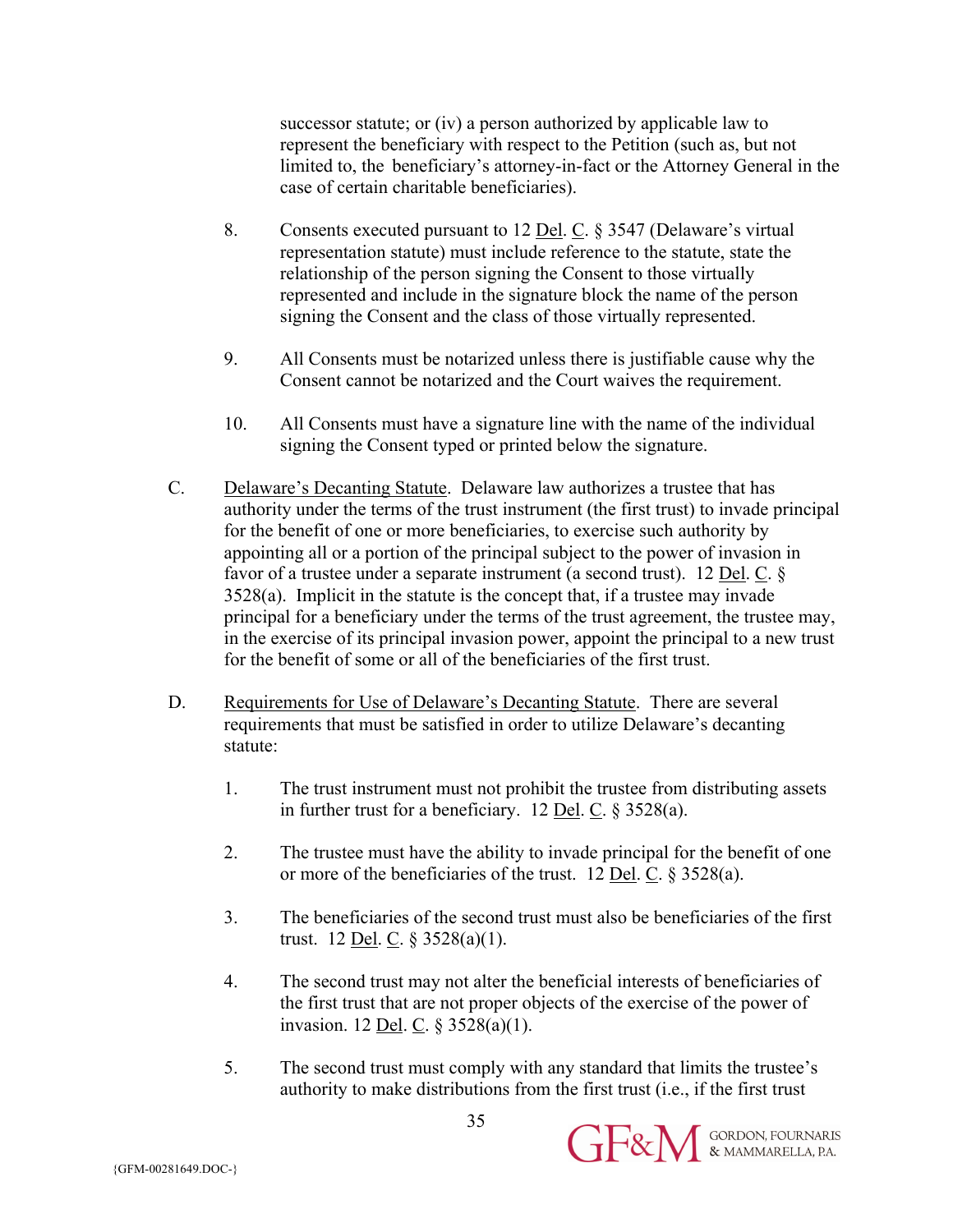successor statute; or (iv) a person authorized by applicable law to represent the beneficiary with respect to the Petition (such as, but not limited to, the beneficiary's attorney-in-fact or the Attorney General in the case of certain charitable beneficiaries).

- 8. Consents executed pursuant to 12 Del. C. § 3547 (Delaware's virtual representation statute) must include reference to the statute, state the relationship of the person signing the Consent to those virtually represented and include in the signature block the name of the person signing the Consent and the class of those virtually represented.
- 9. All Consents must be notarized unless there is justifiable cause why the Consent cannot be notarized and the Court waives the requirement.
- 10. All Consents must have a signature line with the name of the individual signing the Consent typed or printed below the signature.
- C. Delaware's Decanting Statute. Delaware law authorizes a trustee that has authority under the terms of the trust instrument (the first trust) to invade principal for the benefit of one or more beneficiaries, to exercise such authority by appointing all or a portion of the principal subject to the power of invasion in favor of a trustee under a separate instrument (a second trust). 12 Del. C. § 3528(a). Implicit in the statute is the concept that, if a trustee may invade principal for a beneficiary under the terms of the trust agreement, the trustee may, in the exercise of its principal invasion power, appoint the principal to a new trust for the benefit of some or all of the beneficiaries of the first trust.
- D. Requirements for Use of Delaware's Decanting Statute. There are several requirements that must be satisfied in order to utilize Delaware's decanting statute:
	- 1. The trust instrument must not prohibit the trustee from distributing assets in further trust for a beneficiary. 12 <u>Del</u>. C.  $\S 3528(a)$ .
	- 2. The trustee must have the ability to invade principal for the benefit of one or more of the beneficiaries of the trust. 12 Del. C. § 3528(a).
	- 3. The beneficiaries of the second trust must also be beneficiaries of the first trust. 12 <u>Del</u>. C.  $\S 3528(a)(1)$ .
	- 4. The second trust may not alter the beneficial interests of beneficiaries of the first trust that are not proper objects of the exercise of the power of invasion. 12 <u>Del</u>. C.  $\S 3528(a)(1)$ .
	- 5. The second trust must comply with any standard that limits the trustee's authority to make distributions from the first trust (i.e., if the first trust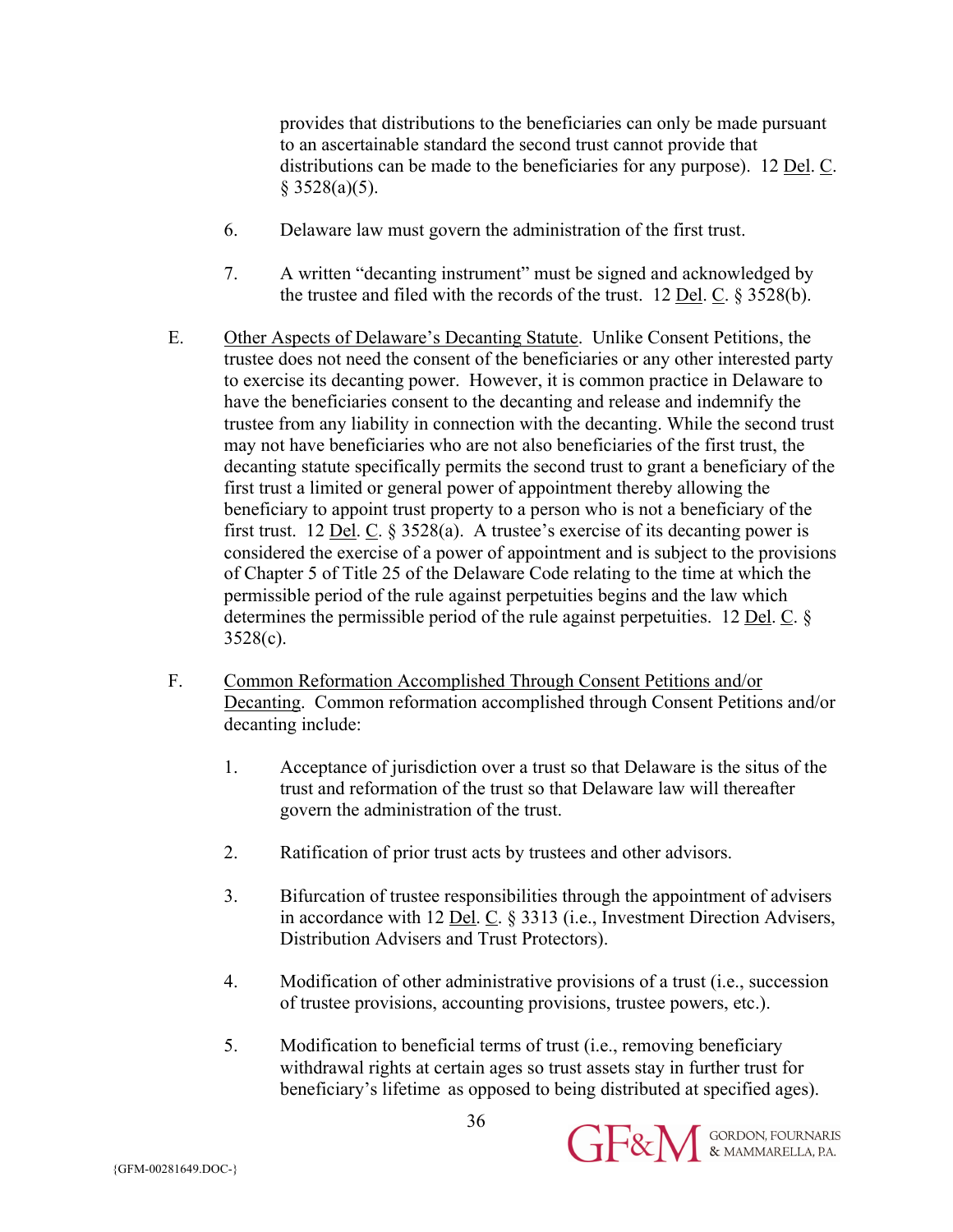provides that distributions to the beneficiaries can only be made pursuant to an ascertainable standard the second trust cannot provide that distributions can be made to the beneficiaries for any purpose). 12 Del. C.  $§$  3528(a)(5).

- 6. Delaware law must govern the administration of the first trust.
- 7. A written "decanting instrument" must be signed and acknowledged by the trustee and filed with the records of the trust. 12 Del. C. § 3528(b).
- E. Other Aspects of Delaware's Decanting Statute. Unlike Consent Petitions, the trustee does not need the consent of the beneficiaries or any other interested party to exercise its decanting power. However, it is common practice in Delaware to have the beneficiaries consent to the decanting and release and indemnify the trustee from any liability in connection with the decanting. While the second trust may not have beneficiaries who are not also beneficiaries of the first trust, the decanting statute specifically permits the second trust to grant a beneficiary of the first trust a limited or general power of appointment thereby allowing the beneficiary to appoint trust property to a person who is not a beneficiary of the first trust. 12 <u>Del</u>. C.  $\S 3528(a)$ . A trustee's exercise of its decanting power is considered the exercise of a power of appointment and is subject to the provisions of Chapter 5 of Title 25 of the Delaware Code relating to the time at which the permissible period of the rule against perpetuities begins and the law which determines the permissible period of the rule against perpetuities. 12 Del. C. § 3528(c).
- F. Common Reformation Accomplished Through Consent Petitions and/or Decanting. Common reformation accomplished through Consent Petitions and/or decanting include:
	- 1. Acceptance of jurisdiction over a trust so that Delaware is the situs of the trust and reformation of the trust so that Delaware law will thereafter govern the administration of the trust.
	- 2. Ratification of prior trust acts by trustees and other advisors.
	- 3. Bifurcation of trustee responsibilities through the appointment of advisers in accordance with 12 Del. C. § 3313 (i.e., Investment Direction Advisers, Distribution Advisers and Trust Protectors).
	- 4. Modification of other administrative provisions of a trust (i.e., succession of trustee provisions, accounting provisions, trustee powers, etc.).
	- 5. Modification to beneficial terms of trust (i.e., removing beneficiary withdrawal rights at certain ages so trust assets stay in further trust for beneficiary's lifetime as opposed to being distributed at specified ages).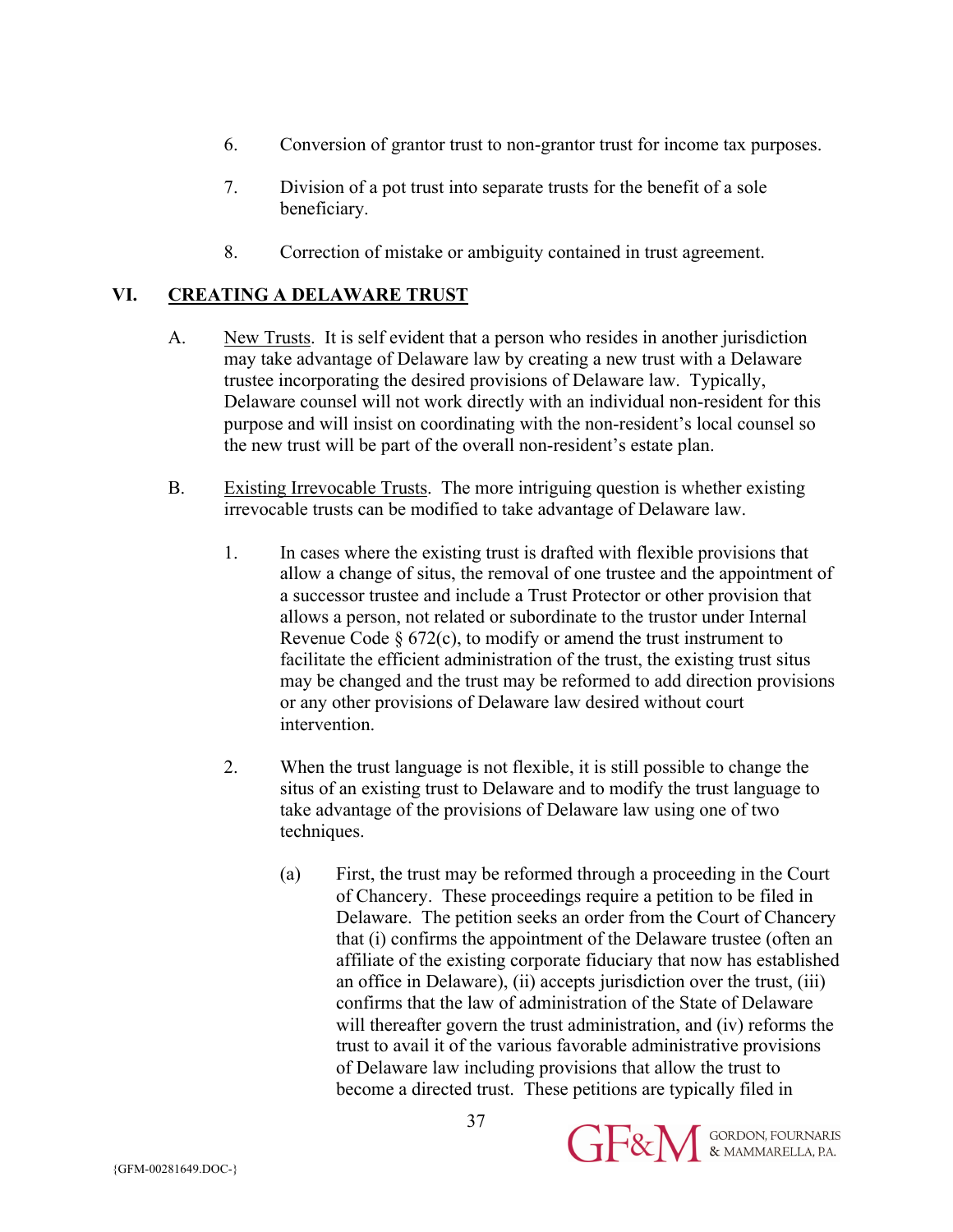- 6. Conversion of grantor trust to non-grantor trust for income tax purposes.
- 7. Division of a pot trust into separate trusts for the benefit of a sole beneficiary.
- 8. Correction of mistake or ambiguity contained in trust agreement.

## **VI. CREATING A DELAWARE TRUST**

- A. New Trusts. It is self evident that a person who resides in another jurisdiction may take advantage of Delaware law by creating a new trust with a Delaware trustee incorporating the desired provisions of Delaware law. Typically, Delaware counsel will not work directly with an individual non-resident for this purpose and will insist on coordinating with the non-resident's local counsel so the new trust will be part of the overall non-resident's estate plan.
- B. Existing Irrevocable Trusts. The more intriguing question is whether existing irrevocable trusts can be modified to take advantage of Delaware law.
	- 1. In cases where the existing trust is drafted with flexible provisions that allow a change of situs, the removal of one trustee and the appointment of a successor trustee and include a Trust Protector or other provision that allows a person, not related or subordinate to the trustor under Internal Revenue Code  $\S 672(c)$ , to modify or amend the trust instrument to facilitate the efficient administration of the trust, the existing trust situs may be changed and the trust may be reformed to add direction provisions or any other provisions of Delaware law desired without court intervention.
	- 2. When the trust language is not flexible, it is still possible to change the situs of an existing trust to Delaware and to modify the trust language to take advantage of the provisions of Delaware law using one of two techniques.

37

(a) First, the trust may be reformed through a proceeding in the Court of Chancery. These proceedings require a petition to be filed in Delaware. The petition seeks an order from the Court of Chancery that (i) confirms the appointment of the Delaware trustee (often an affiliate of the existing corporate fiduciary that now has established an office in Delaware), (ii) accepts jurisdiction over the trust, (iii) confirms that the law of administration of the State of Delaware will thereafter govern the trust administration, and (iv) reforms the trust to avail it of the various favorable administrative provisions of Delaware law including provisions that allow the trust to become a directed trust. These petitions are typically filed in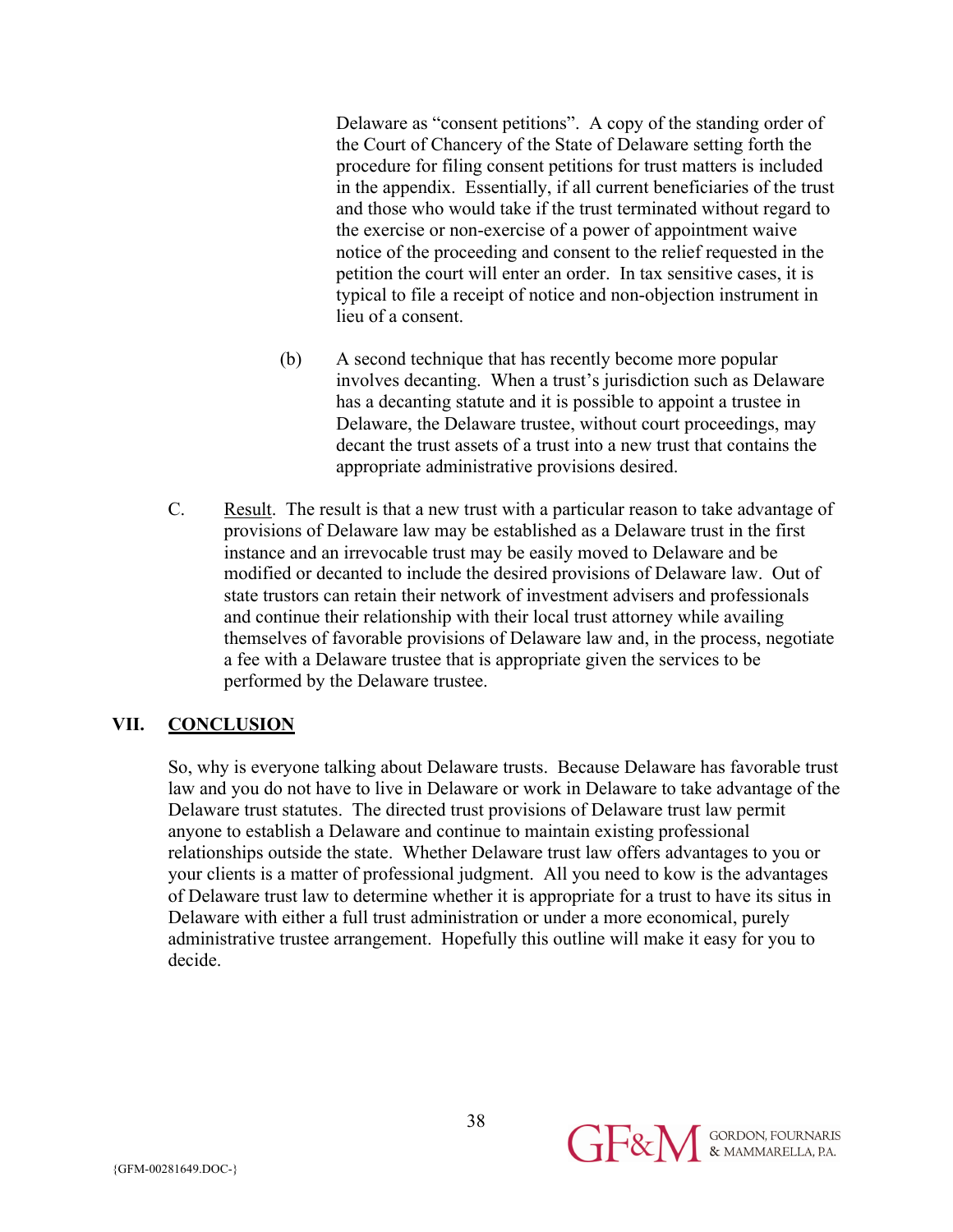Delaware as "consent petitions". A copy of the standing order of the Court of Chancery of the State of Delaware setting forth the procedure for filing consent petitions for trust matters is included in the appendix. Essentially, if all current beneficiaries of the trust and those who would take if the trust terminated without regard to the exercise or non-exercise of a power of appointment waive notice of the proceeding and consent to the relief requested in the petition the court will enter an order. In tax sensitive cases, it is typical to file a receipt of notice and non-objection instrument in lieu of a consent.

- (b) A second technique that has recently become more popular involves decanting. When a trust's jurisdiction such as Delaware has a decanting statute and it is possible to appoint a trustee in Delaware, the Delaware trustee, without court proceedings, may decant the trust assets of a trust into a new trust that contains the appropriate administrative provisions desired.
- C. Result. The result is that a new trust with a particular reason to take advantage of provisions of Delaware law may be established as a Delaware trust in the first instance and an irrevocable trust may be easily moved to Delaware and be modified or decanted to include the desired provisions of Delaware law. Out of state trustors can retain their network of investment advisers and professionals and continue their relationship with their local trust attorney while availing themselves of favorable provisions of Delaware law and, in the process, negotiate a fee with a Delaware trustee that is appropriate given the services to be performed by the Delaware trustee.

#### **VII. CONCLUSION**

So, why is everyone talking about Delaware trusts. Because Delaware has favorable trust law and you do not have to live in Delaware or work in Delaware to take advantage of the Delaware trust statutes. The directed trust provisions of Delaware trust law permit anyone to establish a Delaware and continue to maintain existing professional relationships outside the state. Whether Delaware trust law offers advantages to you or your clients is a matter of professional judgment. All you need to kow is the advantages of Delaware trust law to determine whether it is appropriate for a trust to have its situs in Delaware with either a full trust administration or under a more economical, purely administrative trustee arrangement. Hopefully this outline will make it easy for you to decide.

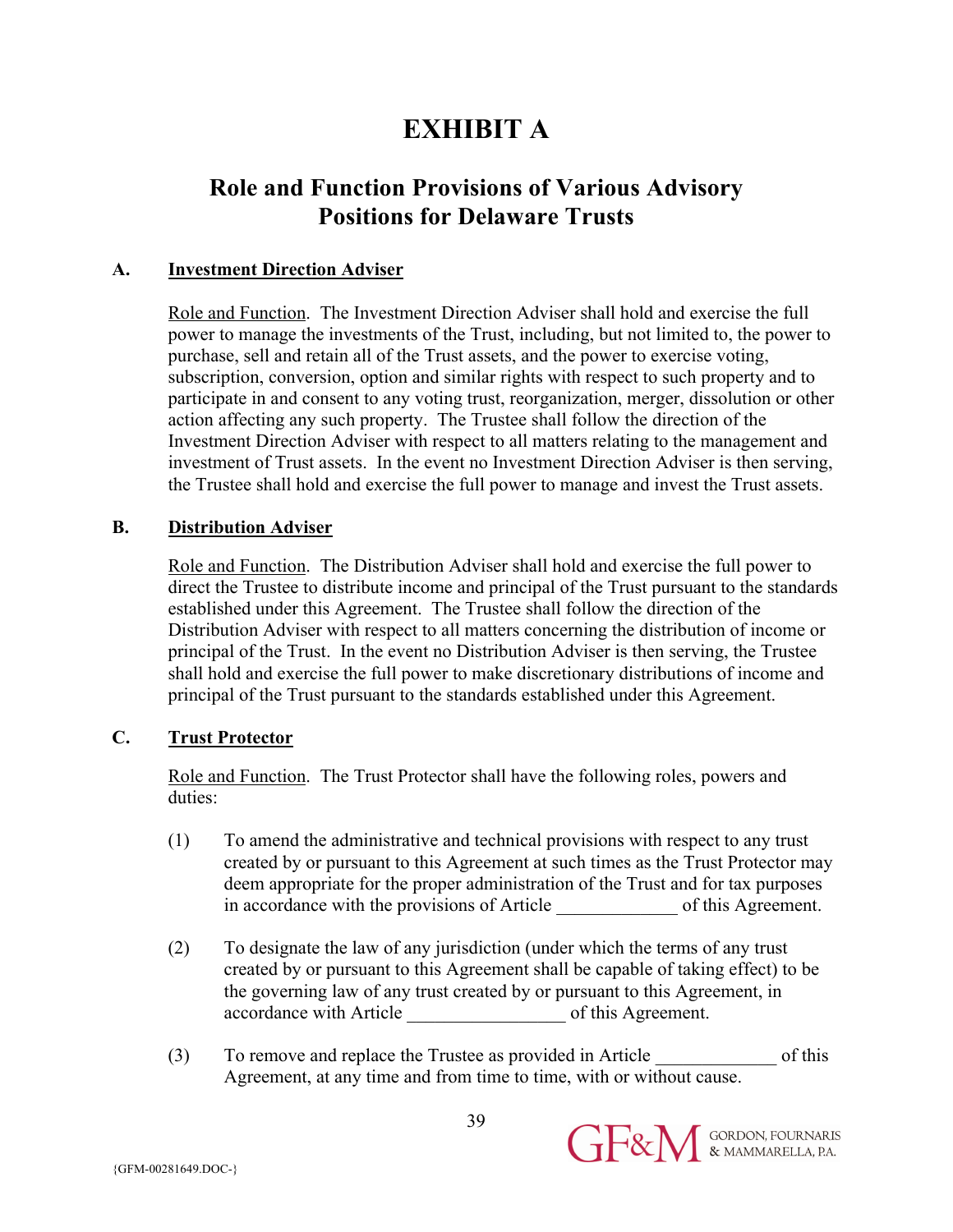# **EXHIBIT A**

# **Role and Function Provisions of Various Advisory Positions for Delaware Trusts**

## **A. Investment Direction Adviser**

Role and Function. The Investment Direction Adviser shall hold and exercise the full power to manage the investments of the Trust, including, but not limited to, the power to purchase, sell and retain all of the Trust assets, and the power to exercise voting, subscription, conversion, option and similar rights with respect to such property and to participate in and consent to any voting trust, reorganization, merger, dissolution or other action affecting any such property. The Trustee shall follow the direction of the Investment Direction Adviser with respect to all matters relating to the management and investment of Trust assets. In the event no Investment Direction Adviser is then serving, the Trustee shall hold and exercise the full power to manage and invest the Trust assets.

## **B. Distribution Adviser**

Role and Function. The Distribution Adviser shall hold and exercise the full power to direct the Trustee to distribute income and principal of the Trust pursuant to the standards established under this Agreement. The Trustee shall follow the direction of the Distribution Adviser with respect to all matters concerning the distribution of income or principal of the Trust. In the event no Distribution Adviser is then serving, the Trustee shall hold and exercise the full power to make discretionary distributions of income and principal of the Trust pursuant to the standards established under this Agreement.

## **C. Trust Protector**

Role and Function. The Trust Protector shall have the following roles, powers and duties:

- (1) To amend the administrative and technical provisions with respect to any trust created by or pursuant to this Agreement at such times as the Trust Protector may deem appropriate for the proper administration of the Trust and for tax purposes in accordance with the provisions of Article of this Agreement.
- (2) To designate the law of any jurisdiction (under which the terms of any trust created by or pursuant to this Agreement shall be capable of taking effect) to be the governing law of any trust created by or pursuant to this Agreement, in accordance with Article \_\_\_\_\_\_\_\_\_\_\_\_\_\_\_\_\_ of this Agreement.
- (3) To remove and replace the Trustee as provided in Article of this Agreement, at any time and from time to time, with or without cause.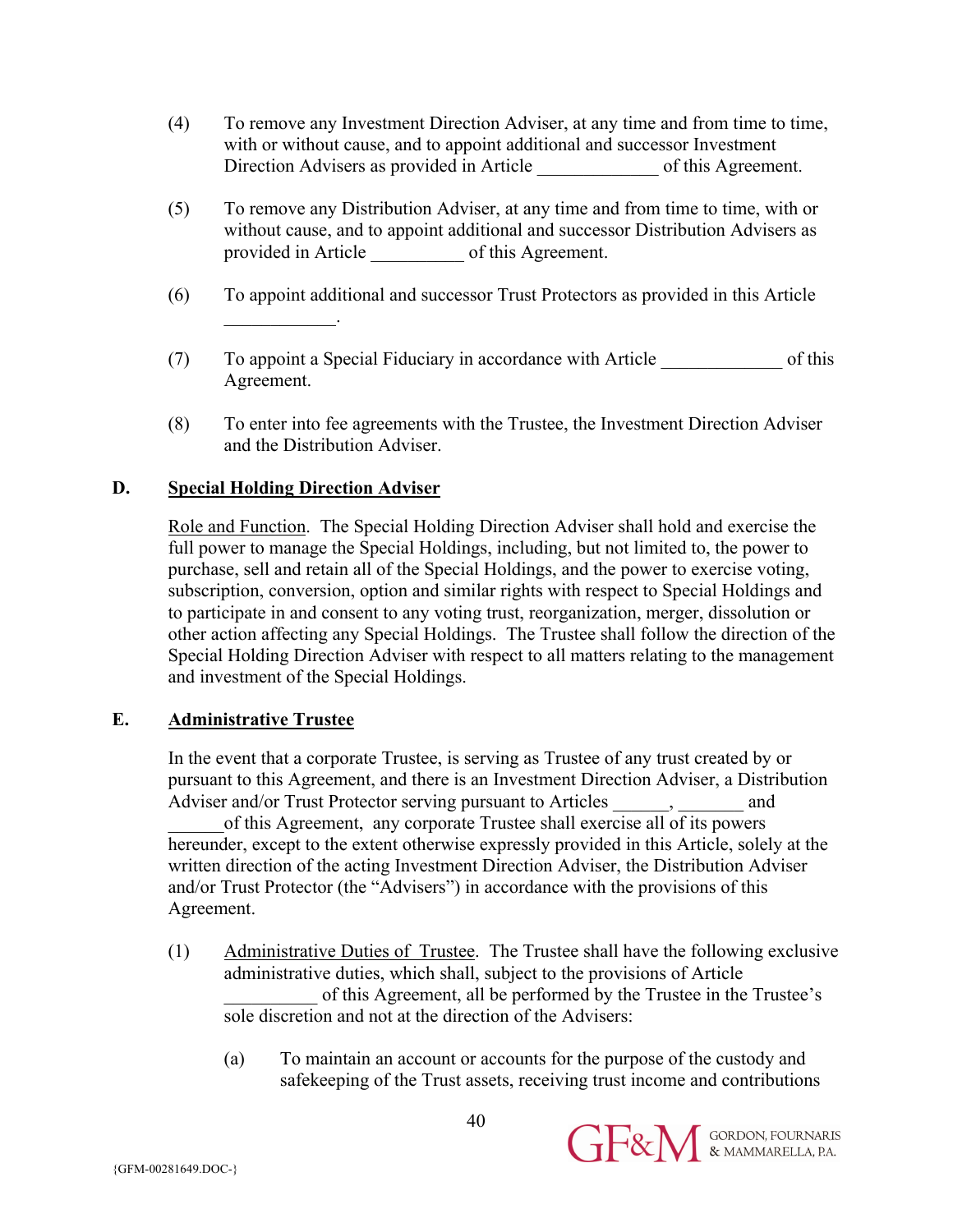- (4) To remove any Investment Direction Adviser, at any time and from time to time, with or without cause, and to appoint additional and successor Investment Direction Advisers as provided in Article \_\_\_\_\_\_\_\_\_\_\_\_\_\_\_\_\_ of this Agreement.
- (5) To remove any Distribution Adviser, at any time and from time to time, with or without cause, and to appoint additional and successor Distribution Advisers as provided in Article \_\_\_\_\_\_\_\_\_\_ of this Agreement.
- (6) To appoint additional and successor Trust Protectors as provided in this Article  $\mathcal{L}=\mathcal{L}^{\mathcal{L}}$
- (7) To appoint a Special Fiduciary in accordance with Article \_\_\_\_\_\_\_\_\_\_\_\_\_ of this Agreement.
- (8) To enter into fee agreements with the Trustee, the Investment Direction Adviser and the Distribution Adviser.

## **D. Special Holding Direction Adviser**

Role and Function. The Special Holding Direction Adviser shall hold and exercise the full power to manage the Special Holdings, including, but not limited to, the power to purchase, sell and retain all of the Special Holdings, and the power to exercise voting, subscription, conversion, option and similar rights with respect to Special Holdings and to participate in and consent to any voting trust, reorganization, merger, dissolution or other action affecting any Special Holdings. The Trustee shall follow the direction of the Special Holding Direction Adviser with respect to all matters relating to the management and investment of the Special Holdings.

## **E. Administrative Trustee**

In the event that a corporate Trustee, is serving as Trustee of any trust created by or pursuant to this Agreement, and there is an Investment Direction Adviser, a Distribution Adviser and/or Trust Protector serving pursuant to Articles and \_\_\_\_\_\_of this Agreement, any corporate Trustee shall exercise all of its powers hereunder, except to the extent otherwise expressly provided in this Article, solely at the written direction of the acting Investment Direction Adviser, the Distribution Adviser and/or Trust Protector (the "Advisers") in accordance with the provisions of this Agreement.

- (1) Administrative Duties of Trustee. The Trustee shall have the following exclusive administrative duties, which shall, subject to the provisions of Article of this Agreement, all be performed by the Trustee in the Trustee's sole discretion and not at the direction of the Advisers:
	- (a) To maintain an account or accounts for the purpose of the custody and safekeeping of the Trust assets, receiving trust income and contributions

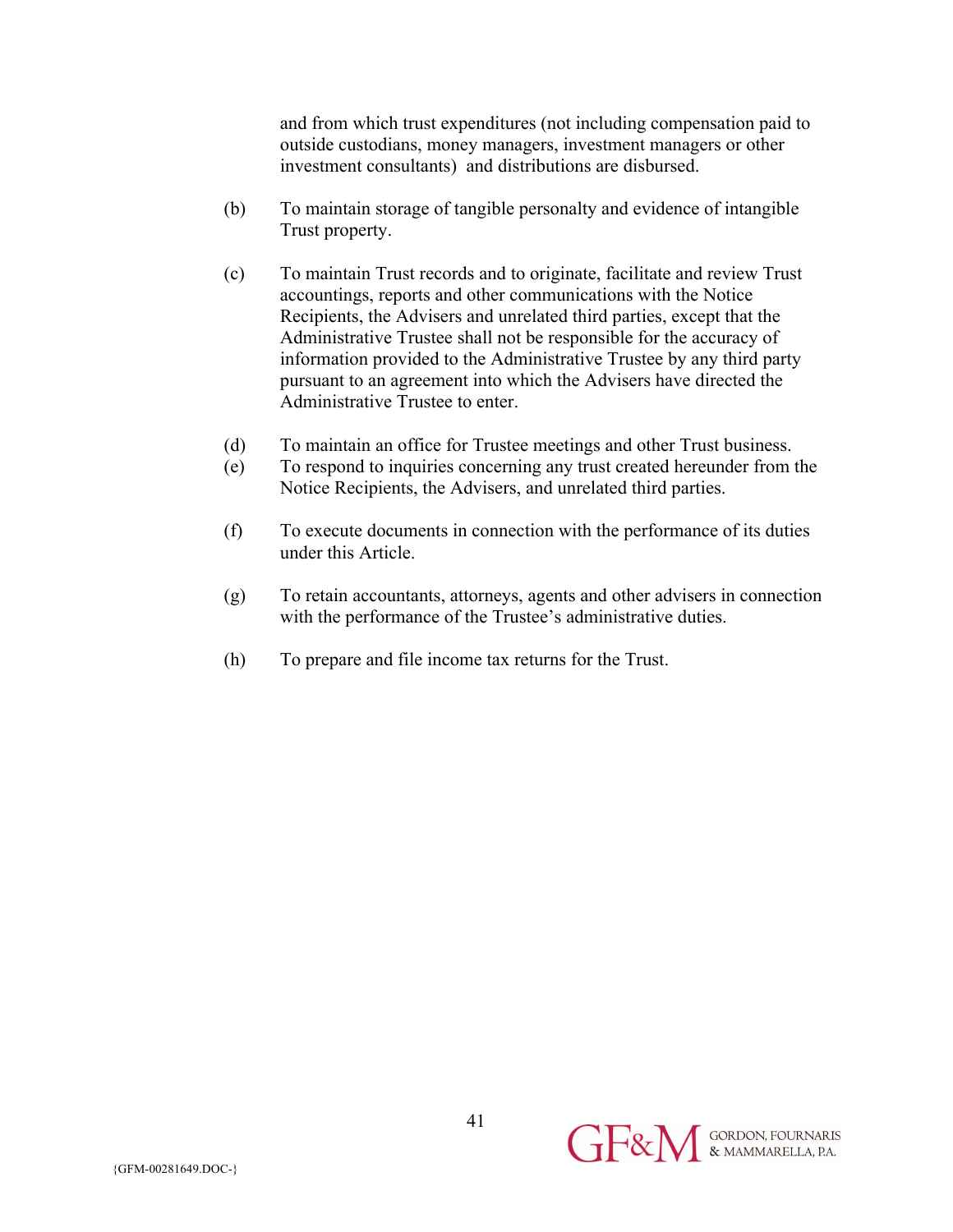and from which trust expenditures (not including compensation paid to outside custodians, money managers, investment managers or other investment consultants) and distributions are disbursed.

- (b) To maintain storage of tangible personalty and evidence of intangible Trust property.
- (c) To maintain Trust records and to originate, facilitate and review Trust accountings, reports and other communications with the Notice Recipients, the Advisers and unrelated third parties, except that the Administrative Trustee shall not be responsible for the accuracy of information provided to the Administrative Trustee by any third party pursuant to an agreement into which the Advisers have directed the Administrative Trustee to enter.
- (d) To maintain an office for Trustee meetings and other Trust business.
- (e) To respond to inquiries concerning any trust created hereunder from the Notice Recipients, the Advisers, and unrelated third parties.
- (f) To execute documents in connection with the performance of its duties under this Article.
- (g) To retain accountants, attorneys, agents and other advisers in connection with the performance of the Trustee's administrative duties.
- (h) To prepare and file income tax returns for the Trust.

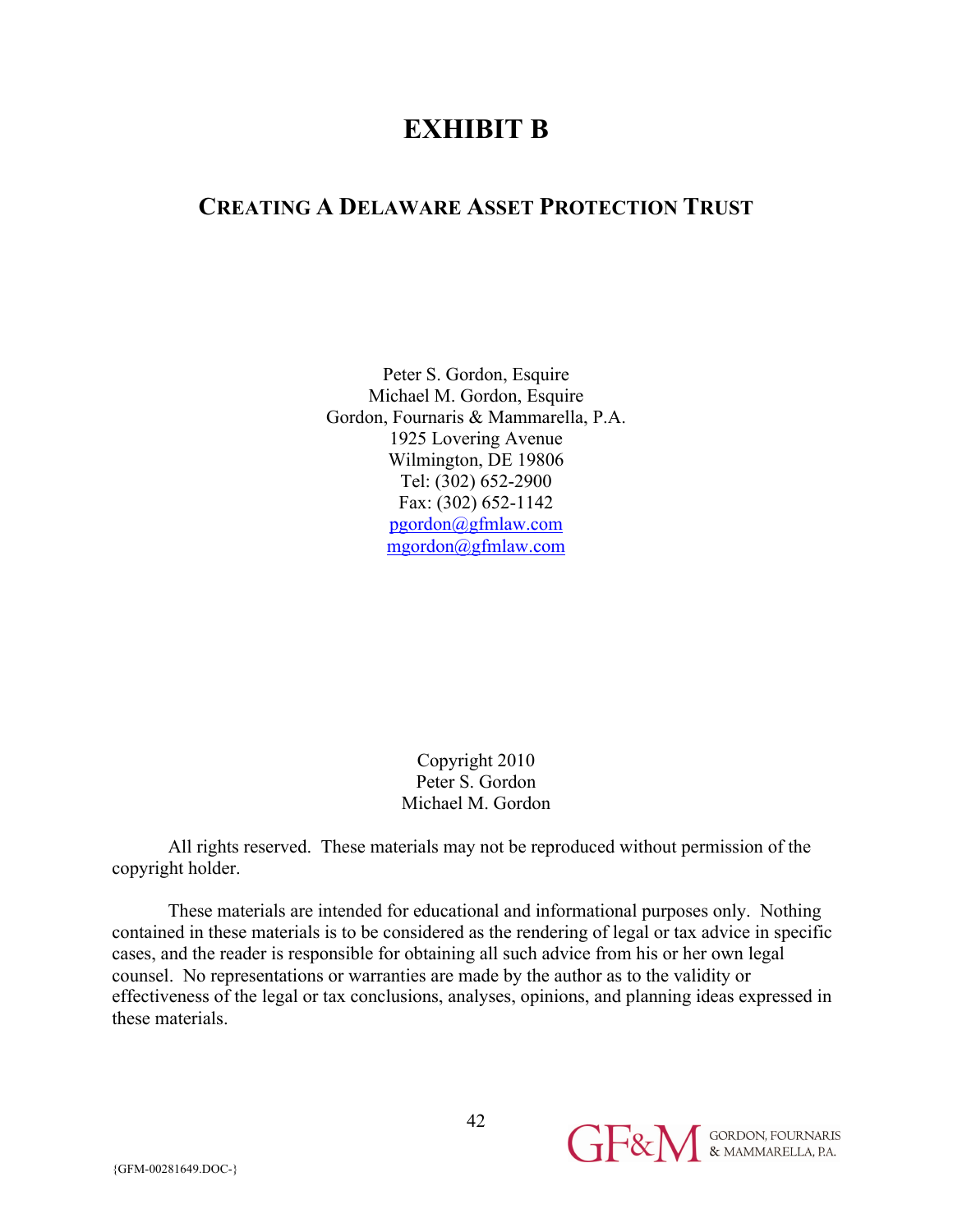# **EXHIBIT B**

# **CREATING A DELAWARE ASSET PROTECTION TRUST**

Peter S. Gordon, Esquire Michael M. Gordon, Esquire Gordon, Fournaris & Mammarella, P.A. 1925 Lovering Avenue Wilmington, DE 19806 Tel: (302) 652-2900 Fax: (302) 652-1142 pgordon@gfmlaw.com mgordon@gfmlaw.com

> Copyright 2010 Peter S. Gordon Michael M. Gordon

All rights reserved. These materials may not be reproduced without permission of the copyright holder.

These materials are intended for educational and informational purposes only. Nothing contained in these materials is to be considered as the rendering of legal or tax advice in specific cases, and the reader is responsible for obtaining all such advice from his or her own legal counsel. No representations or warranties are made by the author as to the validity or effectiveness of the legal or tax conclusions, analyses, opinions, and planning ideas expressed in these materials.

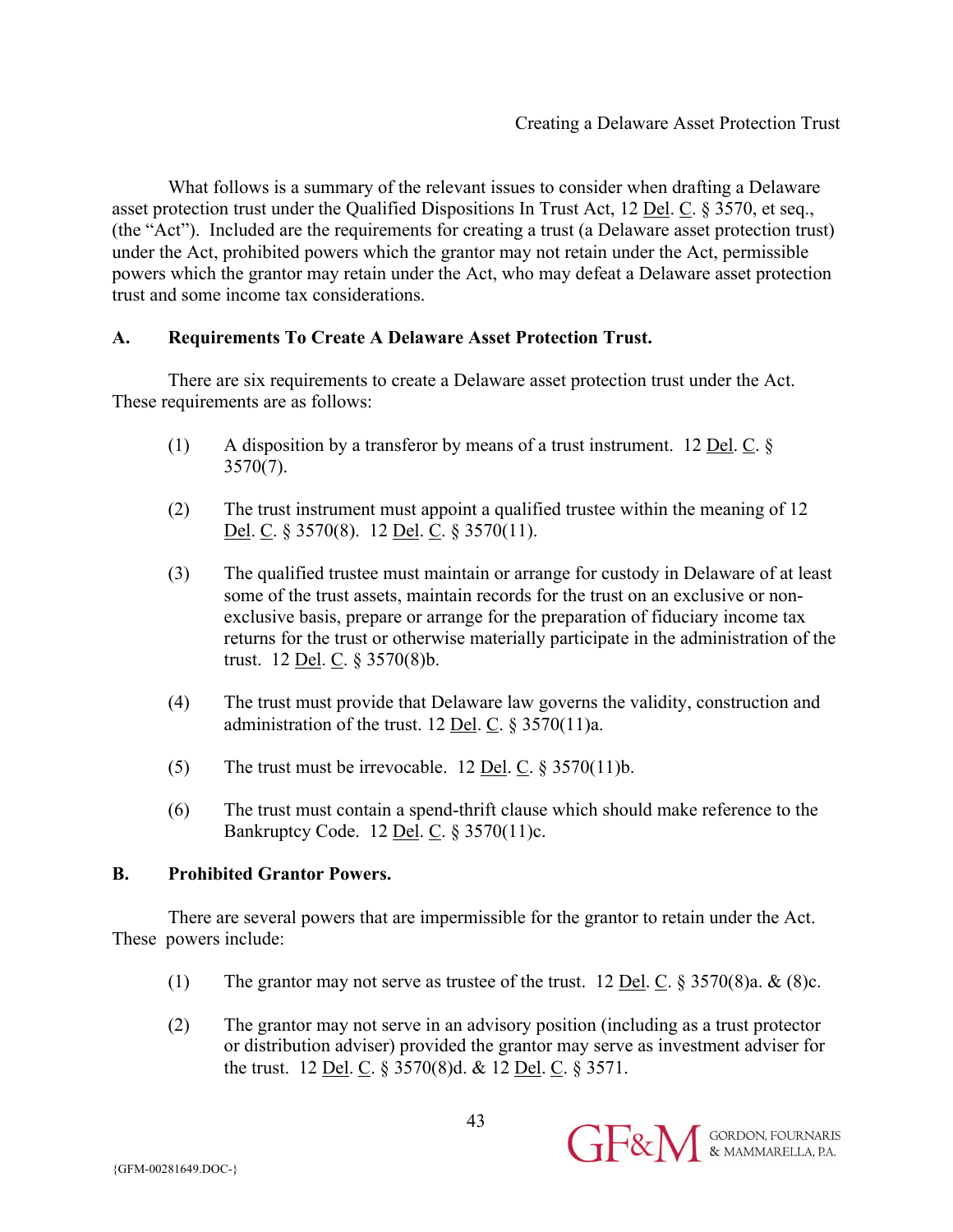What follows is a summary of the relevant issues to consider when drafting a Delaware asset protection trust under the Qualified Dispositions In Trust Act, 12 Del. C. § 3570, et seq., (the "Act"). Included are the requirements for creating a trust (a Delaware asset protection trust) under the Act, prohibited powers which the grantor may not retain under the Act, permissible powers which the grantor may retain under the Act, who may defeat a Delaware asset protection trust and some income tax considerations.

#### **A. Requirements To Create A Delaware Asset Protection Trust.**

There are six requirements to create a Delaware asset protection trust under the Act. These requirements are as follows:

- (1) A disposition by a transferor by means of a trust instrument. 12 Del. C. §  $3570(7)$ .
- (2) The trust instrument must appoint a qualified trustee within the meaning of 12 Del. C. § 3570(8). 12 Del. C. § 3570(11).
- (3) The qualified trustee must maintain or arrange for custody in Delaware of at least some of the trust assets, maintain records for the trust on an exclusive or nonexclusive basis, prepare or arrange for the preparation of fiduciary income tax returns for the trust or otherwise materially participate in the administration of the trust. 12 Del. C. § 3570(8)b.
- (4) The trust must provide that Delaware law governs the validity, construction and administration of the trust. 12 Del. C. § 3570(11)a.
- (5) The trust must be irrevocable. 12 <u>Del</u>. C.  $\S 3570(11)$ b.
- (6) The trust must contain a spend-thrift clause which should make reference to the Bankruptcy Code. 12 Del. C. § 3570(11)c.

#### **B. Prohibited Grantor Powers.**

There are several powers that are impermissible for the grantor to retain under the Act. These powers include:

- (1) The grantor may not serve as trustee of the trust. 12 <u>Del</u>. C.  $\frac{8}{3}$  3570(8)a. & (8)c.
- (2) The grantor may not serve in an advisory position (including as a trust protector or distribution adviser) provided the grantor may serve as investment adviser for the trust. 12 <u>Del</u>. C.  $\S 3570(8)$ d. & 12 <u>Del</u>. C.  $\S 3571$ .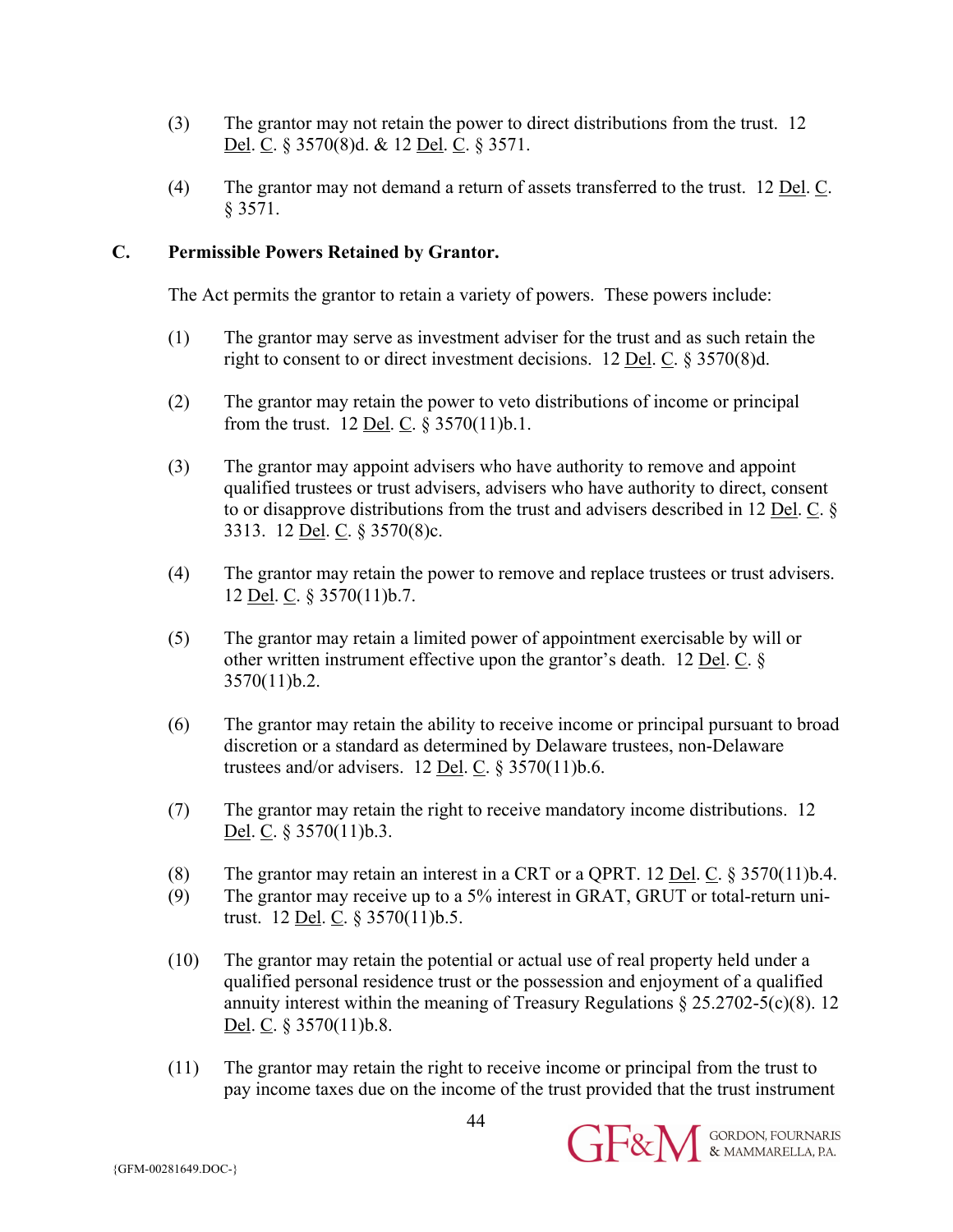- (3) The grantor may not retain the power to direct distributions from the trust. 12 Del. C. § 3570(8)d. & 12 Del. C. § 3571.
- (4) The grantor may not demand a return of assets transferred to the trust. 12 Del. C. § 3571.

#### **C. Permissible Powers Retained by Grantor.**

The Act permits the grantor to retain a variety of powers. These powers include:

- (1) The grantor may serve as investment adviser for the trust and as such retain the right to consent to or direct investment decisions. 12 Del. C. § 3570(8)d.
- (2) The grantor may retain the power to veto distributions of income or principal from the trust. 12 <u>Del</u>. C.  $\S 3570(11)$ b.1.
- (3) The grantor may appoint advisers who have authority to remove and appoint qualified trustees or trust advisers, advisers who have authority to direct, consent to or disapprove distributions from the trust and advisers described in 12 Del. C. § 3313. 12 Del. C. § 3570(8)c.
- (4) The grantor may retain the power to remove and replace trustees or trust advisers. 12 Del. C. § 3570(11)b.7.
- (5) The grantor may retain a limited power of appointment exercisable by will or other written instrument effective upon the grantor's death. 12 Del. C. § 3570(11)b.2.
- (6) The grantor may retain the ability to receive income or principal pursuant to broad discretion or a standard as determined by Delaware trustees, non-Delaware trustees and/or advisers.  $12$  <u>Del</u>. C.  $\S 3570(11)$ b.6.
- (7) The grantor may retain the right to receive mandatory income distributions. 12 Del. C. § 3570(11)b.3.
- (8) The grantor may retain an interest in a CRT or a QPRT. 12 Del. C.  $\S 3570(11)$ b.4.
- (9) The grantor may receive up to a 5% interest in GRAT, GRUT or total-return unitrust. 12 Del. C. § 3570(11)b.5.
- (10) The grantor may retain the potential or actual use of real property held under a qualified personal residence trust or the possession and enjoyment of a qualified annuity interest within the meaning of Treasury Regulations  $\S 25.2702 - 5(c)(8)$ . 12 Del. C. § 3570(11)b.8.
- (11) The grantor may retain the right to receive income or principal from the trust to pay income taxes due on the income of the trust provided that the trust instrument

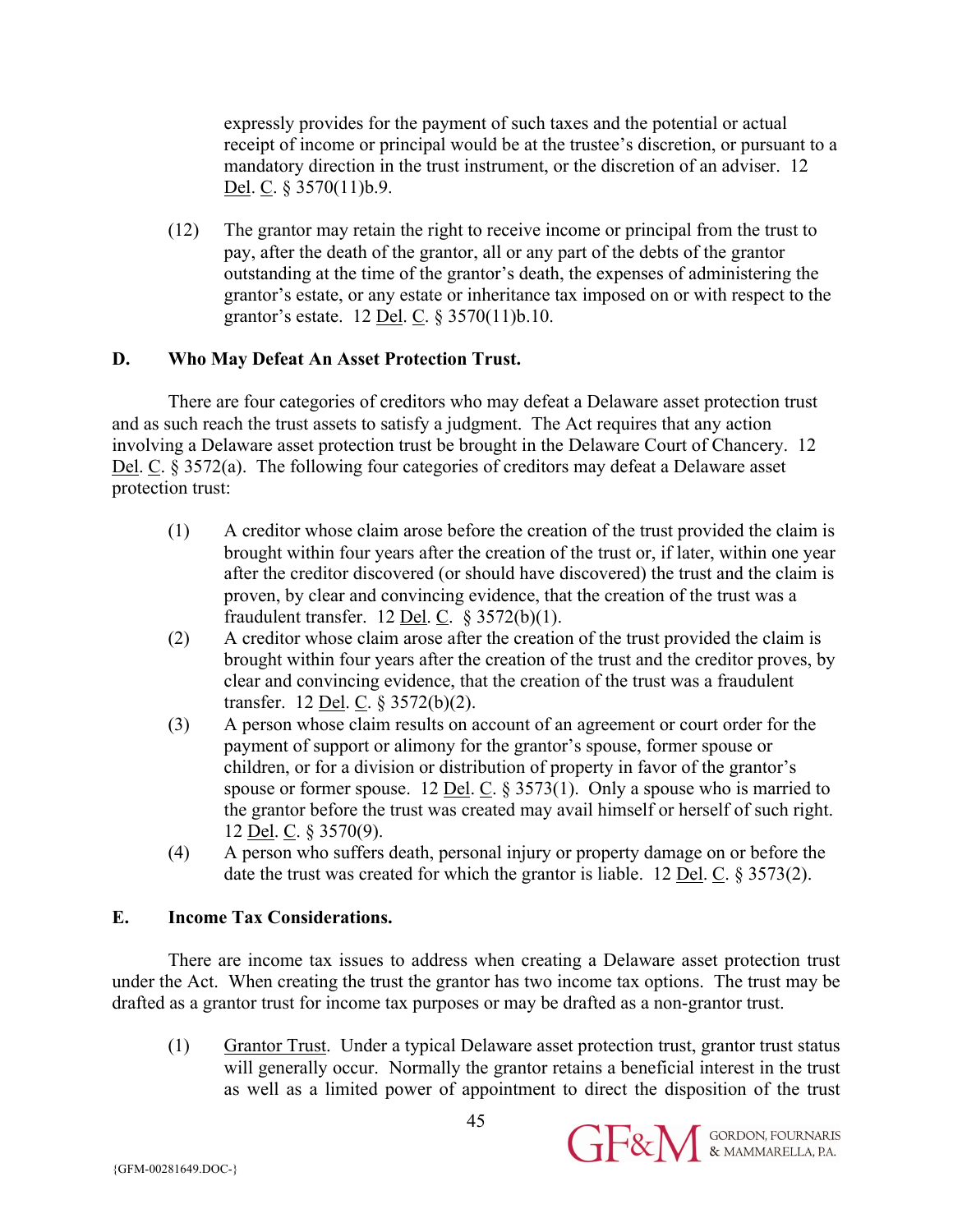expressly provides for the payment of such taxes and the potential or actual receipt of income or principal would be at the trustee's discretion, or pursuant to a mandatory direction in the trust instrument, or the discretion of an adviser. 12 Del. C. § 3570(11)b.9.

(12) The grantor may retain the right to receive income or principal from the trust to pay, after the death of the grantor, all or any part of the debts of the grantor outstanding at the time of the grantor's death, the expenses of administering the grantor's estate, or any estate or inheritance tax imposed on or with respect to the grantor's estate. 12 Del. C. § 3570(11)b.10.

#### **D. Who May Defeat An Asset Protection Trust.**

There are four categories of creditors who may defeat a Delaware asset protection trust and as such reach the trust assets to satisfy a judgment. The Act requires that any action involving a Delaware asset protection trust be brought in the Delaware Court of Chancery. 12 Del. C. § 3572(a). The following four categories of creditors may defeat a Delaware asset protection trust:

- (1) A creditor whose claim arose before the creation of the trust provided the claim is brought within four years after the creation of the trust or, if later, within one year after the creditor discovered (or should have discovered) the trust and the claim is proven, by clear and convincing evidence, that the creation of the trust was a fraudulent transfer. 12 Del. C.  $\S 3572(b)(1)$ .
- (2) A creditor whose claim arose after the creation of the trust provided the claim is brought within four years after the creation of the trust and the creditor proves, by clear and convincing evidence, that the creation of the trust was a fraudulent transfer. 12 Del. C. § 3572(b)(2).
- (3) A person whose claim results on account of an agreement or court order for the payment of support or alimony for the grantor's spouse, former spouse or children, or for a division or distribution of property in favor of the grantor's spouse or former spouse. 12 <u>Del</u>. C.  $\S 3573(1)$ . Only a spouse who is married to the grantor before the trust was created may avail himself or herself of such right. 12 Del. C. § 3570(9).
- (4) A person who suffers death, personal injury or property damage on or before the date the trust was created for which the grantor is liable. 12 Del. C. § 3573(2).

#### **E. Income Tax Considerations.**

There are income tax issues to address when creating a Delaware asset protection trust under the Act. When creating the trust the grantor has two income tax options. The trust may be drafted as a grantor trust for income tax purposes or may be drafted as a non-grantor trust.

(1) Grantor Trust. Under a typical Delaware asset protection trust, grantor trust status will generally occur. Normally the grantor retains a beneficial interest in the trust as well as a limited power of appointment to direct the disposition of the trust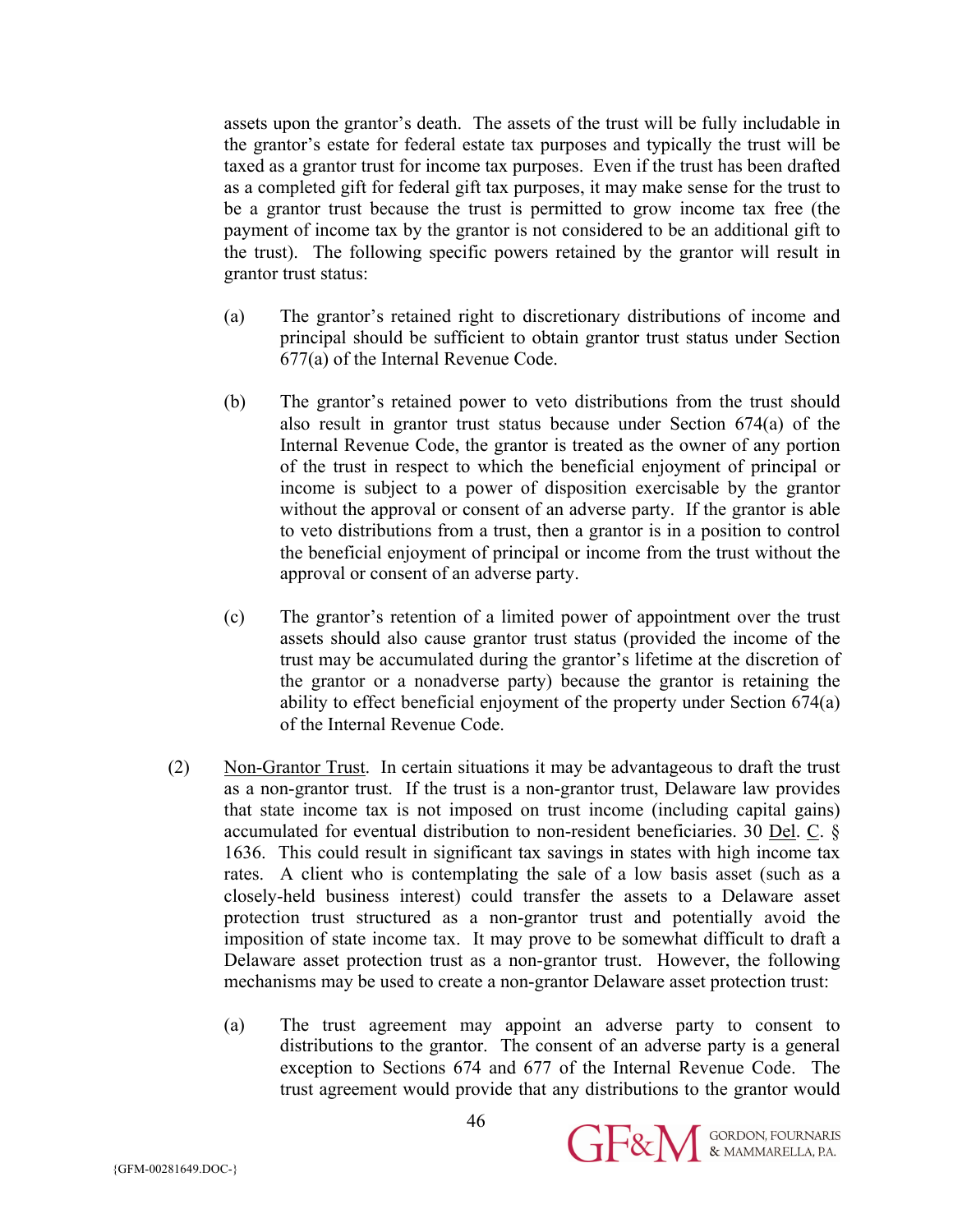assets upon the grantor's death. The assets of the trust will be fully includable in the grantor's estate for federal estate tax purposes and typically the trust will be taxed as a grantor trust for income tax purposes. Even if the trust has been drafted as a completed gift for federal gift tax purposes, it may make sense for the trust to be a grantor trust because the trust is permitted to grow income tax free (the payment of income tax by the grantor is not considered to be an additional gift to the trust). The following specific powers retained by the grantor will result in grantor trust status:

- (a) The grantor's retained right to discretionary distributions of income and principal should be sufficient to obtain grantor trust status under Section 677(a) of the Internal Revenue Code.
- (b) The grantor's retained power to veto distributions from the trust should also result in grantor trust status because under Section 674(a) of the Internal Revenue Code, the grantor is treated as the owner of any portion of the trust in respect to which the beneficial enjoyment of principal or income is subject to a power of disposition exercisable by the grantor without the approval or consent of an adverse party. If the grantor is able to veto distributions from a trust, then a grantor is in a position to control the beneficial enjoyment of principal or income from the trust without the approval or consent of an adverse party.
- (c) The grantor's retention of a limited power of appointment over the trust assets should also cause grantor trust status (provided the income of the trust may be accumulated during the grantor's lifetime at the discretion of the grantor or a nonadverse party) because the grantor is retaining the ability to effect beneficial enjoyment of the property under Section 674(a) of the Internal Revenue Code.
- (2) Non-Grantor Trust. In certain situations it may be advantageous to draft the trust as a non-grantor trust. If the trust is a non-grantor trust, Delaware law provides that state income tax is not imposed on trust income (including capital gains) accumulated for eventual distribution to non-resident beneficiaries. 30 Del. C. § 1636. This could result in significant tax savings in states with high income tax rates. A client who is contemplating the sale of a low basis asset (such as a closely-held business interest) could transfer the assets to a Delaware asset protection trust structured as a non-grantor trust and potentially avoid the imposition of state income tax. It may prove to be somewhat difficult to draft a Delaware asset protection trust as a non-grantor trust. However, the following mechanisms may be used to create a non-grantor Delaware asset protection trust:
	- (a) The trust agreement may appoint an adverse party to consent to distributions to the grantor. The consent of an adverse party is a general exception to Sections 674 and 677 of the Internal Revenue Code. The trust agreement would provide that any distributions to the grantor would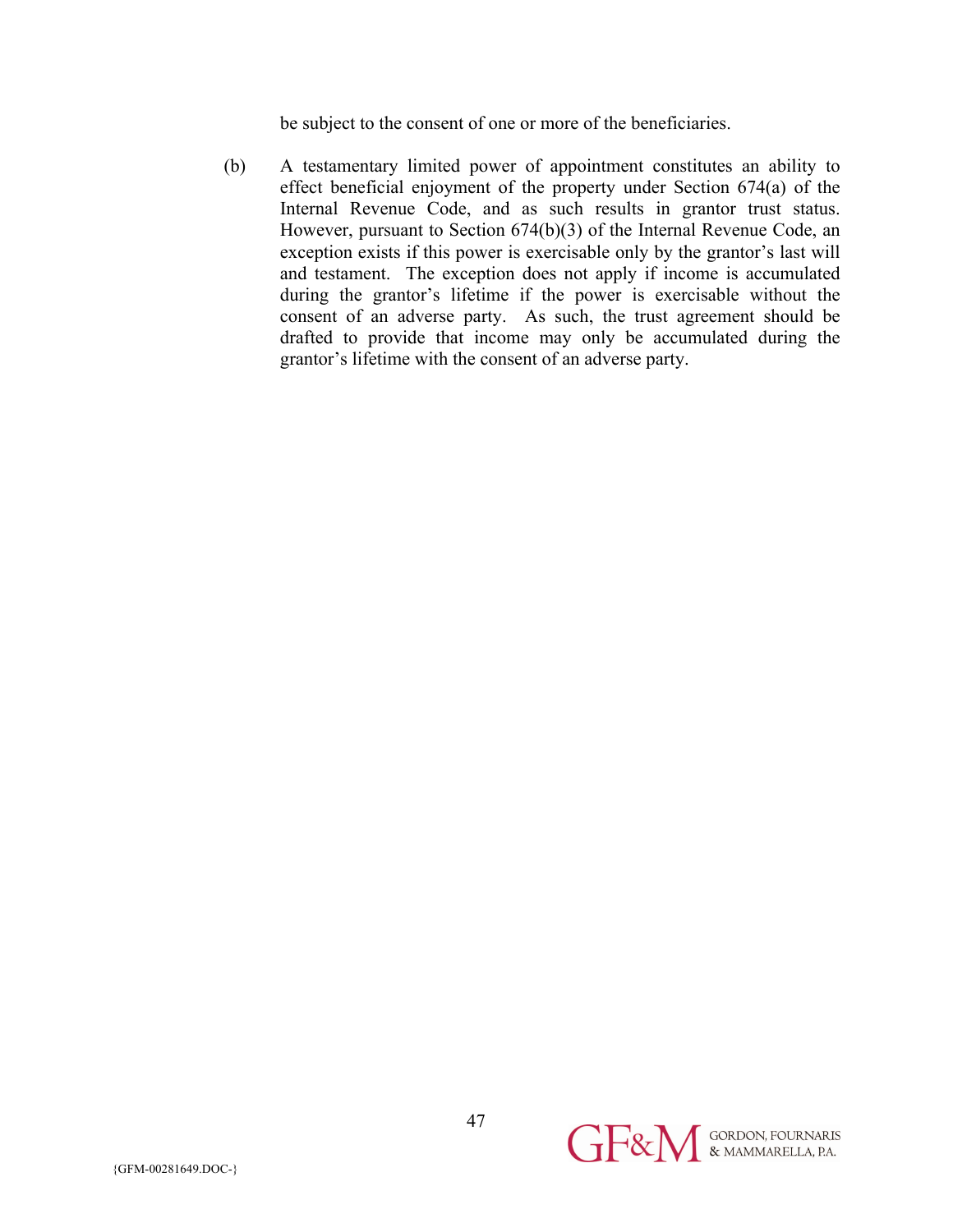be subject to the consent of one or more of the beneficiaries.

(b) A testamentary limited power of appointment constitutes an ability to effect beneficial enjoyment of the property under Section 674(a) of the Internal Revenue Code, and as such results in grantor trust status. However, pursuant to Section 674(b)(3) of the Internal Revenue Code, an exception exists if this power is exercisable only by the grantor's last will and testament. The exception does not apply if income is accumulated during the grantor's lifetime if the power is exercisable without the consent of an adverse party. As such, the trust agreement should be drafted to provide that income may only be accumulated during the grantor's lifetime with the consent of an adverse party.

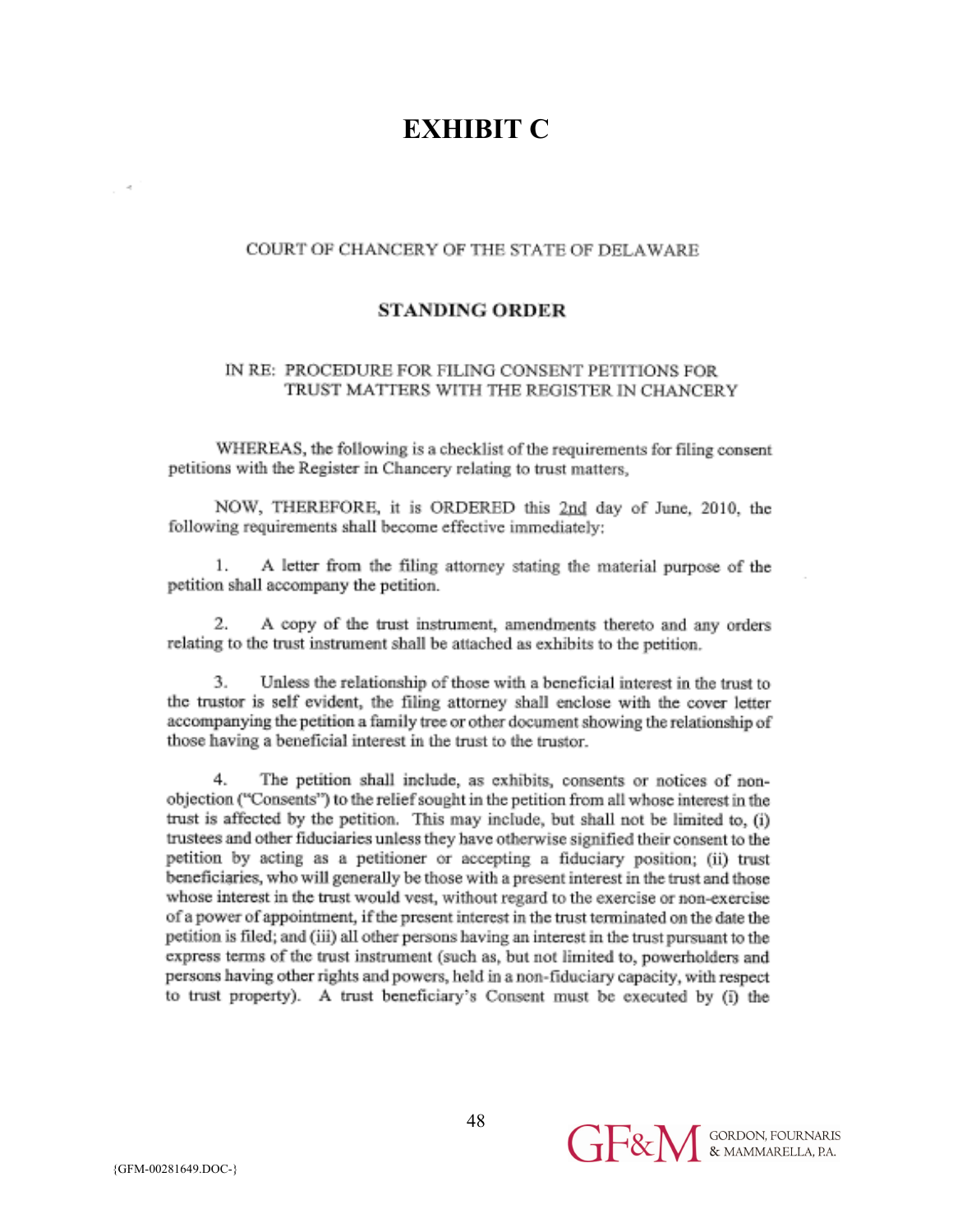# **EXHIBIT C**

#### COURT OF CHANCERY OF THE STATE OF DELAWARE

#### **STANDING ORDER**

#### IN RE: PROCEDURE FOR FILING CONSENT PETITIONS FOR TRUST MATTERS WITH THE REGISTER IN CHANCERY

WHEREAS, the following is a checklist of the requirements for filing consent petitions with the Register in Chancery relating to trust matters,

NOW, THEREFORE, it is ORDERED this 2nd day of June, 2010, the following requirements shall become effective immediately:

1. A letter from the filing attorney stating the material purpose of the petition shall accompany the petition.

2. A copy of the trust instrument, amendments thereto and any orders relating to the trust instrument shall be attached as exhibits to the petition.

3. Unless the relationship of those with a beneficial interest in the trust to the trustor is self evident, the filing attorney shall enclose with the cover letter accompanying the petition a family tree or other document showing the relationship of those having a beneficial interest in the trust to the trustor.

The petition shall include, as exhibits, consents or notices of non-4. objection ("Consents") to the relief sought in the petition from all whose interest in the trust is affected by the petition. This may include, but shall not be limited to, (i) trustees and other fiduciaries unless they have otherwise signified their consent to the petition by acting as a petitioner or accepting a fiduciary position; (ii) trust beneficiaries, who will generally be those with a present interest in the trust and those whose interest in the trust would vest, without regard to the exercise or non-exercise of a power of appointment, if the present interest in the trust terminated on the date the petition is filed; and (iii) all other persons having an interest in the trust pursuant to the express terms of the trust instrument (such as, but not limited to, powerholders and persons having other rights and powers, held in a non-fiduciary capacity, with respect to trust property). A trust beneficiary's Consent must be executed by (i) the